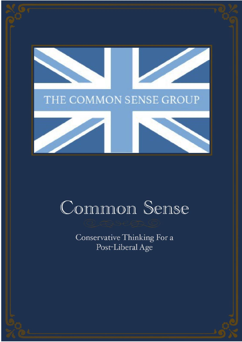

# Common Sense

Conservative Thinking For a Post-Liberal Age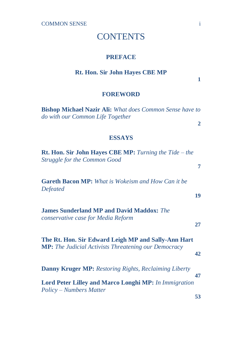### **CONTENTS**

#### **PREFACE**

#### **Rt. Hon. Sir John Hayes CBE MP**

**1**

**2**

**7**

#### **FOREWORD**

**Bishop Michael Nazir Ali:** *What does Common Sense have to do with our Common Life Together*

#### **ESSAYS**

**Rt. Hon. Sir John Hayes CBE MP:** *Turning the Tide – the Struggle for the Common Good*

**Gareth Bacon MP:** *What is Wokeism and How Can it be Defeated*

**19**

**James Sunderland MP and David Maddox:** *The conservative case for Media Reform* 

**27**

**The Rt. Hon. Sir Edward Leigh MP and Sally-Ann Hart MP:** *The Judicial Activists Threatening our Democracy* 

**42**

**Danny Kruger MP:** *Restoring Rights, Reclaiming Liberty*  **47 Lord Peter Lilley and Marco Longhi MP:** *In Immigration Policy – Numbers Matter* **53**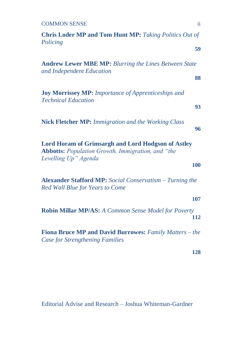| <b>COMMON SENSE</b>                                                                                                                           | ii. |
|-----------------------------------------------------------------------------------------------------------------------------------------------|-----|
| <b>Chris Loder MP and Tom Hunt MP:</b> Taking Politics Out of<br>Policing                                                                     |     |
|                                                                                                                                               | 59  |
| <b>Andrew Lewer MBE MP: Blurring the Lines Between State</b><br>and Independent Education                                                     |     |
|                                                                                                                                               | 88  |
| <b>Joy Morrissey MP:</b> Importance of Apprenticeships and<br><b>Technical Education</b>                                                      |     |
|                                                                                                                                               | 93  |
| <b>Nick Fletcher MP:</b> Immigration and the Working Class                                                                                    | 96  |
| <b>Lord Horam of Grimsargh and Lord Hodgson of Astley</b><br><b>Abbotts:</b> Population Growth, Immigration, and "the<br>Levelling Up" Agenda |     |
|                                                                                                                                               | 100 |
| <b>Alexander Stafford MP:</b> Social Conservatism – Turning the<br>Red Wall Blue for Years to Come                                            |     |
|                                                                                                                                               | 107 |
| Robin Millar MP/AS: A Common Sense Model for Poverty                                                                                          | 112 |
| Fiona Bruce MP and David Burrowes: Family Matters - the<br><b>Case for Strengthening Families</b>                                             |     |
|                                                                                                                                               | 128 |

Editorial Advise and Research – Joshua Whiteman-Gardner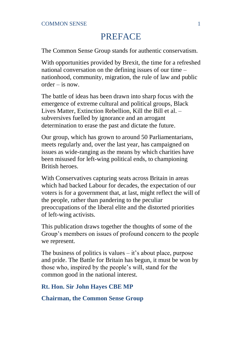# PREFACE

The Common Sense Group stands for authentic conservatism.

With opportunities provided by Brexit, the time for a refreshed national conversation on the defining issues of our time – nationhood, community, migration, the rule of law and public  $order = i\epsilon$  now.

The battle of ideas has been drawn into sharp focus with the emergence of extreme cultural and political groups, Black Lives Matter, Extinction Rebellion, Kill the Bill et al. – subversives fuelled by ignorance and an arrogant determination to erase the past and dictate the future.

Our group, which has grown to around 50 Parliamentarians, meets regularly and, over the last year, has campaigned on issues as wide-ranging as the means by which charities have been misused for left-wing political ends, to championing British heroes.

With Conservatives capturing seats across Britain in areas which had backed Labour for decades, the expectation of our voters is for a government that, at last, might reflect the will of the people, rather than pandering to the peculiar preoccupations of the liberal elite and the distorted priorities of left-wing activists.

This publication draws together the thoughts of some of the Group's members on issues of profound concern to the people we represent.

The business of politics is values  $-$  it's about place, purpose and pride. The Battle for Britain has begun, it must be won by those who, inspired by the people's will, stand for the common good in the national interest.

**Rt. Hon. Sir John Hayes CBE MP**

**Chairman, the Common Sense Group**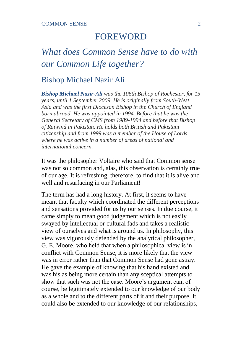# FOREWORD

# *What does Common Sense have to do with our Common Life together?*

### Bishop Michael Nazir Ali

*Bishop Michael Nazir-Ali was the 106th Bishop of Rochester, for 15 years, until 1 September 2009. He is originally from South-West Asia and was the first Diocesan Bishop in the Church of England born abroad. He was appointed in 1994. Before that he was the General Secretary of CMS from 1989-1994 and before that Bishop of Raiwind in Pakistan. He holds both British and Pakistani citizenship and from 1999 was a member of the House of Lords where he was active in a number of areas of national and international concern.* 

It was the philosopher Voltaire who said that Common sense was not so common and, alas, this observation is certainly true of our age. It is refreshing, therefore, to find that it is alive and well and resurfacing in our Parliament!

The term has had a long history. At first, it seems to have meant that faculty which coordinated the different perceptions and sensations provided for us by our senses. In due course, it came simply to mean good judgement which is not easily swayed by intellectual or cultural fads and takes a realistic view of ourselves and what is around us. In philosophy, this view was vigorously defended by the analytical philosopher, G. E. Moore, who held that when a philosophical view is in conflict with Common Sense, it is more likely that the view was in error rather than that Common Sense had gone astray. He gave the example of knowing that his hand existed and was his as being more certain than any sceptical attempts to show that such was not the case. Moore's argument can, of course, be legitimately extended to our knowledge of our body as a whole and to the different parts of it and their purpose. It could also be extended to our knowledge of our relationships,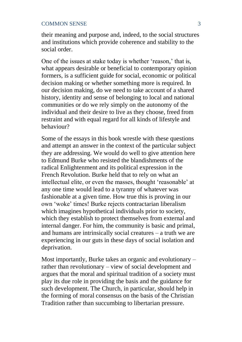their meaning and purpose and, indeed, to the social structures and institutions which provide coherence and stability to the social order.

One of the issues at stake today is whether 'reason,' that is, what appears desirable or beneficial to contemporary opinion formers, is a sufficient guide for social, economic or political decision making or whether something more is required. In our decision making, do we need to take account of a shared history, identity and sense of belonging to local and national communities or do we rely simply on the autonomy of the individual and their desire to live as they choose, freed from restraint and with equal regard for all kinds of lifestyle and behaviour?

Some of the essays in this book wrestle with these questions and attempt an answer in the context of the particular subject they are addressing. We would do well to give attention here to Edmund Burke who resisted the blandishments of the radical Enlightenment and its political expression in the French Revolution. Burke held that to rely on what an intellectual elite, or even the masses, thought 'reasonable' at any one time would lead to a tyranny of whatever was fashionable at a given time. How true this is proving in our own 'woke' times! Burke rejects contractarian liberalism which imagines hypothetical individuals prior to society, which they establish to protect themselves from external and internal danger. For him, the community is basic and primal, and humans are intrinsically social creatures – a truth we are experiencing in our guts in these days of social isolation and deprivation.

Most importantly, Burke takes an organic and evolutionary – rather than revolutionary – view of social development and argues that the moral and spiritual tradition of a society must play its due role in providing the basis and the guidance for such development. The Church, in particular, should help in the forming of moral consensus on the basis of the Christian Tradition rather than succumbing to libertarian pressure.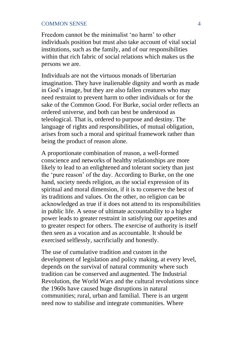Freedom cannot be the minimalist 'no harm' to other individuals position but must also take account of vital social institutions, such as the family, and of our responsibilities within that rich fabric of social relations which makes us the persons we are.

Individuals are not the virtuous monads of libertarian imagination. They have inalienable dignity and worth as made in God's image, but they are also fallen creatures who may need restraint to prevent harm to other individuals or for the sake of the Common Good. For Burke, social order reflects an ordered universe, and both can best be understood as teleological. That is, ordered to purpose and destiny. The language of rights and responsibilities, of mutual obligation, arises from such a moral and spiritual framework rather than being the product of reason alone.

A proportionate combination of reason, a well-formed conscience and networks of healthy relationships are more likely to lead to an enlightened and tolerant society than just the 'pure reason' of the day. According to Burke, on the one hand, society needs religion, as the social expression of its spiritual and moral dimension, if it is to conserve the best of its traditions and values. On the other, no religion can be acknowledged as true if it does not attend to its responsibilities in public life. A sense of ultimate accountability to a higher power leads to greater restraint in satisfying our appetites and to greater respect for others. The exercise of authority is itself then seen as a vocation and as accountable. It should be exercised selflessly, sacrificially and honestly.

The use of cumulative tradition and custom in the development of legislation and policy making, at every level, depends on the survival of natural community where such tradition can be conserved and augmented. The Industrial Revolution, the World Wars and the cultural revolutions since the 1960s have caused huge disruptions in natural communities; rural, urban and familial. There is an urgent need now to stabilise and integrate communities. Where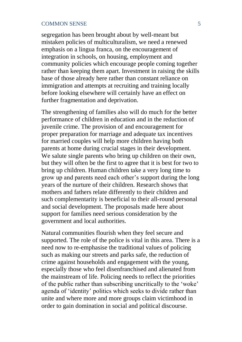segregation has been brought about by well-meant but mistaken policies of multiculturalism, we need a renewed emphasis on a lingua franca, on the encouragement of integration in schools, on housing, employment and community policies which encourage people coming together rather than keeping them apart. Investment in raising the skills base of those already here rather than constant reliance on immigration and attempts at recruiting and training locally before looking elsewhere will certainly have an effect on further fragmentation and deprivation.

The strengthening of families also will do much for the better performance of children in education and in the reduction of juvenile crime. The provision of and encouragement for proper preparation for marriage and adequate tax incentives for married couples will help more children having both parents at home during crucial stages in their development. We salute single parents who bring up children on their own. but they will often be the first to agree that it is best for two to bring up children. Human children take a very long time to grow up and parents need each other's support during the long years of the nurture of their children. Research shows that mothers and fathers relate differently to their children and such complementarity is beneficial to their all-round personal and social development. The proposals made here about support for families need serious consideration by the government and local authorities.

Natural communities flourish when they feel secure and supported. The role of the police is vital in this area. There is a need now to re-emphasise the traditional values of policing such as making our streets and parks safe, the reduction of crime against households and engagement with the young, especially those who feel disenfranchised and alienated from the mainstream of life. Policing needs to reflect the priorities of the public rather than subscribing uncritically to the 'woke' agenda of 'identity' politics which seeks to divide rather than unite and where more and more groups claim victimhood in order to gain domination in social and political discourse.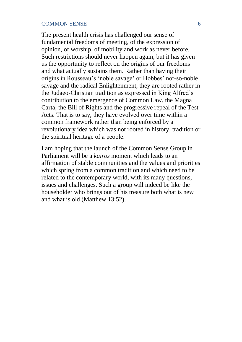The present health crisis has challenged our sense of fundamental freedoms of meeting, of the expression of opinion, of worship, of mobility and work as never before. Such restrictions should never happen again, but it has given us the opportunity to reflect on the origins of our freedoms and what actually sustains them. Rather than having their origins in Rousseau's 'noble savage' or Hobbes' not-so-noble savage and the radical Enlightenment, they are rooted rather in the Judaeo-Christian tradition as expressed in King Alfred's contribution to the emergence of Common Law, the Magna Carta, the Bill of Rights and the progressive repeal of the Test Acts. That is to say, they have evolved over time within a common framework rather than being enforced by a revolutionary idea which was not rooted in history, tradition or the spiritual heritage of a people.

I am hoping that the launch of the Common Sense Group in Parliament will be a *kairos* moment which leads to an affirmation of stable communities and the values and priorities which spring from a common tradition and which need to be related to the contemporary world, with its many questions, issues and challenges. Such a group will indeed be like the householder who brings out of his treasure both what is new and what is old (Matthew 13:52).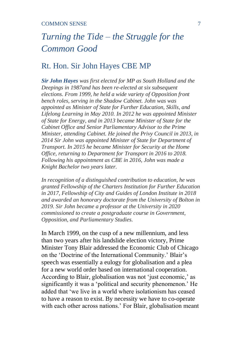# *Turning the Tide – the Struggle for the Common Good*

### Rt. Hon. Sir John Hayes CBE MP

*Sir John Hayes was first elected for MP as South Holland and the Deepings in 1987and has been re-elected at six subsequent elections. From 1999, he held a wide variety of Opposition front bench roles, serving in the Shadow Cabinet. John was was appointed as Minister of State for Further Education, Skills, and Lifelong Learning in May 2010. In 2012 he was appointed Minister of State for Energy, and in 2013 became Minister of State for the Cabinet Office and Senior Parliamentary Advisor to the Prime Minister, attending Cabinet. He joined the Privy Council in 2013, in 2014 Sir John was appointed Minister of State for Department of Transport. In 2015 he became Minister for Security at the Home Office, returning to Department for Transport in 2016 to 2018. Following his appointment as CBE in 2016, John was made a Knight Bachelor two years later.* 

*In recognition of a distinguished contribution to education, he was granted Fellowship of the Charters Institution for Further Education in 2017, Fellowship of City and Guides of London Institute in 2018 and awarded an honorary doctorate from the University of Bolton in 2019. Sir John became a professor at the University in 2020 commissioned to create a postgraduate course in Government, Opposition, and Parliamentary Studies.* 

In March 1999, on the cusp of a new millennium, and less than two years after his landslide election victory, Prime Minister Tony Blair addressed the Economic Club of Chicago on the 'Doctrine of the International Community.' Blair's speech was essentially a eulogy for globalisation and a plea for a new world order based on international cooperation. According to Blair, globalisation was not 'just economic,' as significantly it was a 'political and security phenomenon.' He added that 'we live in a world where isolationism has ceased to have a reason to exist. By necessity we have to co-operate with each other across nations.' For Blair, globalisation meant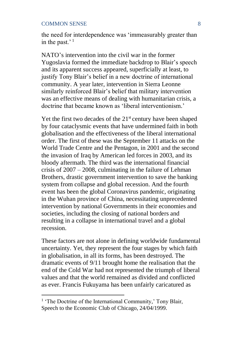the need for interdependence was 'immeasurably greater than in the past.' $1$ 

NATO's intervention into the civil war in the former Yugoslavia formed the immediate backdrop to Blair's speech and its apparent success appeared, superficially at least, to justify Tony Blair's belief in a new doctrine of international community. A year later, intervention in Sierra Leonne similarly reinforced Blair's belief that military intervention was an effective means of dealing with humanitarian crisis, a doctrine that became known as 'liberal interventionism.'

Yet the first two decades of the  $21<sup>st</sup>$  century have been shaped by four cataclysmic events that have undermined faith in both globalisation and the effectiveness of the liberal international order. The first of these was the September 11 attacks on the World Trade Centre and the Pentagon, in 2001 and the second the invasion of Iraq by American led forces in 2003, and its bloody aftermath. The third was the international financial crisis of 2007 – 2008, culminating in the failure of Lehman Brothers, drastic government intervention to save the banking system from collapse and global recession. And the fourth event has been the global Coronavirus pandemic, originating in the Wuhan province of China, necessitating unprecedented intervention by national Governments in their economies and societies, including the closing of national borders and resulting in a collapse in international travel and a global recession.

These factors are not alone in defining worldwide fundamental uncertainty. Yet, they represent the four stages by which faith in globalisation, in all its forms, has been destroyed. The dramatic events of 9/11 brought home the realisation that the end of the Cold War had not represented the triumph of liberal values and that the world remained as divided and conflicted as ever. Francis Fukuyama has been unfairly caricatured as

<sup>&</sup>lt;sup>1</sup> 'The Doctrine of the International Community,' Tony Blair, Speech to the Economic Club of Chicago, 24/04/1999.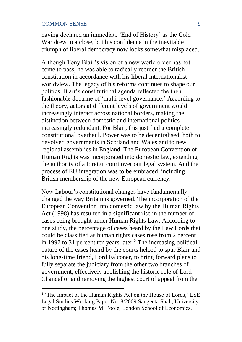having declared an immediate 'End of History' as the Cold War drew to a close, but his confidence in the inevitable triumph of liberal democracy now looks somewhat misplaced.

Although Tony Blair's vision of a new world order has not come to pass, he was able to radically reorder the British constitution in accordance with his liberal internationalist worldview. The legacy of his reforms continues to shape our politics. Blair's constitutional agenda reflected the then fashionable doctrine of 'multi-level governance.' According to the theory, actors at different levels of government would increasingly interact across national borders, making the distinction between domestic and international politics increasingly redundant. For Blair, this justified a complete constitutional overhaul. Power was to be decentralised, both to devolved governments in Scotland and Wales and to new regional assemblies in England. The European Convention of Human Rights was incorporated into domestic law, extending the authority of a foreign court over our legal system. And the process of EU integration was to be embraced, including British membership of the new European currency.

New Labour's constitutional changes have fundamentally changed the way Britain is governed. The incorporation of the European Convention into domestic law by the Human Rights Act (1998) has resulted in a significant rise in the number of cases being brought under Human Rights Law. According to one study, the percentage of cases heard by the Law Lords that could be classified as human rights cases rose from 2 percent in 1997 to 31 percent ten years later.<sup>2</sup> The increasing political nature of the cases heard by the courts helped to spur Blair and his long-time friend, Lord Falconer, to bring forward plans to fully separate the judiciary from the other two branches of government, effectively abolishing the historic role of Lord Chancellor and removing the highest court of appeal from the

<sup>&</sup>lt;sup>2</sup> 'The Impact of the Human Rights Act on the House of Lords,' LSE Legal Studies Working Paper No. 8/2009 Sangeeta Shah, University of Nottingham; Thomas M. Poole, London School of Economics.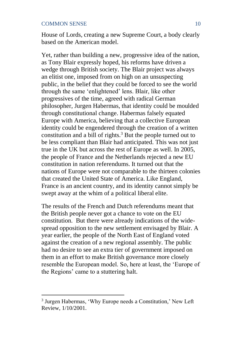House of Lords, creating a new Supreme Court, a body clearly based on the American model.

Yet, rather than building a new, progressive idea of the nation, as Tony Blair expressly hoped, his reforms have driven a wedge through British society. The Blair project was always an elitist one, imposed from on high on an unsuspecting public, in the belief that they could be forced to see the world through the same 'enlightened' lens. Blair, like other progressives of the time, agreed with radical German philosopher, Jurgen Habermas, that identity could be moulded through constitutional change. Habermas falsely equated Europe with America, believing that a collective European identity could be engendered through the creation of a written constitution and a bill of rights.<sup>3</sup> But the people turned out to be less compliant than Blair had anticipated. This was not just true in the UK but across the rest of Europe as well. In 2005, the people of France and the Netherlands rejected a new EU constitution in nation referendums. It turned out that the nations of Europe were not comparable to the thirteen colonies that created the United State of America. Like England, France is an ancient country, and its identity cannot simply be swept away at the whim of a political liberal elite.

The results of the French and Dutch referendums meant that the British people never got a chance to vote on the EU constitution. But there were already indications of the widespread opposition to the new settlement envisaged by Blair. A year earlier, the people of the North East of England voted against the creation of a new regional assembly. The public had no desire to see an extra tier of government imposed on them in an effort to make British governance more closely resemble the European model. So, here at least, the 'Europe of the Regions' came to a stuttering halt.

<sup>&</sup>lt;sup>3</sup> Jurgen Habermas, 'Why Europe needs a Constitution,' New Left Review, 1/10/2001.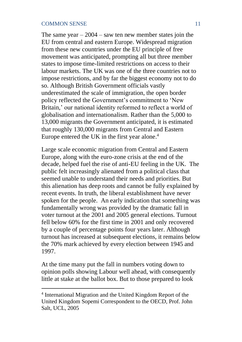The same year  $-2004 -$  saw ten new member states join the EU from central and eastern Europe. Widespread migration from these new countries under the EU principle of free movement was anticipated, prompting all but three member states to impose time-limited restrictions on access to their labour markets. The UK was one of the three countries not to impose restrictions, and by far the biggest economy not to do so. Although British Government officials vastly underestimated the scale of immigration, the open border policy reflected the Government's commitment to 'New Britain,' our national identity reformed to reflect a world of globalisation and internationalism. Rather than the 5,000 to 13,000 migrants the Government anticipated, it is estimated that roughly 130,000 migrants from Central and Eastern Europe entered the UK in the first year alone.<sup>4</sup>

Large scale economic migration from Central and Eastern Europe, along with the euro-zone crisis at the end of the decade, helped fuel the rise of anti-EU feeling in the UK. The public felt increasingly alienated from a political class that seemed unable to understand their needs and priorities. But this alienation has deep roots and cannot be fully explained by recent events. In truth, the liberal establishment have never spoken for the people. An early indication that something was fundamentally wrong was provided by the dramatic fall in voter turnout at the 2001 and 2005 general elections. Turnout fell below 60% for the first time in 2001 and only recovered by a couple of percentage points four years later. Although turnout has increased at subsequent elections, it remains below the 70% mark achieved by every election between 1945 and 1997.

At the time many put the fall in numbers voting down to opinion polls showing Labour well ahead, with consequently little at stake at the ballot box. But to those prepared to look

<sup>4</sup> International Migration and the United Kingdom Report of the United Kingdom Sopemi Correspondent to the OECD, Prof. John Salt, UCL, 2005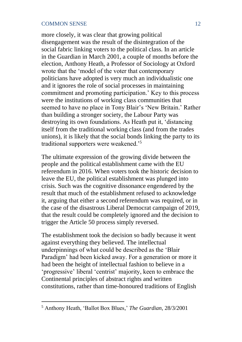more closely, it was clear that growing political disengagement was the result of the disintegration of the social fabric linking voters to the political class. In an article in the Guardian in March 2001, a couple of months before the election, Anthony Heath, a Professor of Sociology at Oxford wrote that the 'model of the voter that contemporary politicians have adopted is very much an individualistic one and it ignores the role of social processes in maintaining commitment and promoting participation.' Key to this process were the institutions of working class communities that seemed to have no place in Tony Blair's 'New Britain.' Rather than building a stronger society, the Labour Party was destroying its own foundations. As Heath put it, 'distancing itself from the traditional working class (and from the trades unions), it is likely that the social bonds linking the party to its traditional supporters were weakened.'<sup>5</sup>

The ultimate expression of the growing divide between the people and the political establishment came with the EU referendum in 2016. When voters took the historic decision to leave the EU, the political establishment was plunged into crisis. Such was the cognitive dissonance engendered by the result that much of the establishment refused to acknowledge it, arguing that either a second referendum was required, or in the case of the disastrous Liberal Democrat campaign of 2019, that the result could be completely ignored and the decision to trigger the Article 50 process simply reversed.

The establishment took the decision so badly because it went against everything they believed. The intellectual underpinnings of what could be described as the 'Blair Paradigm' had been kicked away. For a generation or more it had been the height of intellectual fashion to believe in a 'progressive' liberal 'centrist' majority, keen to embrace the Continental principles of abstract rights and written constitutions, rather than time-honoured traditions of English

<sup>5</sup> Anthony Heath, 'Ballot Box Blues,' *The Guardian*, 28/3/2001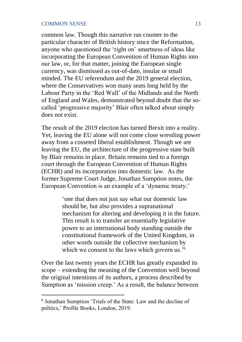common law. Though this narrative ran counter to the particular character of British history since the Reformation, anyone who questioned the 'right on' smartness of ideas like incorporating the European Convention of Human Rights into our law, or, for that matter, joining the European single currency, was dismissed as out-of-date, insular or small minded. The EU referendum and the 2019 general election, where the Conservatives won many seats long held by the Labour Party in the 'Red Wall' of the Midlands and the North of England and Wales, demonstrated beyond doubt that the socalled 'progressive majority' Blair often talked about simply does not exist.

The result of the 2019 election has turned Brexit into a reality. Yet, leaving the EU alone will not come close wrestling power away from a cosseted liberal establishment. Though we are leaving the EU, the architecture of the progressive state built by Blair remains in place. Britain remains tied to a foreign court through the European Convention of Human Rights (ECHR) and its incorporation into domestic law. As the former Supreme Court Judge, Jonathan Sumption notes, the European Convention is an example of a 'dynamic treaty:'

> 'one that does not just say what our domestic law should be, but also provides a supranational mechanism for altering and developing it in the future. This result is to transfer an essentially legislative power to an international body standing outside the constitutional framework of the United Kingdom, in other words outside the collective mechanism by which we consent to the laws which govern us.<sup>'6</sup>

Over the last twenty years the ECHR has greatly expanded its scope – extending the meaning of the Convention well beyond the original intentions of its authors, a process described by Sumption as 'mission creep.' As a result, the balance between

<sup>6</sup> Jonathan Sumption 'Trials of the State: Law and the decline of politics,' Profile Books, London, 2019.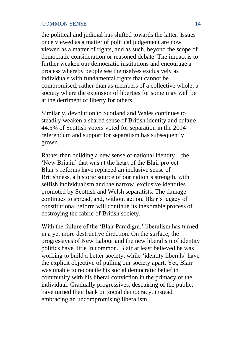the political and judicial has shifted towards the latter. Issues once viewed as a matter of political judgement are now viewed as a matter of rights, and as such, beyond the scope of democratic consideration or reasoned debate. The impact is to further weaken our democratic institutions and encourage a process whereby people see themselves exclusively as individuals with fundamental rights that cannot be compromised, rather than as members of a collective whole; a society where the extension of liberties for some may well be at the detriment of liberty for others.

Similarly, devolution to Scotland and Wales continues to steadily weaken a shared sense of British identity and culture. 44.5% of Scottish voters voted for separation in the 2014 referendum and support for separatism has subsequently grown.

Rather than building a new sense of national identity – the 'New Britain' that was at the heart of the Blair project – Blair's reforms have replaced an inclusive sense of Britishness, a historic source of our nation's strength, with selfish individualism and the narrow, exclusive identities promoted by Scottish and Welsh separatists. The damage continues to spread, and, without action, Blair's legacy of constitutional reform will continue its inexorable process of destroying the fabric of British society.

With the failure of the 'Blair Paradigm,' liberalism has turned in a yet more destructive direction. On the surface, the progressives of New Labour and the new liberalism of identity politics have little in common. Blair at least believed he was working to build a better society, while 'identity liberals' have the explicit objective of pulling our society apart. Yet, Blair was unable to reconcile his social democratic belief in community with his liberal conviction in the primacy of the individual. Gradually progressives, despairing of the public, have turned their back on social democracy, instead embracing an uncompromising liberalism.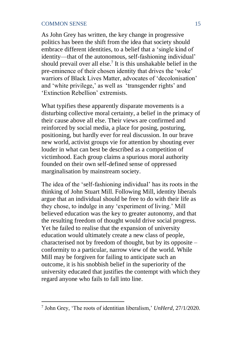As John Grey has written, the key change in progressive politics has been the shift from the idea that society should embrace different identities, to a belief that a 'single kind of identity—that of the autonomous, self-fashioning individual' should prevail over all else.<sup>7</sup> It is this unshakable belief in the pre-eminence of their chosen identity that drives the 'woke' warriors of Black Lives Matter, advocates of 'decolonisation' and 'white privilege,' as well as 'transgender rights' and 'Extinction Rebellion' extremists.

What typifies these apparently disparate movements is a disturbing collective moral certainty, a belief in the primacy of their cause above all else. Their views are confirmed and reinforced by social media, a place for posing, posturing, positioning, but hardly ever for real discussion. In our brave new world, activist groups vie for attention by shouting ever louder in what can best be described as a competition of victimhood. Each group claims a spurious moral authority founded on their own self-defined sense of oppressed marginalisation by mainstream society.

The idea of the 'self-fashioning individual' has its roots in the thinking of John Stuart Mill. Following Mill, identity liberals argue that an individual should be free to do with their life as they chose, to indulge in any 'experiment of living.' Mill believed education was the key to greater autonomy, and that the resulting freedom of thought would drive social progress. Yet he failed to realise that the expansion of university education would ultimately create a new class of people, characterised not by freedom of thought, but by its opposite – conformity to a particular, narrow view of the world. While Mill may be forgiven for failing to anticipate such an outcome, it is his snobbish belief in the superiority of the university educated that justifies the contempt with which they regard anyone who fails to fall into line.

<sup>7</sup> John Grey, 'The roots of identitian liberalism,' *UnHerd*, 27/1/2020.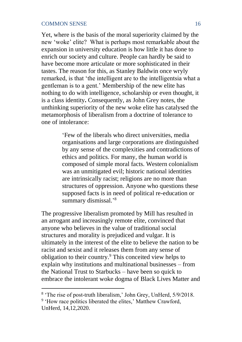Yet, where is the basis of the moral superiority claimed by the new 'woke' elite? What is perhaps most remarkable about the expansion in university education is how little it has done to enrich our society and culture. People can hardly be said to have become more articulate or more sophisticated in their tastes. The reason for this, as Stanley Baldwin once wryly remarked, is that 'the intelligent are to the intelligentsia what a gentleman is to a gent.' Membership of the new elite has nothing to do with intelligence, scholarship or even thought, it is a class identity**.** Consequently, as John Grey notes, the unthinking superiority of the new woke elite has catalysed the metamorphosis of liberalism from a doctrine of tolerance to one of intolerance:

> 'Few of the liberals who direct universities, media organisations and large corporations are distinguished by any sense of the complexities and contradictions of ethics and politics. For many, the human world is composed of simple moral facts. Western colonialism was an unmitigated evil; historic national identities are intrinsically racist; religions are no more than structures of oppression. Anyone who questions these supposed facts is in need of political re-education or summary dismissal.'<sup>8</sup>

The progressive liberalism promoted by Mill has resulted in an arrogant and increasingly remote elite, convinced that anyone who believes in the value of traditional social structures and morality is prejudiced and vulgar. It is ultimately in the interest of the elite to believe the nation to be racist and sexist and it releases them from any sense of obligation to their country.<sup>9</sup> This conceited view helps to explain why institutions and multinational businesses – from the National Trust to Starbucks – have been so quick to embrace the intolerant woke dogma of Black Lives Matter and

<sup>&</sup>lt;sup>8</sup> 'The rise of post-truth liberalism,' John Grey, UnHerd, 5/9/2018.

<sup>&</sup>lt;sup>9</sup> 'How race politics liberated the elites,' Matthew Crawford, UnHerd, 14,12,2020.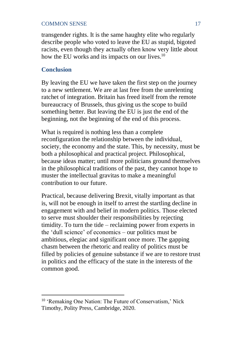transgender rights. It is the same haughty elite who regularly describe people who voted to leave the EU as stupid, bigoted racists, even though they actually often know very little about how the EU works and its impacts on our lives.<sup>10</sup>

### **Conclusion**

By leaving the EU we have taken the first step on the journey to a new settlement. We are at last free from the unrelenting ratchet of integration. Britain has freed itself from the remote bureaucracy of Brussels, thus giving us the scope to build something better. But leaving the EU is just the end of the beginning, not the beginning of the end of this process.

What is required is nothing less than a complete reconfiguration the relationship between the individual, society, the economy and the state. This, by necessity, must be both a philosophical and practical project. Philosophical, because ideas matter; until more politicians ground themselves in the philosophical traditions of the past, they cannot hope to muster the intellectual gravitas to make a meaningful contribution to our future.

Practical, because delivering Brexit, vitally important as that is, will not be enough in itself to arrest the startling decline in engagement with and belief in modern politics. Those elected to serve must shoulder their responsibilities by rejecting timidity. To turn the tide – reclaiming power from experts in the 'dull science' of economics – our politics must be ambitious, elegiac and significant once more. The gapping chasm between the rhetoric and reality of politics must be filled by policies of genuine substance if we are to restore trust in politics and the efficacy of the state in the interests of the common good.

<sup>10</sup> 'Remaking One Nation: The Future of Conservatism,' Nick Timothy, Polity Press, Cambridge, 2020.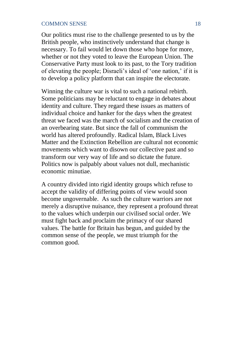Our politics must rise to the challenge presented to us by the British people, who instinctively understand that change is necessary. To fail would let down those who hope for more, whether or not they voted to leave the European Union. The Conservative Party must look to its past, to the Tory tradition of elevating the people; Disraeli's ideal of 'one nation,' if it is to develop a policy platform that can inspire the electorate.

Winning the culture war is vital to such a national rebirth. Some politicians may be reluctant to engage in debates about identity and culture. They regard these issues as matters of individual choice and hanker for the days when the greatest threat we faced was the march of socialism and the creation of an overbearing state. But since the fall of communism the world has altered profoundly. Radical Islam, Black Lives Matter and the Extinction Rebellion are cultural not economic movements which want to disown our collective past and so transform our very way of life and so dictate the future. Politics now is palpably about values not dull, mechanistic economic minutiae.

A country divided into rigid identity groups which refuse to accept the validity of differing points of view would soon become ungovernable. As such the culture warriors are not merely a disruptive nuisance, they represent a profound threat to the values which underpin our civilised social order. We must fight back and proclaim the primacy of our shared values. The battle for Britain has begun, and guided by the common sense of the people, we must triumph for the common good.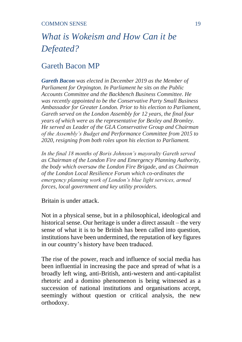# *What is Wokeism and How Can it be Defeated?*

# Gareth Bacon MP

*Gareth Bacon was elected in December 2019 as the Member of Parliament for Orpington. In Parliament he sits on the Public Accounts Committee and the Backbench Business Committee. He was recently appointed to be the Conservative Party Small Business Ambassador for Greater London. Prior to his election to Parliament, Gareth served on the London Assembly for 12 years, the final four years of which were as the representative for Bexley and Bromley. He served as Leader of the GLA Conservative Group and Chairman of the Assembly's Budget and Performance Committee from 2015 to 2020, resigning from both roles upon his election to Parliament.* 

*In the final 18 months of Boris Johnson's mayoralty Gareth served as Chairman of the London Fire and Emergency Planning Authority, the body which oversaw the London Fire Brigade, and as Chairman of the London Local Resilience Forum which co-ordinates the emergency planning work of London's blue light services, armed forces, local government and key utility providers.*

Britain is under attack.

Not in a physical sense, but in a philosophical, ideological and historical sense. Our heritage is under a direct assault – the very sense of what it is to be British has been called into question, institutions have been undermined, the reputation of key figures in our country's history have been traduced.

The rise of the power, reach and influence of social media has been influential in increasing the pace and spread of what is a broadly left wing, anti-British, anti-western and anti-capitalist rhetoric and a domino phenomenon is being witnessed as a succession of national institutions and organisations accept, seemingly without question or critical analysis, the new orthodoxy.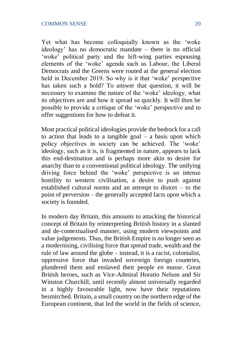Yet what has become colloquially known as the 'woke ideology' has no democratic mandate – there is no official 'woke' political party and the left-wing parties espousing elements of the 'woke' agenda such as Labour, the Liberal Democrats and the Greens were routed at the general election held in December 2019. So why is it that 'woke' perspective has taken such a hold? To answer that question, it will be necessary to examine the nature of the 'woke' ideology, what its objectives are and how it spread so quickly. It will then be possible to provide a critique of the 'woke' perspective and to offer suggestions for how to defeat it.

Most practical political ideologies provide the bedrock for a call to action that leads to a tangible goal  $-$  a basis upon which policy objectives in society can be achieved. The 'woke' ideology, such as it is, is fragmented in nature, appears to lack this end-destination and is perhaps more akin to desire for anarchy than to a conventional political ideology. The unifying driving force behind the 'woke' perspective is an intense hostility to western civilisation, a desire to push against established cultural norms and an attempt to distort – to the point of perversion – the generally accepted facts upon which a society is founded.

In modern day Britain, this amounts to attacking the historical concept of Britain by reinterpreting British history in a slanted and de-contextualised manner, using modern viewpoints and value judgements. Thus, the British Empire is no longer seen as a modernising, civilising force that spread trade, wealth and the rule of law around the globe – instead, it is a racist, colonialist, oppressive force that invaded sovereign foreign countries, plundered them and enslaved their people *en masse*. Great British heroes, such as Vice-Admiral Horatio Nelson and Sir Winston Churchill, until recently almost universally regarded in a highly favourable light, now have their reputations besmirched. Britain, a small country on the northern edge of the European continent, that led the world in the fields of science,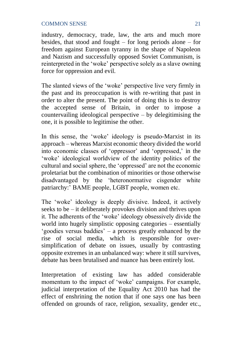industry, democracy, trade, law, the arts and much more besides, that stood and fought – for long periods alone – for freedom against European tyranny in the shape of Napoleon and Nazism and successfully opposed Soviet Communism, is reinterpreted in the 'woke' perspective solely as a slave owning force for oppression and evil.

The slanted views of the 'woke' perspective live very firmly in the past and its preoccupation is with re-writing that past in order to alter the present. The point of doing this is to destroy the accepted sense of Britain, in order to impose a countervailing ideological perspective – by delegitimising the one, it is possible to legitimise the other.

In this sense, the 'woke' ideology is pseudo-Marxist in its approach – whereas Marxist economic theory divided the world into economic classes of 'oppressor' and 'oppressed,' in the 'woke' ideological worldview of the identity politics of the cultural and social sphere, the 'oppressed' are not the economic proletariat but the combination of minorities or those otherwise disadvantaged by the 'heteronormative cisgender white patriarchy:' BAME people, LGBT people, women etc.

The 'woke' ideology is deeply divisive. Indeed, it actively seeks to be – it deliberately provokes division and thrives upon it. The adherents of the 'woke' ideology obsessively divide the world into hugely simplistic opposing categories – essentially 'goodies versus baddies' – a process greatly enhanced by the rise of social media, which is responsible for oversimplification of debate on issues, usually by contrasting opposite extremes in an unbalanced way: where it still survives, debate has been brutalised and nuance has been entirely lost.

Interpretation of existing law has added considerable momentum to the impact of 'woke' campaigns. For example, judicial interpretation of the Equality Act 2010 has had the effect of enshrining the notion that if one says one has been offended on grounds of race, religion, sexuality, gender etc.,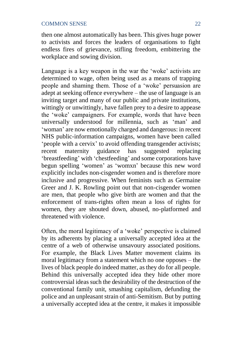then one almost automatically has been. This gives huge power to activists and forces the leaders of organisations to fight endless fires of grievance, stifling freedom, embittering the workplace and sowing division.

Language is a key weapon in the war the 'woke' activists are determined to wage, often being used as a means of trapping people and shaming them. Those of a 'woke' persuasion are adept at seeking offence everywhere – the use of language is an inviting target and many of our public and private institutions, wittingly or unwittingly, have fallen prey to a desire to appease the 'woke' campaigners. For example, words that have been universally understood for millennia, such as 'man' and 'woman' are now emotionally charged and dangerous: in recent NHS public-information campaigns, women have been called 'people with a cervix' to avoid offending transgender activists; recent maternity guidance has suggested replacing 'breastfeeding' with 'chestfeeding' and some corporations have begun spelling 'women' as 'womxn' because this new word explicitly includes non-cisgender women and is therefore more inclusive and progressive. When feminists such as Germaine Greer and J. K. Rowling point out that non-cisgender women are men, that people who give birth are women and that the enforcement of trans-rights often mean a loss of rights for women, they are shouted down, abused, no-platformed and threatened with violence.

Often, the moral legitimacy of a 'woke' perspective is claimed by its adherents by placing a universally accepted idea at the centre of a web of otherwise unsavoury associated positions. For example, the Black Lives Matter movement claims its moral legitimacy from a statement which no one opposes – the lives of black people do indeed matter, as they do for all people. Behind this universally accepted idea they hide other more controversial ideas such the desirability of the destruction of the conventional family unit, smashing capitalism, defunding the police and an unpleasant strain of anti-Semitism. But by putting a universally accepted idea at the centre, it makes it impossible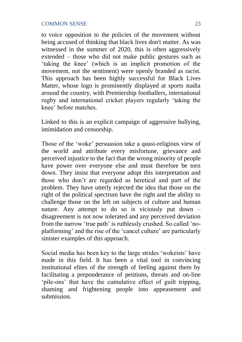to voice opposition to the policies of the movement without being accused of thinking that black lives don't matter. As was witnessed in the summer of 2020, this is often aggressively extended – those who did not make public gestures such as 'taking the knee' (which is an implicit promotion of the movement, not the sentiment) were openly branded as racist. This approach has been highly successful for Black Lives Matter, whose logo is prominently displayed at sports stadia around the country, with Premiership footballers, international rugby and international cricket players regularly 'taking the knee' before matches.

Linked to this is an explicit campaign of aggressive bullying, intimidation and censorship.

Those of the 'woke' persuasion take a quasi-religious view of the world and attribute every misfortune, grievance and perceived injustice to the fact that the wrong minority of people have power over everyone else and must therefore be torn down. They insist that everyone adopt this interpretation and those who don't are regarded as heretical and part of the problem. They have utterly rejected the idea that those on the right of the political spectrum have the right and the ability to challenge those on the left on subjects of culture and human nature. Any attempt to do so is viciously put down – disagreement is not now tolerated and any perceived deviation from the narrow 'true path' is ruthlessly crushed. So called 'noplatforming' and the rise of the 'cancel culture' are particularly sinister examples of this approach.

Social media has been key to the large strides 'wokeists' have made in this field. It has been a vital tool in convincing institutional elites of the strength of feeling against them by facilitating a preponderance of petitions, threats and on-line 'pile-ons' that have the cumulative effect of guilt tripping, shaming and frightening people into appeasement and submission.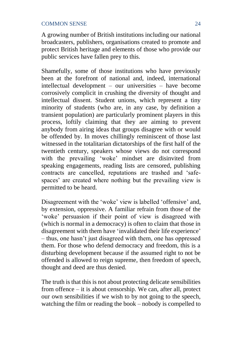A growing number of British institutions including our national broadcasters, publishers, organisations created to promote and protect British heritage and elements of those who provide our public services have fallen prey to this.

Shamefully, some of those institutions who have previously been at the forefront of national and, indeed, international intellectual development – our universities – have become corrosively complicit in crushing the diversity of thought and intellectual dissent. Student unions, which represent a tiny minority of students (who are, in any case, by definition a transient population) are particularly prominent players in this process, loftily claiming that they are aiming to prevent anybody from airing ideas that groups disagree with or would be offended by. In moves chillingly reminiscent of those last witnessed in the totalitarian dictatorships of the first half of the twentieth century, speakers whose views do not correspond with the prevailing 'woke' mindset are disinvited from speaking engagements, reading lists are censored, publishing contracts are cancelled, reputations are trashed and 'safespaces' are created where nothing but the prevailing view is permitted to be heard.

Disagreement with the 'woke' view is labelled 'offensive' and, by extension, oppressive. A familiar refrain from those of the 'woke' persuasion if their point of view is disagreed with (which is normal in a democracy) is often to claim that those in disagreement with them have 'invalidated their life experience' – thus, one hasn't just disagreed with them, one has oppressed them. For those who defend democracy and freedom, this is a disturbing development because if the assumed right to not be offended is allowed to reign supreme, then freedom of speech, thought and deed are thus denied.

The truth is that this is not about protecting delicate sensibilities from offence – it is about censorship. We can, after all, protect our own sensibilities if we wish to by not going to the speech, watching the film or reading the book – nobody is compelled to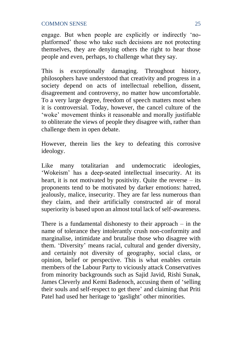engage. But when people are explicitly or indirectly 'noplatformed' those who take such decisions are not protecting themselves, they are denying others the right to hear those people and even, perhaps, to challenge what they say.

This is exceptionally damaging. Throughout history, philosophers have understood that creativity and progress in a society depend on acts of intellectual rebellion, dissent, disagreement and controversy, no matter how uncomfortable. To a very large degree, freedom of speech matters most when it is controversial. Today, however, the cancel culture of the 'woke' movement thinks it reasonable and morally justifiable to obliterate the views of people they disagree with, rather than challenge them in open debate.

However, therein lies the key to defeating this corrosive ideology.

Like many totalitarian and undemocratic ideologies, 'Wokeism' has a deep-seated intellectual insecurity. At its heart, it is not motivated by positivity. Quite the reverse – its proponents tend to be motivated by darker emotions: hatred, jealously, malice, insecurity. They are far less numerous than they claim, and their artificially constructed air of moral superiority is based upon an almost total lack of self-awareness.

There is a fundamental dishonesty to their approach  $-$  in the name of tolerance they intolerantly crush non-conformity and marginalise, intimidate and brutalise those who disagree with them. 'Diversity' means racial, cultural and gender diversity, and certainly not diversity of geography, social class, or opinion, belief or perspective. This is what enables certain members of the Labour Party to viciously attack Conservatives from minority backgrounds such as Sajid Javid, Rishi Sunak, James Cleverly and Kemi Badenoch, accusing them of 'selling their souls and self-respect to get there' and claiming that Priti Patel had used her heritage to 'gaslight' other minorities.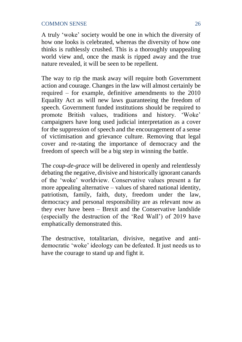A truly 'woke' society would be one in which the diversity of how one looks is celebrated, whereas the diversity of how one thinks is ruthlessly crushed. This is a thoroughly unappealing world view and, once the mask is ripped away and the true nature revealed, it will be seen to be repellent.

The way to rip the mask away will require both Government action and courage. Changes in the law will almost certainly be required – for example, definitive amendments to the 2010 Equality Act as will new laws guaranteeing the freedom of speech. Government funded institutions should be required to promote British values, traditions and history. 'Woke' campaigners have long used judicial interpretation as a cover for the suppression of speech and the encouragement of a sense of victimisation and grievance culture. Removing that legal cover and re-stating the importance of democracy and the freedom of speech will be a big step in winning the battle.

The *coup-de-grace* will be delivered in openly and relentlessly debating the negative, divisive and historically ignorant canards of the 'woke' worldview. Conservative values present a far more appealing alternative – values of shared national identity, patriotism, family, faith, duty, freedom under the law, democracy and personal responsibility are as relevant now as they ever have been – Brexit and the Conservative landslide (especially the destruction of the 'Red Wall') of 2019 have emphatically demonstrated this.

The destructive, totalitarian, divisive, negative and antidemocratic 'woke' ideology can be defeated. It just needs us to have the courage to stand up and fight it.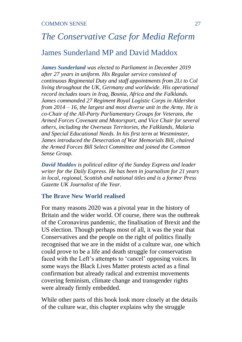# *The Conservative Case for Media Reform* James Sunderland MP and David Maddox

*James Sunderland was elected to Parliament in December 2019 after 27 years in uniform. His Regular service consisted of continuous Regimental Duty and staff appointments from 2Lt to Col living throughout the UK, Germany and worldwide. His operational record includes tours in Iraq, Bosnia, Africa and the Falklands. James commanded 27 Regiment Royal Logistic Corps in Aldershot from 2014 – 16, the largest and most diverse unit in the Army. He is co-Chair of the All-Party Parliamentary Groups for Veterans, the Armed Forces Covenant and Motorsport, and Vice Chair for several others, including the Overseas Territories, the Falklands, Malaria and Special Educational Needs. In his first term at Westminster, James introduced the Desecration of War Memorials Bill, chaired the Armed Forces Bill Select Committee and joined the Common Sense Group.* 

*David Maddox is political editor of the Sunday Express and leader writer for the Daily Express. He has been in journalism for 21 years in local, regional, Scottish and national titles and is a former Press Gazette UK Journalist of the Year.*

#### **The Brave New World realised**

For many reasons 2020 was a pivotal year in the history of Britain and the wider world. Of course, there was the outbreak of the Coronavirus pandemic, the finalisation of Brexit and the US election. Though perhaps most of all, it was the year that Conservatives and the people on the right of politics finally recognised that we are in the midst of a culture war, one which could prove to be a life and death struggle for conservatism faced with the Left's attempts to 'cancel' opposing voices. In some ways the Black Lives Matter protests acted as a final confirmation but already radical and extremist movements covering feminism, climate change and transgender rights were already firmly embedded.

While other parts of this book look more closely at the details of the culture war, this chapter explains why the struggle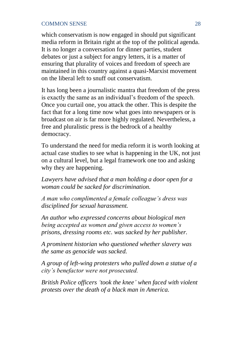which conservatism is now engaged in should put significant media reform in Britain right at the top of the political agenda. It is no longer a conversation for dinner parties, student debates or just a subject for angry letters, it is a matter of ensuring that plurality of voices and freedom of speech are maintained in this country against a quasi-Marxist movement on the liberal left to snuff out conservatism.

It has long been a journalistic mantra that freedom of the press is exactly the same as an individual's freedom of the speech. Once you curtail one, you attack the other. This is despite the fact that for a long time now what goes into newspapers or is broadcast on air is far more highly regulated. Nevertheless, a free and pluralistic press is the bedrock of a healthy democracy.

To understand the need for media reform it is worth looking at actual case studies to see what is happening in the UK, not just on a cultural level, but a legal framework one too and asking why they are happening.

*Lawyers have advised that a man holding a door open for a woman could be sacked for discrimination.*

*A man who complimented a female colleague's dress was disciplined for sexual harassment.*

*An author who expressed concerns about biological men being accepted as women and given access to women's prisons, dressing rooms etc. was sacked by her publisher.*

*A prominent historian who questioned whether slavery was the same as genocide was sacked.*

*A group of left-wing protesters who pulled down a statue of a city's benefactor were not prosecuted.*

*British Police officers 'took the knee' when faced with violent protests over the death of a black man in America.*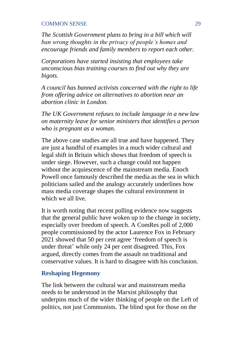*The Scottish Government plans to bring in a bill which will ban wrong thoughts in the privacy of people's homes and encourage friends and family members to report each other.*

*Corporations have started insisting that employees take unconscious bias training courses to find out why they are bigots.*

*A council has banned activists concerned with the right to life from offering advice on alternatives to abortion near an abortion clinic in London.*

*The UK Government refuses to include language in a new law on maternity leave for senior ministers that identifies a person who is pregnant as a woman.*

The above case studies are all true and have happened. They are just a handful of examples in a much wider cultural and legal shift in Britain which shows that freedom of speech is under siege. However, such a change could not happen without the acquiescence of the mainstream media. Enoch Powell once famously described the media as the sea in which politicians sailed and the analogy accurately underlines how mass media coverage shapes the cultural environment in which we all live.

It is worth noting that recent polling evidence now suggests that the general public have woken up to the change in society, especially over freedom of speech. A ComRes poll of 2,000 people commissioned by the actor Laurence Fox in February 2021 showed that 50 per cent agree 'freedom of speech is under threat' while only 24 per cent disagreed. This, Fox argued, directly comes from the assault on traditional and conservative values. It is hard to disagree with his conclusion.

### **Reshaping Hegemony**

The link between the cultural war and mainstream media needs to be understood in the Marxist philosophy that underpins much of the wider thinking of people on the Left of politics, not just Communists. The blind spot for those on the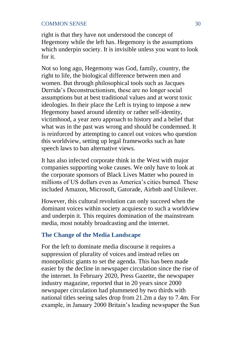right is that they have not understood the concept of Hegemony while the left has. Hegemony is the assumptions which underpin society. It is invisible unless you want to look for it.

Not so long ago, Hegemony was God, family, country, the right to life, the biological difference between men and women. But through philosophical tools such as Jacques Derrida's Deconstructionism, these are no longer social assumptions but at best traditional values and at worst toxic ideologies. In their place the Left is trying to impose a new Hegemony based around identity or rather self-identity, victimhood, a year zero approach to history and a belief that what was in the past was wrong and should be condemned. It is reinforced by attempting to cancel out voices who question this worldview, setting up legal frameworks such as hate speech laws to ban alternative views.

It has also infected corporate think in the West with major companies supporting woke causes. We only have to look at the corporate sponsors of Black Lives Matter who poured in millions of US dollars even as America's cities burned. These included Amazon, Microsoft, Gatorade, Airbnb and Unilever.

However, this cultural revolution can only succeed when the dominant voices within society acquiesce to such a worldview and underpin it. This requires domination of the mainstream media, most notably broadcasting and the internet.

#### **The Change of the Media Landscape**

For the left to dominate media discourse it requires a suppression of plurality of voices and instead relies on monopolistic giants to set the agenda. This has been made easier by the decline in newspaper circulation since the rise of the internet. In February 2020, Press Gazette, the newspaper industry magazine, reported that in 20 years since 2000 newspaper circulation had plummeted by two thirds with national titles seeing sales drop from 21.2m a day to 7.4m. For example, in January 2000 Britain's leading newspaper the Sun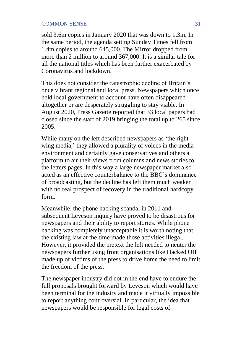sold 3.6m copies in January 2020 that was down to 1.3m. In the same period, the agenda setting Sunday Times fell from 1.4m copies to around 645,000. The Mirror dropped from more than 2 million to around 367,000. It is a similar tale for all the national titles which has been further exacerbated by Coronavirus and lockdown.

This does not consider the catastrophic decline of Britain's once vibrant regional and local press. Newspapers which once held local government to account have often disappeared altogether or are desperately struggling to stay viable. In August 2020, Press Gazette reported that 33 local papers had closed since the start of 2019 bringing the total up to 265 since 2005.

While many on the left described newspapers as 'the rightwing media,' they allowed a plurality of voices in the media environment and certainly gave conservatives and others a platform to air their views from columns and news stories to the letters pages. In this way a large newspaper market also acted as an effective counterbalance to the BBC's dominance of broadcasting, but the decline has left them much weaker with no real prospect of recovery in the traditional hardcopy form.

Meanwhile, the phone hacking scandal in 2011 and subsequent Leveson inquiry have proved to be disastrous for newspapers and their ability to report stories. While phone hacking was completely unacceptable it is worth noting that the existing law at the time made those activities illegal. However, it provided the pretext the left needed to neuter the newspapers further using front organisations like Hacked Off made up of victims of the press to drive home the need to limit the freedom of the press.

The newspaper industry did not in the end have to endure the full proposals brought forward by Leveson which would have been terminal for the industry and made it virtually impossible to report anything controversial. In particular, the idea that newspapers would be responsible for legal costs of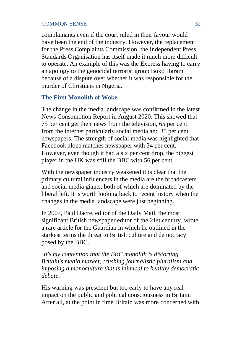complainants even if the court ruled in their favour would have been the end of the industry. However, the replacement for the Press Complaints Commission, the Independent Press Standards Organisation has itself made it much more difficult to operate. An example of this was the Express having to carry an apology to the genocidal terrorist group Boko Haram because of a dispute over whether it was responsible for the murder of Christians in Nigeria.

#### **The First Monolith of Woke**

The change in the media landscape was confirmed in the latest News Consumption Report in August 2020. This showed that 75 per cent get their news from the television, 65 per cent from the internet particularly social media and 35 per cent newspapers. The strength of social media was highlighted that Facebook alone matches newspaper with 34 per cent. However, even though it had a six per cent drop, the biggest player in the UK was still the BBC with 56 per cent.

With the newspaper industry weakened it is clear that the primary cultural influencers in the media are the broadcasters and social media giants, both of which are dominated by the liberal left. It is worth looking back to recent history when the changes in the media landscape were just beginning.

In 2007, Paul Dacre, editor of the Daily Mail, the most significant British newspaper editor of the 21st century, wrote a rare article for the Guardian in which he outlined in the starkest terms the threat to British culture and democracy posed by the BBC.

'*It's my contention that the BBC monolith is distorting Britain's media market, crushing journalistic pluralism and imposing a monoculture that is inimical to healthy democratic debate*.'

His warning was prescient but too early to have any real impact on the public and political consciousness in Britain. After all, at the point in time Britain was more concerned with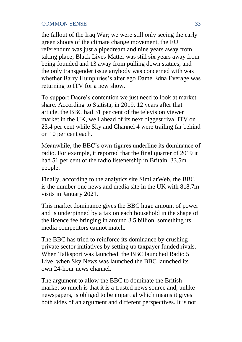the fallout of the Iraq War; we were still only seeing the early green shoots of the climate change movement, the EU referendum was just a pipedream and nine years away from taking place; Black Lives Matter was still six years away from being founded and 13 away from pulling down statues; and the only transgender issue anybody was concerned with was whether Barry Humphries's alter ego Dame Edna Everage was returning to ITV for a new show.

To support Dacre's contention we just need to look at market share. According to Statista, in 2019, 12 years after that article, the BBC had 31 per cent of the television viewer market in the UK, well ahead of its next biggest rival ITV on 23.4 per cent while Sky and Channel 4 were trailing far behind on 10 per cent each.

Meanwhile, the BBC's own figures underline its dominance of radio. For example, it reported that the final quarter of 2019 it had 51 per cent of the radio listenership in Britain, 33.5m people.

Finally, according to the analytics site SimilarWeb, the BBC is the number one news and media site in the UK with 818.7m visits in January 2021.

This market dominance gives the BBC huge amount of power and is underpinned by a tax on each household in the shape of the licence fee bringing in around 3.5 billion, something its media competitors cannot match.

The BBC has tried to reinforce its dominance by crushing private sector initiatives by setting up taxpayer funded rivals. When Talksport was launched, the BBC launched Radio 5 Live, when Sky News was launched the BBC launched its own 24-hour news channel.

The argument to allow the BBC to dominate the British market so much is that it is a trusted news source and, unlike newspapers, is obliged to be impartial which means it gives both sides of an argument and different perspectives. It is not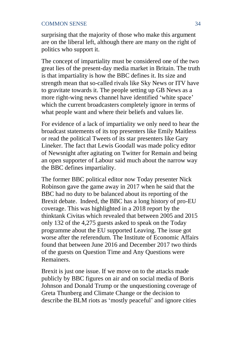surprising that the majority of those who make this argument are on the liberal left, although there are many on the right of politics who support it.

The concept of impartiality must be considered one of the two great lies of the present-day media market in Britain. The truth is that impartiality is how the BBC defines it. Its size and strength mean that so-called rivals like Sky News or ITV have to gravitate towards it. The people setting up GB News as a more right-wing news channel have identified 'white space' which the current broadcasters completely ignore in terms of what people want and where their beliefs and values lie.

For evidence of a lack of impartiality we only need to hear the broadcast statements of its top presenters like Emily Maitless or read the political Tweets of its star presenters like Gary Lineker. The fact that Lewis Goodall was made policy editor of Newsnight after agitating on Twitter for Remain and being an open supporter of Labour said much about the narrow way the BBC defines impartiality.

The former BBC political editor now Today presenter Nick Robinson gave the game away in 2017 when he said that the BBC had no duty to be balanced about its reporting of the Brexit debate. Indeed, the BBC has a long history of pro-EU coverage. This was highlighted in a 2018 report by the thinktank Civitas which revealed that between 2005 and 2015 only 132 of the 4,275 guests asked to speak on the Today programme about the EU supported Leaving. The issue got worse after the referendum. The Institute of Economic Affairs found that between June 2016 and December 2017 two thirds of the guests on Question Time and Any Questions were Remainers.

Brexit is just one issue. If we move on to the attacks made publicly by BBC figures on air and on social media of Boris Johnson and Donald Trump or the unquestioning coverage of Greta Thunberg and Climate Change or the decision to describe the BLM riots as 'mostly peaceful' and ignore cities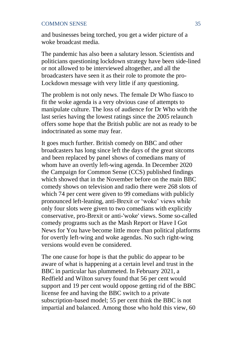and businesses being torched, you get a wider picture of a woke broadcast media.

The pandemic has also been a salutary lesson. Scientists and politicians questioning lockdown strategy have been side-lined or not allowed to be interviewed altogether, and all the broadcasters have seen it as their role to promote the pro-Lockdown message with very little if any questioning.

The problem is not only news. The female Dr Who fiasco to fit the woke agenda is a very obvious case of attempts to manipulate culture. The loss of audience for Dr Who with the last series having the lowest ratings since the 2005 relaunch offers some hope that the British public are not as ready to be indoctrinated as some may fear.

It goes much further. British comedy on BBC and other broadcasters has long since left the days of the great sitcoms and been replaced by panel shows of comedians many of whom have an overtly left-wing agenda. In December 2020 the Campaign for Common Sense (CCS) published findings which showed that in the November before on the main BBC comedy shows on television and radio there were 268 slots of which 74 per cent were given to 99 comedians with publicly pronounced left-leaning, anti-Brexit or 'woke' views while only four slots were given to two comedians with explicitly conservative, pro-Brexit or anti-'woke' views. Some so-called comedy programs such as the Mash Report or Have I Got News for You have become little more than political platforms for overtly left-wing and woke agendas. No such right-wing versions would even be considered.

The one cause for hope is that the public do appear to be aware of what is happening at a certain level and trust in the BBC in particular has plummeted. In February 2021, a Redfield and Wilton survey found that 56 per cent would support and 19 per cent would oppose getting rid of the BBC license fee and having the BBC switch to a private subscription-based model; 55 per cent think the BBC is not impartial and balanced. Among those who hold this view, 60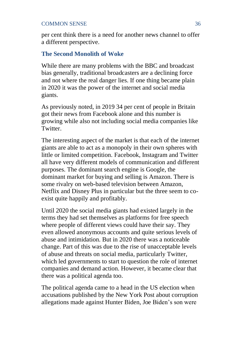per cent think there is a need for another news channel to offer a different perspective.

# **The Second Monolith of Woke**

While there are many problems with the BBC and broadcast bias generally, traditional broadcasters are a declining force and not where the real danger lies. If one thing became plain in 2020 it was the power of the internet and social media giants.

As previously noted, in 2019 34 per cent of people in Britain got their news from Facebook alone and this number is growing while also not including social media companies like **Twitter** 

The interesting aspect of the market is that each of the internet giants are able to act as a monopoly in their own spheres with little or limited competition. Facebook, Instagram and Twitter all have very different models of communication and different purposes. The dominant search engine is Google, the dominant market for buying and selling is Amazon. There is some rivalry on web-based television between Amazon, Netflix and Disney Plus in particular but the three seem to coexist quite happily and profitably.

Until 2020 the social media giants had existed largely in the terms they had set themselves as platforms for free speech where people of different views could have their say. They even allowed anonymous accounts and quite serious levels of abuse and intimidation. But in 2020 there was a noticeable change. Part of this was due to the rise of unacceptable levels of abuse and threats on social media, particularly Twitter, which led governments to start to question the role of internet companies and demand action. However, it became clear that there was a political agenda too.

The political agenda came to a head in the US election when accusations published by the New York Post about corruption allegations made against Hunter Biden, Joe Biden's son were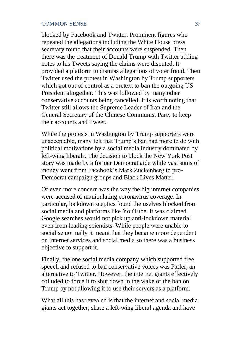blocked by Facebook and Twitter. Prominent figures who repeated the allegations including the White House press secretary found that their accounts were suspended. Then there was the treatment of Donald Trump with Twitter adding notes to his Tweets saying the claims were disputed. It provided a platform to dismiss allegations of voter fraud. Then Twitter used the protest in Washington by Trump supporters which got out of control as a pretext to ban the outgoing US President altogether. This was followed by many other conservative accounts being cancelled. It is worth noting that Twitter still allows the Supreme Leader of Iran and the General Secretary of the Chinese Communist Party to keep their accounts and Tweet.

While the protests in Washington by Trump supporters were unacceptable, many felt that Trump's ban had more to do with political motivations by a social media industry dominated by left-wing liberals. The decision to block the New York Post story was made by a former Democrat aide while vast sums of money went from Facebook's Mark Zuckenberg to pro-Democrat campaign groups and Black Lives Matter.

Of even more concern was the way the big internet companies were accused of manipulating coronavirus coverage. In particular, lockdown sceptics found themselves blocked from social media and platforms like YouTube. It was claimed Google searches would not pick up anti-lockdown material even from leading scientists. While people were unable to socialise normally it meant that they became more dependent on internet services and social media so there was a business objective to support it.

Finally, the one social media company which supported free speech and refused to ban conservative voices was Parler, an alternative to Twitter. However, the internet giants effectively colluded to force it to shut down in the wake of the ban on Trump by not allowing it to use their servers as a platform.

What all this has revealed is that the internet and social media giants act together, share a left-wing liberal agenda and have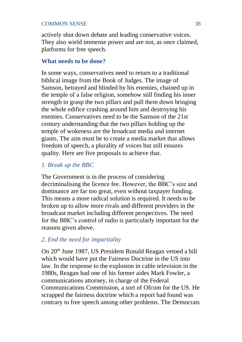actively shut down debate and leading conservative voices. They also wield immense power and are not, as once claimed, platforms for free speech.

# **What needs to be done?**

In some ways, conservatives need to return to a traditional biblical image from the Book of Judges. The image of Samson, betrayed and blinded by his enemies, chained up in the temple of a false religion, somehow still finding his inner strength to grasp the two pillars and pull them down bringing the whole edifice crashing around him and destroying his enemies. Conservatives need to be the Samson of the 21st century understanding that the two pillars holding up the temple of wokeness are the broadcast media and internet giants. The aim must be to create a media market that allows freedom of speech, a plurality of voices but still ensures quality. Here are five proposals to achieve that.

# *1. Break up the BBC*

The Government is in the process of considering decriminalising the licence fee. However, the BBC's size and dominance are far too great, even without taxpayer funding. This means a more radical solution is required. It needs to be broken up to allow more rivals and different providers in the broadcast market including different perspectives. The need for the BBC's control of radio is particularly important for the reasons given above.

# *2. End the need for impartiality*

On 20th June 1987, US President Ronald Reagan vetoed a bill which would have put the Fairness Doctrine in the US into law. In the response to the explosion in cable television in the 1980s, Reagan had one of his former aides Mark Fowler, a communications attorney, in charge of the Federal Communications Commission, a sort of Ofcom for the US. He scrapped the fairness doctrine which a report had found was contrary to free speech among other problems. The Democrats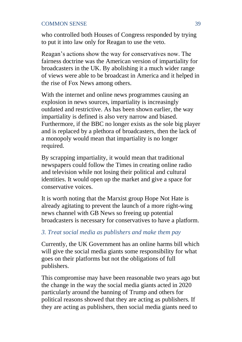who controlled both Houses of Congress responded by trying to put it into law only for Reagan to use the veto.

Reagan's actions show the way for conservatives now. The fairness doctrine was the American version of impartiality for broadcasters in the UK. By abolishing it a much wider range of views were able to be broadcast in America and it helped in the rise of Fox News among others.

With the internet and online news programmes causing an explosion in news sources, impartiality is increasingly outdated and restrictive. As has been shown earlier, the way impartiality is defined is also very narrow and biased. Furthermore, if the BBC no longer exists as the sole big player and is replaced by a plethora of broadcasters, then the lack of a monopoly would mean that impartiality is no longer required.

By scrapping impartiality, it would mean that traditional newspapers could follow the Times in creating online radio and television while not losing their political and cultural identities. It would open up the market and give a space for conservative voices.

It is worth noting that the Marxist group Hope Not Hate is already agitating to prevent the launch of a more right-wing news channel with GB News so freeing up potential broadcasters is necessary for conservatives to have a platform.

# *3. Treat social media as publishers and make them pay*

Currently, the UK Government has an online harms bill which will give the social media giants some responsibility for what goes on their platforms but not the obligations of full publishers.

This compromise may have been reasonable two years ago but the change in the way the social media giants acted in 2020 particularly around the banning of Trump and others for political reasons showed that they are acting as publishers. If they are acting as publishers, then social media giants need to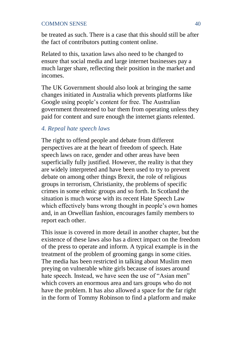be treated as such. There is a case that this should still be after the fact of contributors putting content online.

Related to this, taxation laws also need to be changed to ensure that social media and large internet businesses pay a much larger share, reflecting their position in the market and incomes.

The UK Government should also look at bringing the same changes initiated in Australia which prevents platforms like Google using people's content for free. The Australian government threatened to bar them from operating unless they paid for content and sure enough the internet giants relented.

# *4. Repeal hate speech laws*

The right to offend people and debate from different perspectives are at the heart of freedom of speech. Hate speech laws on race, gender and other areas have been superficially fully justified. However, the reality is that they are widely interpreted and have been used to try to prevent debate on among other things Brexit, the role of religious groups in terrorism, Christianity, the problems of specific crimes in some ethnic groups and so forth. In Scotland the situation is much worse with its recent Hate Speech Law which effectively bans wrong thought in people's own homes and, in an Orwellian fashion, encourages family members to report each other.

This issue is covered in more detail in another chapter, but the existence of these laws also has a direct impact on the freedom of the press to operate and inform. A typical example is in the treatment of the problem of grooming gangs in some cities. The media has been restricted in talking about Muslim men preying on vulnerable white girls because of issues around hate speech. Instead, we have seen the use of "Asian men" which covers an enormous area and tars groups who do not have the problem. It has also allowed a space for the far right in the form of Tommy Robinson to find a platform and make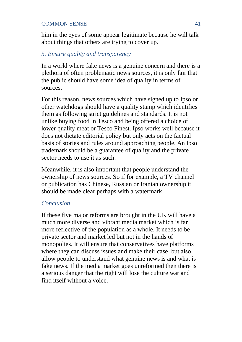him in the eyes of some appear legitimate because he will talk about things that others are trying to cover up.

# *5. Ensure quality and transparency*

In a world where fake news is a genuine concern and there is a plethora of often problematic news sources, it is only fair that the public should have some idea of quality in terms of sources.

For this reason, news sources which have signed up to Ipso or other watchdogs should have a quality stamp which identifies them as following strict guidelines and standards. It is not unlike buying food in Tesco and being offered a choice of lower quality meat or Tesco Finest. Ipso works well because it does not dictate editorial policy but only acts on the factual basis of stories and rules around approaching people. An Ipso trademark should be a guarantee of quality and the private sector needs to use it as such.

Meanwhile, it is also important that people understand the ownership of news sources. So if for example, a TV channel or publication has Chinese, Russian or Iranian ownership it should be made clear perhaps with a watermark.

# *Conclusion*

If these five major reforms are brought in the UK will have a much more diverse and vibrant media market which is far more reflective of the population as a whole. It needs to be private sector and market led but not in the hands of monopolies. It will ensure that conservatives have platforms where they can discuss issues and make their case, but also allow people to understand what genuine news is and what is fake news. If the media market goes unreformed then there is a serious danger that the right will lose the culture war and find itself without a voice.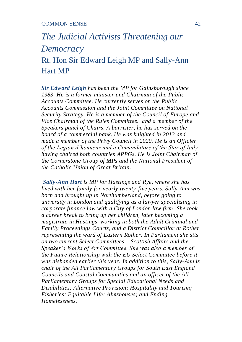# *The Judicial Activists Threatening our Democracy*

Rt. Hon Sir Edward Leigh MP and Sally-Ann Hart MP

*Sir Edward Leigh has been the MP for Gainsborough since 1983. He is a former minister and Chairman of the Public Accounts Committee. He currently serves on the Public Accounts Commission and the Joint Committee on National Security Strategy. He is a member of the Council of Europe and Vice Chairman of the Rules Committee. and a member of the Speakers panel of Chairs. A barrister, he has served on the board of a commercial bank. He was knighted in 2013 and made a member of the Privy Council in 2020. He is an Officier of the Legion d'honneur and a Comandatore of the Star of Italy having chaired both countries APPGs. He is Joint Chairman of the Cornerstone Group of MPs and the National President of the Catholic Union of Great Britain.*

*Sally-Ann Hart is MP for Hastings and Rye, where she has lived with her family for nearly twenty-five years. Sally-Ann was born and brought up in Northumberland, before going to university in London and qualifying as a lawyer specialising in corporate finance law with a City of London law firm. She took a career break to bring up her children, later becoming a magistrate in Hastings, working in both the Adult Criminal and Family Proceedings Courts, and a District Councillor at Rother representing the ward of Eastern Rother. In Parliament she sits on two current Select Committees – Scottish Affairs and the Speaker's Works of Art Committee. She was also a member of the Future Relationship with the EU Select Committee before it was disbanded earlier this year. In addition to this, Sally-Ann is chair of the All Parliamentary Groups for South East England Councils and Coastal Communities and an officer of the All Parliamentary Groups for Special Educational Needs and Disabilities; Alternative Provision; Hospitality and Tourism; Fisheries; Equitable Life; Almshouses; and Ending Homelessness.*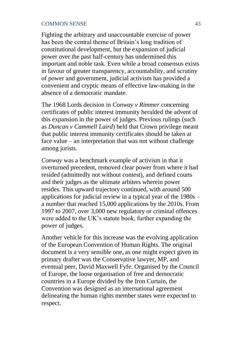Fighting the arbitrary and unaccountable exercise of power has been the central theme of Britain's long tradition of constitutional development, but the expansion of judicial power over the past half-century has undermined this important and noble task. Even while a broad consensus exists in favour of greater transparency, accountability, and scrutiny of power and government, judicial activism has provided a convenient and cryptic means of effective law-making in the absence of a democratic mandate.

The 1968 Lords decision in *Conway v Rimmer* concerning certificates of public interest immunity heralded the advent of this expansion in the power of judges. Previous rulings (such as *Duncan v Cammell Laird*) held that Crown privilege meant that public interest immunity certificates should be taken at face value – an interpretation that was not without challenge among jurists.

*Conway* was a benchmark example of activism in that it overturned precedent, removed clear power from where it had resided (admittedly not without contest), and defined courts and their judges as the ultimate arbiters wherein power resides. This upward trajectory continued, with around 500 applications for judicial review in a typical year of the  $1980s$ a number that reached 15,000 applications by the 2010s. From 1997 to 2007, over 3,000 new regulatory or criminal offences were added to the UK's statute book, further expanding the power of judges.

Another vehicle for this increase was the evolving application of the European Convention of Human Rights. The original document is a very sensible one, as one might expect given its primary drafter was the Conservative lawyer, MP, and eventual peer, David Maxwell Fyfe. Organised by the Council of Europe, the loose organisation of free and democratic countries in a Europe divided by the Iron Curtain, the Convention was designed as an international agreement delineating the human rights member states were expected to respect.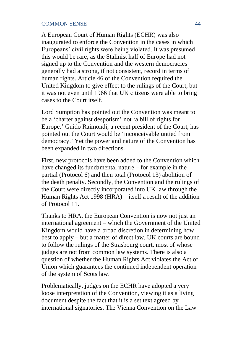A European Court of Human Rights (ECHR) was also inaugurated to enforce the Convention in the cases in which Europeans' civil rights were being violated. It was presumed this would be rare, as the Stalinist half of Europe had not signed up to the Convention and the western democracies generally had a strong, if not consistent, record in terms of human rights. Article 46 of the Convention required the United Kingdom to give effect to the rulings of the Court, but it was not even until 1966 that UK citizens were able to bring cases to the Court itself.

Lord Sumption has pointed out the Convention was meant to be a 'charter against despotism' not 'a bill of rights for Europe.' Guido Raimondi, a recent president of the Court, has pointed out the Court would be 'inconceivable untied from democracy.' Yet the power and nature of the Convention has been expanded in two directions.

First, new protocols have been added to the Convention which have changed its fundamental nature – for example in the partial (Protocol 6) and then total (Protocol 13) abolition of the death penalty. Secondly, the Convention and the rulings of the Court were directly incorporated into UK law through the Human Rights Act 1998 (HRA) – itself a result of the addition of Protocol 11.

Thanks to HRA, the European Convention is now not just an international agreement – which the Government of the United Kingdom would have a broad discretion in determining how best to apply – but a matter of direct law. UK courts are bound to follow the rulings of the Strasbourg court, most of whose judges are not from common law systems. There is also a question of whether the Human Rights Act violates the Act of Union which guarantees the continued independent operation of the system of Scots law.

Problematically, judges on the ECHR have adopted a very loose interpretation of the Convention, viewing it as a living document despite the fact that it is a set text agreed by international signatories. The Vienna Convention on the Law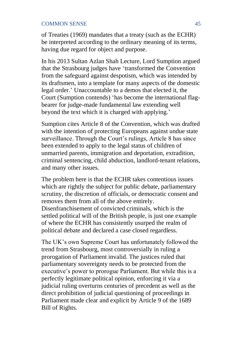of Treaties (1969) mandates that a treaty (such as the ECHR) be interpreted according to the ordinary meaning of its terms, having due regard for object and purpose.

In his 2013 Sultan Azlan Shah Lecture, Lord Sumption argued that the Strasbourg judges have 'transformed the Convention from the safeguard against despotism, which was intended by its draftsmen, into a template for many aspects of the domestic legal order.' Unaccountable to a demos that elected it, the Court (Sumption contends) 'has become the international flagbearer for judge-made fundamental law extending well beyond the text which it is charged with applying.'

Sumption cites Article 8 of the Convention, which was drafted with the intention of protecting Europeans against undue state surveillance. Through the Court's rulings, Article 8 has since been extended to apply to the legal status of children of unmarried parents, immigration and deportation, extradition, criminal sentencing, child abduction, landlord-tenant relations, and many other issues.

The problem here is that the ECHR takes contentious issues which are rightly the subject for public debate, parliamentary scrutiny, the discretion of officials, or democratic consent and removes them from all of the above entirely. Disenfranchisement of convicted criminals, which is the settled political will of the British people, is just one example of where the ECHR has consistently usurped the realm of political debate and declared a case closed regardless.

The UK's own Supreme Court has unfortunately followed the trend from Strasbourg, most controversially in ruling a prorogation of Parliament invalid. The justices ruled that parliamentary sovereignty needs to be protected from the executive's power to prorogue Parliament. But while this is a perfectly legitimate political opinion, enforcing it via a judicial ruling overturns centuries of precedent as well as the direct prohibition of judicial questioning of proceedings in Parliament made clear and explicit by Article 9 of the 1689 Bill of Rights.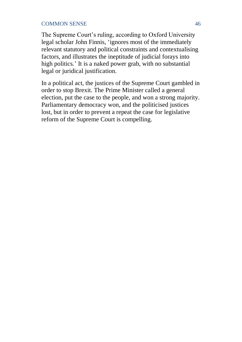The Supreme Court's ruling, according to Oxford University legal scholar John Finnis, 'ignores most of the immediately relevant statutory and political constraints and contextualising factors, and illustrates the ineptitude of judicial forays into high politics.' It is a naked power grab, with no substantial legal or juridical justification.

In a political act, the justices of the Supreme Court gambled in order to stop Brexit. The Prime Minister called a general election, put the case to the people, and won a strong majority. Parliamentary democracy won, and the politicised justices lost, but in order to prevent a repeat the case for legislative reform of the Supreme Court is compelling.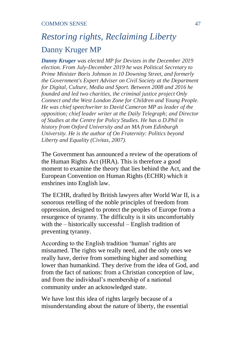# *Restoring rights, Reclaiming Liberty* Danny Kruger MP

*Danny Kruger was elected MP for Devizes in the December 2019 election. From July-December 2019 he was Political Secretary to Prime Minister Boris Johnson in 10 Downing Street, and formerly the Government's Expert Adviser on Civil Society at the Department for Digital, Culture, Media and Sport. Between 2008 and 2016 he founded and led two charities, the criminal justice project Only Connect and the West London Zone for Children and Young People. He was chief speechwriter to David Cameron MP as leader of the opposition; chief leader writer at the Daily Telegraph; and Director of Studies at the Centre for Policy Studies. He has a D.Phil in history from Oxford University and an MA from Edinburgh University. He is the author of On Fraternity: Politics beyond Liberty and Equality (Civitas, 2007).* 

The Government has announced a review of the operations of the Human Rights Act (HRA). This is therefore a good moment to examine the theory that lies behind the Act, and the European Convention on Human Rights (ECHR) which it enshrines into English law.

The ECHR, drafted by British lawyers after World War II, is a sonorous retelling of the noble principles of freedom from oppression, designed to protect the peoples of Europe from a resurgence of tyranny. The difficulty is it sits uncomfortably with the – historically successful – English tradition of preventing tyranny.

According to the English tradition 'human' rights are misnamed. The rights we really need, and the only ones we really have, derive from something higher and something lower than humankind. They derive from the idea of God, and from the fact of nations: from a Christian conception of law, and from the individual's membership of a national community under an acknowledged state.

We have lost this idea of rights largely because of a misunderstanding about the nature of liberty, the essential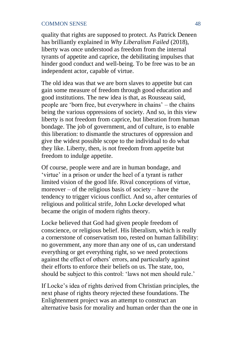quality that rights are supposed to protect. As Patrick Deneen has brilliantly explained in *Why Liberalism Failed* (2018), liberty was once understood as freedom from the internal tyrants of appetite and caprice, the debilitating impulses that hinder good conduct and well-being. To be free was to be an independent actor, capable of virtue.

The old idea was that we are born slaves to appetite but can gain some measure of freedom through good education and good institutions. The new idea is that, as Rousseau said, people are 'born free, but everywhere in chains' – the chains being the various oppressions of society. And so, in this view liberty is not freedom from caprice, but liberation from human bondage. The job of government, and of culture, is to enable this liberation: to dismantle the structures of oppression and give the widest possible scope to the individual to do what they like. Liberty, then, is not freedom from appetite but freedom to indulge appetite.

Of course, people were and are in human bondage, and 'virtue' in a prison or under the heel of a tyrant is rather limited vision of the good life. Rival conceptions of virtue, moreover – of the religious basis of society – have the tendency to trigger vicious conflict. And so, after centuries of religious and political strife, John Locke developed what became the origin of modern rights theory.

Locke believed that God had given people freedom of conscience, or religious belief. His liberalism, which is really a cornerstone of conservatism too, rested on human fallibility: no government, any more than any one of us, can understand everything or get everything right, so we need protections against the effect of others' errors, and particularly against their efforts to enforce their beliefs on us. The state, too, should be subject to this control: 'laws not men should rule.'

If Locke's idea of rights derived from Christian principles, the next phase of rights theory rejected these foundations. The Enlightenment project was an attempt to construct an alternative basis for morality and human order than the one in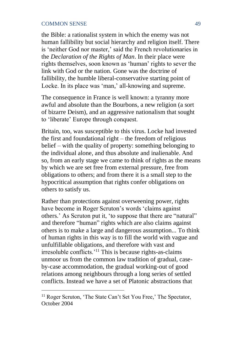the Bible: a rationalist system in which the enemy was not human fallibility but social hierarchy and religion itself. There is 'neither God nor master,' said the French revolutionaries in the *Declaration of the Rights of Man*. In their place were rights themselves, soon known as 'human' rights to sever the link with God or the nation. Gone was the doctrine of fallibility, the humble liberal-conservative starting point of Locke. In its place was 'man,' all-knowing and supreme.

The consequence in France is well known: a tyranny more awful and absolute than the Bourbons, a new religion (a sort of bizarre Deism), and an aggressive nationalism that sought to 'liberate' Europe through conquest.

Britain, too, was susceptible to this virus. Locke had invested the first and foundational right – the freedom of religious belief – with the quality of property: something belonging to the individual alone, and thus absolute and inalienable. And so, from an early stage we came to think of rights as the means by which we are set free from external pressure, free from obligations to others; and from there it is a small step to the hypocritical assumption that rights confer obligations on others to satisfy us.

Rather than protections against overweening power, rights have become in Roger Scruton's words 'claims against others.' As Scruton put it, 'to suppose that there are "natural" and therefore "human" rights which are also claims against others is to make a large and dangerous assumption... To think of human rights in this way is to fill the world with vague and unfulfillable obligations, and therefore with vast and irresoluble conflicts.'<sup>11</sup> This is because rights-as-claims unmoor us from the common law tradition of gradual, caseby-case accommodation, the gradual working-out of good relations among neighbours through a long series of settled conflicts. Instead we have a set of Platonic abstractions that

<sup>&</sup>lt;sup>11</sup> Roger Scruton, 'The State Can't Set You Free,' The Spectator, October 2004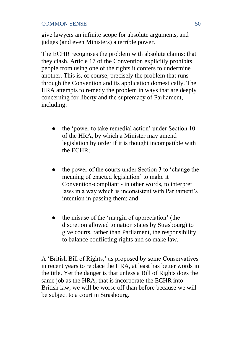give lawyers an infinite scope for absolute arguments, and judges (and even Ministers) a terrible power.

The ECHR recognises the problem with absolute claims: that they clash. Article 17 of the Convention explicitly prohibits people from using one of the rights it confers to undermine another. This is, of course, precisely the problem that runs through the Convention and its application domestically. The HRA attempts to remedy the problem in ways that are deeply concerning for liberty and the supremacy of Parliament, including:

- the 'power to take remedial action' under Section 10 of the HRA, by which a Minister may amend legislation by order if it is thought incompatible with the ECHR;
- the power of the courts under Section 3 to 'change the meaning of enacted legislation' to make it Convention-compliant - in other words, to interpret laws in a way which is inconsistent with Parliament's intention in passing them; and
- the misuse of the 'margin of appreciation' (the discretion allowed to nation states by Strasbourg) to give courts, rather than Parliament, the responsibility to balance conflicting rights and so make law.

A 'British Bill of Rights,' as proposed by some Conservatives in recent years to replace the HRA, at least has better words in the title. Yet the danger is that unless a Bill of Rights does the same job as the HRA, that is incorporate the ECHR into British law, we will be worse off than before because we will be subject to a court in Strasbourg.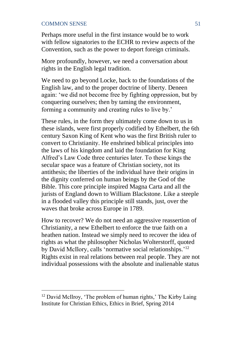Perhaps more useful in the first instance would be to work with fellow signatories to the ECHR to review aspects of the Convention, such as the power to deport foreign criminals.

More profoundly, however, we need a conversation about rights in the English legal tradition.

We need to go beyond Locke, back to the foundations of the English law, and to the proper doctrine of liberty. Deneen again: 'we did not become free by fighting oppression, but by conquering ourselves; then by taming the environment, forming a community and creating rules to live by.'

These rules, in the form they ultimately come down to us in these islands, were first properly codified by Ethelbert, the 6th century Saxon King of Kent who was the first British ruler to convert to Christianity. He enshrined biblical principles into the laws of his kingdom and laid the foundation for King Alfred's Law Code three centuries later. To these kings the secular space was a feature of Christian society, not its antithesis; the liberties of the individual have their origins in the dignity conferred on human beings by the God of the Bible. This core principle inspired Magna Carta and all the jurists of England down to William Blackstone. Like a steeple in a flooded valley this principle still stands, just, over the waves that broke across Europe in 1789.

How to recover? We do not need an aggressive reassertion of Christianity, a new Ethelbert to enforce the true faith on a heathen nation. Instead we simply need to recover the idea of rights as what the philosopher Nicholas Wolterstorff, quoted by David McIlory, calls 'normative social relationships.'<sup>12</sup> Rights exist in real relations between real people. They are not individual possessions with the absolute and inalienable status

<sup>&</sup>lt;sup>12</sup> David McIlroy, 'The problem of human rights,' The Kirby Laing Institute for Christian Ethics, Ethics in Brief, Spring 2014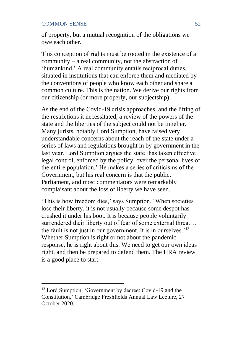of property, but a mutual recognition of the obligations we owe each other.

This conception of rights must be rooted in the existence of a community – a real community, not the abstraction of 'humankind.' A real community entails reciprocal duties, situated in institutions that can enforce them and mediated by the conventions of people who know each other and share a common culture. This is the nation. We derive our rights from our citizenship (or more properly, our subjectship).

As the end of the Covid-19 crisis approaches, and the lifting of the restrictions it necessitated, a review of the powers of the state and the liberties of the subject could not be timelier. Many jurists, notably Lord Sumption, have raised very understandable concerns about the reach of the state under a series of laws and regulations brought in by government in the last year. Lord Sumption argues the state 'has taken effective legal control, enforced by the policy, over the personal lives of the entire population.' He makes a series of criticisms of the Government, but his real concern is that the public, Parliament, and most commentators were remarkably complaisant about the loss of liberty we have seen.

'This is how freedom dies,' says Sumption. 'When societies lose their liberty, it is not usually because some despot has crushed it under his boot. It is because people voluntarily surrendered their liberty out of fear of some external threat… the fault is not just in our government. It is in ourselves.<sup>'13</sup> Whether Sumption is right or not about the pandemic response, he is right about this. We need to get our own ideas right, and then be prepared to defend them. The HRA review is a good place to start.

<sup>13</sup> Lord Sumption, 'Government by decree: Covid-19 and the Constitution,' Cambridge Freshfields Annual Law Lecture, 27 October 2020.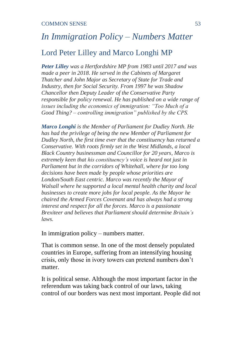# *In Immigration Policy – Numbers Matter* Lord Peter Lilley and Marco Longhi MP

*Peter Lilley was a Hertfordshire MP from 1983 until 2017 and was made a peer in 2018. He served in the Cabinets of Margaret Thatcher and John Major as Secretary of State for Trade and Industry, then for Social Security. From 1997 he was Shadow Chancellor then Deputy Leader of the Conservative Party responsible for policy renewal. He has published on a wide range of issues including the economics of immigration: "Too Much of a Good Thing? – controlling immigration" published by the CPS.*

*Marco Longhi is the Member of Parliament for Dudley North. He has had the privilege of being the new Member of Parliament for Dudley North, the first time ever that the constituency has returned a Conservative. With roots firmly set in the West Midlands, a local Black Country businessman and Councillor for 20 years, Marco is extremely keen that his constituency's voice is heard not just in Parliament but in the corridors of Whitehall, where for too long decisions have been made by people whose priorities are London/South East centric. Marco was recently the Mayor of Walsall where he supported a local mental health charity and local businesses to create more jobs for local people. As the Mayor he chaired the Armed Forces Covenant and has always had a strong interest and respect for all the forces. Marco is a passionate Brexiteer and believes that Parliament should determine Britain's laws.* 

In immigration policy – numbers matter.

That is common sense. In one of the most densely populated countries in Europe, suffering from an intensifying housing crisis, only those in ivory towers can pretend numbers don't matter.

It is political sense. Although the most important factor in the referendum was taking back control of our laws, taking control of our borders was next most important. People did not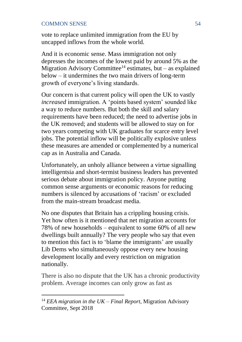vote to replace unlimited immigration from the EU by uncapped inflows from the whole world.

And it is economic sense. Mass immigration not only depresses the incomes of the lowest paid by around 5% as the Migration Advisory Committee<sup>14</sup> estimates, but – as explained below – it undermines the two main drivers of long-term growth of everyone's living standards.

Our concern is that current policy will open the UK to vastly *increased* immigration. A 'points based system' sounded like a way to reduce numbers. But both the skill and salary requirements have been reduced; the need to advertise jobs in the UK removed; and students will be allowed to stay on for two years competing with UK graduates for scarce entry level jobs. The potential inflow will be politically explosive unless these measures are amended or complemented by a numerical cap as in Australia and Canada.

Unfortunately, an unholy alliance between a virtue signalling intelligentsia and short-termist business leaders has prevented serious debate about immigration policy. Anyone putting common sense arguments or economic reasons for reducing numbers is silenced by accusations of 'racism' or excluded from the main-stream broadcast media.

No one disputes that Britain has a crippling housing crisis. Yet how often is it mentioned that net migration accounts for 78% of new households – equivalent to some 60% of all new dwellings built annually? The very people who say that even to mention this fact is to 'blame the immigrants' are usually Lib Dems who simultaneously oppose every new housing development locally and every restriction on migration nationally.

There is also no dispute that the UK has a chronic productivity problem. Average incomes can only grow as fast as

<sup>14</sup> *EEA migration in the UK – Final Report*, Migration Advisory Committee, Sept 2018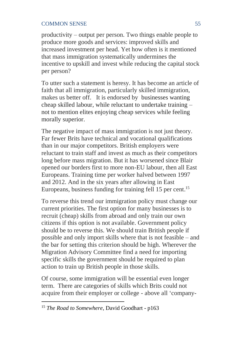productivity – output per person. Two things enable people to produce more goods and services: improved skills and increased investment per head. Yet how often is it mentioned that mass immigration systematically undermines the incentive to upskill and invest while reducing the capital stock per person?

To utter such a statement is heresy. It has become an article of faith that all immigration, particularly skilled immigration, makes us better off. It is endorsed by businesses wanting cheap skilled labour, while reluctant to undertake training – not to mention elites enjoying cheap services while feeling morally superior.

The negative impact of mass immigration is not just theory. Far fewer Brits have technical and vocational qualifications than in our major competitors. British employers were reluctant to train staff and invest as much as their competitors long before mass migration. But it has worsened since Blair opened our borders first to more non-EU labour, then all East Europeans. Training time per worker halved between 1997 and 2012. And in the six years after allowing in East Europeans, business funding for training fell 15 per cent.<sup>15</sup>

To reverse this trend our immigration policy must change our current priorities. The first option for many businesses is to recruit (cheap) skills from abroad and only train our own citizens if this option is not available. Government policy should be to reverse this. We should train British people if possible and only import skills where that is not feasible – and the bar for setting this criterion should be high. Wherever the Migration Advisory Committee find a need for importing specific skills the government should be required to plan action to train up British people in those skills.

Of course, some immigration will be essential even longer term. There are categories of skills which Brits could not acquire from their employer or college - above all 'company-

<sup>15</sup> *The Road to Somewhere*, David Goodhart - p163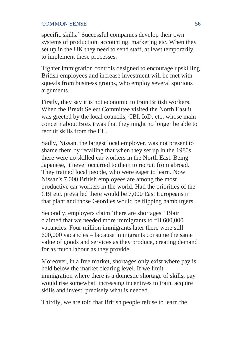specific skills.' Successful companies develop their own systems of production, accounting, marketing etc. When they set up in the UK they need to send staff, at least temporarily, to implement these processes.

Tighter immigration controls designed to encourage upskilling British employees and increase investment will be met with squeals from business groups, who employ several spurious arguments.

Firstly, they say it is not economic to train British workers. When the Brexit Select Committee visited the North East it was greeted by the local councils, CBI, IoD, etc. whose main concern about Brexit was that they might no longer be able to recruit skills from the EU.

Sadly, Nissan, the largest local employer, was not present to shame them by recalling that when they set up in the 1980s there were no skilled car workers in the North East. Being Japanese, it never occurred to them to recruit from abroad. They trained local people, who were eager to learn. Now Nissan's 7,000 British employees are among the most productive car workers in the world. Had the priorities of the CBI etc. prevailed there would be 7,000 East Europeans in that plant and those Geordies would be flipping hamburgers.

Secondly, employers claim 'there are shortages.' Blair claimed that we needed more immigrants to fill 600,000 vacancies. Four million immigrants later there were still 600,000 vacancies – because immigrants consume the same value of goods and services as they produce, creating demand for as much labour as they provide.

Moreover, in a free market, shortages only exist where pay is held below the market clearing level. If we limit immigration where there is a domestic shortage of skills, pay would rise somewhat, increasing incentives to train, acquire skills and invest: precisely what is needed.

Thirdly, we are told that British people refuse to learn the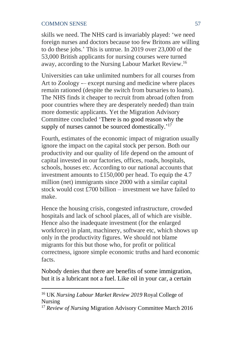skills we need. The NHS card is invariably played: 'we need foreign nurses and doctors because too few Britons are willing to do these jobs.' This is untrue. In 2019 over 23,000 of the 53,000 British applicants for nursing courses were turned away, according to the Nursing Labour Market Review. 16

Universities can take unlimited numbers for all courses from Art to Zoology -– except nursing and medicine where places remain rationed (despite the switch from bursaries to loans). The NHS finds it cheaper to recruit from abroad (often from poor countries where they are desperately needed) than train more domestic applicants. Yet the Migration Advisory Committee concluded 'There is no good reason why the supply of nurses cannot be sourced domestically.'<sup>17</sup>

Fourth, estimates of the economic impact of migration usually ignore the impact on the capital stock per person. Both our productivity and our quality of life depend on the amount of capital invested in our factories, offices, roads, hospitals, schools, houses etc. According to our national accounts that investment amounts to £150,000 per head. To equip the 4.7 million (net) immigrants since 2000 with a similar capital stock would cost £700 billion – investment we have failed to make.

Hence the housing crisis, congested infrastructure, crowded hospitals and lack of school places, all of which are visible. Hence also the inadequate investment (for the enlarged workforce) in plant, machinery, software etc, which shows up only in the productivity figures. We should not blame migrants for this but those who, for profit or political correctness, ignore simple economic truths and hard economic facts.

Nobody denies that there are benefits of some immigration, but it is a lubricant not a fuel. Like oil in your car, a certain

<sup>16</sup> UK *Nursing Labour Market Review 2019* Royal College of Nursing

<sup>&</sup>lt;sup>17</sup> Review of Nursing Migration Advisory Committee March 2016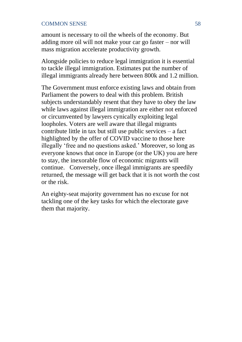amount is necessary to oil the wheels of the economy. But adding more oil will not make your car go faster – nor will mass migration accelerate productivity growth.

Alongside policies to reduce legal immigration it is essential to tackle illegal immigration. Estimates put the number of illegal immigrants already here between 800k and 1.2 million.

The Government must enforce existing laws and obtain from Parliament the powers to deal with this problem. British subjects understandably resent that they have to obey the law while laws against illegal immigration are either not enforced or circumvented by lawyers cynically exploiting legal loopholes. Voters are well aware that illegal migrants contribute little in tax but still use public services – a fact highlighted by the offer of COVID vaccine to those here illegally 'free and no questions asked.' Moreover, so long as everyone knows that once in Europe (or the UK) you are here to stay, the inexorable flow of economic migrants will continue. Conversely, once illegal immigrants are speedily returned, the message will get back that it is not worth the cost or the risk.

An eighty-seat majority government has no excuse for not tackling one of the key tasks for which the electorate gave them that majority.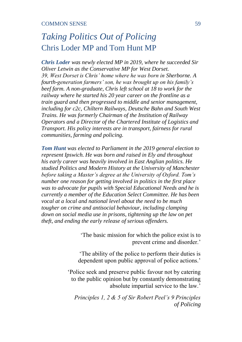# *Taking Politics Out of Policing*  Chris Loder MP and Tom Hunt MP

*Chris Loder was newly elected MP in 2019, where he succeeded Sir Oliver Letwin as the Conservative MP for West Dorset. 39, West Dorset is Chris' home where he was born in Sherborne. A fourth-generation farmers' son, he was brought up on his family's beef farm. A non-graduate, Chris left school at 18 to work for the railway where he started his 20 year career on the frontline as a train guard and then progressed to middle and senior management, including for c2c, Chiltern Railways, Deutsche Bahn and South West Trains. He was formerly Chairman of the Institution of Railway Operators and a Director of the Chartered Institute of Logistics and Transport. His policy interests are in transport, fairness for rural communities, farming and policing.*

*Tom Hunt was elected to Parliament in the 2019 general election to represent Ipswich. He was born and raised in Ely and throughout his early career was heavily involved in East Anglian politics. He studied Politics and Modern History at the University of Manchester before taking a Master's degree at the University of Oxford. Tom's number one reason for getting involved in politics in the first place was to advocate for pupils with Special Educational Needs and he is currently a member of the Education Select Committee. He has been vocal at a local and national level about the need to be much tougher on crime and antisocial behaviour, including clamping down on social media use in prisons, tightening up the law on pet theft, and ending the early release of serious offenders.*

> 'The basic mission for which the police exist is to prevent crime and disorder.'

'The ability of the police to perform their duties is dependent upon public approval of police actions.'

'Police seek and preserve public favour not by catering to the public opinion but by constantly demonstrating absolute impartial service to the law.'

*Principles 1, 2 & 5 of Sir Robert Peel's 9 Principles of Policing*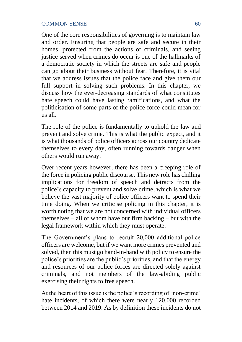One of the core responsibilities of governing is to maintain law and order. Ensuring that people are safe and secure in their homes, protected from the actions of criminals, and seeing justice served when crimes do occur is one of the hallmarks of a democratic society in which the streets are safe and people can go about their business without fear. Therefore, it is vital that we address issues that the police face and give them our full support in solving such problems. In this chapter, we discuss how the ever-decreasing standards of what constitutes hate speech could have lasting ramifications, and what the politicisation of some parts of the police force could mean for us all.

The role of the police is fundamentally to uphold the law and prevent and solve crime. This is what the public expect, and it is what thousands of police officers across our country dedicate themselves to every day, often running towards danger when others would run away.

Over recent years however, there has been a creeping role of the force in policing public discourse. This new role has chilling implications for freedom of speech and detracts from the police's capacity to prevent and solve crime, which is what we believe the vast majority of police officers want to spend their time doing. When we criticise policing in this chapter, it is worth noting that we are not concerned with individual officers themselves – all of whom have our firm backing – but with the legal framework within which they must operate.

The Government's plans to recruit 20,000 additional police officers are welcome, but if we want more crimes prevented and solved, then this must go hand-in-hand with policy to ensure the police's priorities are the public's priorities, and that the energy and resources of our police forces are directed solely against criminals, and not members of the law-abiding public exercising their rights to free speech.

At the heart of this issue is the police's recording of 'non-crime' hate incidents, of which there were nearly 120,000 recorded between 2014 and 2019. As by definition these incidents do not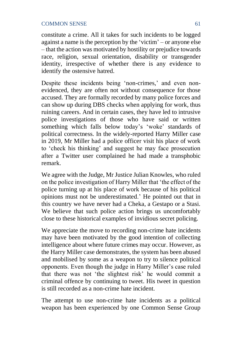constitute a crime. All it takes for such incidents to be logged against a name is the perception by the 'victim' – or anyone else – that the action was motivated by hostility or prejudice towards race, religion, sexual orientation, disability or transgender identity, irrespective of whether there is any evidence to identify the ostensive hatred.

Despite these incidents being 'non-crimes,' and even nonevidenced, they are often not without consequence for those accused. They are formally recorded by many police forces and can show up during DBS checks when applying for work, thus ruining careers. And in certain cases, they have led to intrusive police investigations of those who have said or written something which falls below today's 'woke' standards of political correctness. In the widely-reported Harry Miller case in 2019, Mr Miller had a police officer visit his place of work to 'check his thinking' and suggest he may face prosecution after a Twitter user complained he had made a transphobic remark.

We agree with the Judge, Mr Justice Julian Knowles, who ruled on the police investigation of Harry Miller that 'the effect of the police turning up at his place of work because of his political opinions must not be underestimated.' He pointed out that in this country we have never had a Cheka, a Gestapo or a Stasi. We believe that such police action brings us uncomfortably close to these historical examples of invidious secret policing.

We appreciate the move to recording non-crime hate incidents may have been motivated by the good intention of collecting intelligence about where future crimes may occur. However, as the Harry Miller case demonstrates, the system has been abused and mobilised by some as a weapon to try to silence political opponents. Even though the judge in Harry Miller's case ruled that there was not 'the slightest risk' he would commit a criminal offence by continuing to tweet. His tweet in question is still recorded as a non-crime hate incident.

The attempt to use non-crime hate incidents as a political weapon has been experienced by one Common Sense Group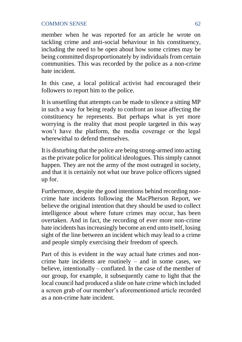member when he was reported for an article he wrote on tackling crime and anti-social behaviour in his constituency, including the need to be open about how some crimes may be being committed disproportionately by individuals from certain communities. This was recorded by the police as a non-crime hate incident.

In this case, a local political activist had encouraged their followers to report him to the police.

It is unsettling that attempts can be made to silence a sitting MP in such a way for being ready to confront an issue affecting the constituency he represents. But perhaps what is yet more worrying is the reality that most people targeted in this way won't have the platform, the media coverage or the legal wherewithal to defend themselves

It is disturbing that the police are being strong-armed into acting as the private police for political ideologues. This simply cannot happen. They are not the army of the most outraged in society, and that it is certainly not what our brave police officers signed up for.

Furthermore, despite the good intentions behind recording noncrime hate incidents following the MacPherson Report, we believe the original intention that they should be used to collect intelligence about where future crimes may occur, has been overtaken. And in fact, the recording of ever more non-crime hate incidents has increasingly become an end unto itself, losing sight of the line between an incident which may lead to a crime and people simply exercising their freedom of speech.

Part of this is evident in the way actual hate crimes and noncrime hate incidents are routinely – and in some cases, we believe, intentionally – conflated. In the case of the member of our group, for example, it subsequently came to light that the local council had produced a slide on hate crime which included a screen grab of our member's aforementioned article recorded as a non-crime hate incident.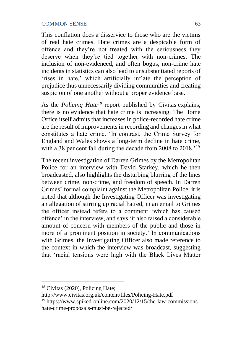This conflation does a disservice to those who are the victims of real hate crimes. Hate crimes are a despicable form of offence and they're not treated with the seriousness they deserve when they're tied together with non-crimes. The inclusion of non-evidenced, and often bogus, non-crime hate incidents in statistics can also lead to unsubstantiated reports of 'rises in hate,' which artificially inflate the perception of prejudice thus unnecessarily dividing communities and creating suspicion of one another without a proper evidence base.

As the *Policing Hate<sup>18</sup>* report published by Civitas explains, there is no evidence that hate crime is increasing. The Home Office itself admits that increases in police-recorded hate crime are the result of improvements in recording and changes in what constitutes a hate crime. 'In contrast, the Crime Survey for England and Wales shows a long-term decline in hate crime, with a 38 per cent fall during the decade from 2008 to 2018.<sup>'19</sup>

The recent investigation of Darren Grimes by the Metropolitan Police for an interview with David Starkey, which he then broadcasted, also highlights the disturbing blurring of the lines between crime, non-crime, and freedom of speech. In Darren Grimes' formal complaint against the Metropolitan Police, it is noted that although the Investigating Officer was investigating an allegation of stirring up racial hatred, in an email to Grimes the officer instead refers to a comment 'which has caused offence' in the interview, and says 'it also raised a considerable amount of concern with members of the public and those in more of a prominent position in society.' In communications with Grimes, the Investigating Officer also made reference to the context in which the interview was broadcast, suggesting that 'racial tensions were high with the Black Lives Matter

http://www.civitas.org.uk/content/files/Policing-Hate.pdf

<sup>19</sup> https://www.spiked-online.com/2020/12/15/the-law-commissionshate-crime-proposals-must-be-rejected/

<sup>18</sup> Civitas (2020), Policing Hate;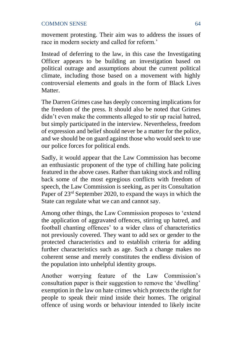movement protesting. Their aim was to address the issues of race in modern society and called for reform.'

Instead of deferring to the law, in this case the Investigating Officer appears to be building an investigation based on political outrage and assumptions about the current political climate, including those based on a movement with highly controversial elements and goals in the form of Black Lives **Matter** 

The Darren Grimes case has deeply concerning implications for the freedom of the press. It should also be noted that Grimes didn't even make the comments alleged to stir up racial hatred, but simply participated in the interview. Nevertheless, freedom of expression and belief should never be a matter for the police, and we should be on guard against those who would seek to use our police forces for political ends.

Sadly, it would appear that the Law Commission has become an enthusiastic proponent of the type of chilling hate policing featured in the above cases. Rather than taking stock and rolling back some of the most egregious conflicts with freedom of speech, the Law Commission is seeking, as per its Consultation Paper of 23<sup>rd</sup> September 2020, to expand the ways in which the State can regulate what we can and cannot say.

Among other things, the Law Commission proposes to 'extend the application of aggravated offences, stirring up hatred, and football chanting offences' to a wider class of characteristics not previously covered. They want to add sex or gender to the protected characteristics and to establish criteria for adding further characteristics such as age. Such a change makes no coherent sense and merely constitutes the endless division of the population into unhelpful identity groups.

Another worrying feature of the Law Commission's consultation paper is their suggestion to remove the 'dwelling' exemption in the law on hate crimes which protects the right for people to speak their mind inside their homes. The original offence of using words or behaviour intended to likely incite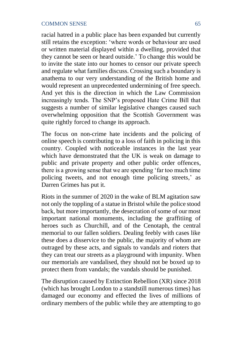racial hatred in a public place has been expanded but currently still retains the exception: 'where words or behaviour are used or written material displayed within a dwelling, provided that they cannot be seen or heard outside.' To change this would be to invite the state into our homes to censor our private speech and regulate what families discuss. Crossing such a boundary is anathema to our very understanding of the British home and would represent an unprecedented undermining of free speech. And yet this is the direction in which the Law Commission increasingly tends. The SNP's proposed Hate Crime Bill that suggests a number of similar legislative changes caused such overwhelming opposition that the Scottish Government was quite rightly forced to change its approach.

The focus on non-crime hate incidents and the policing of online speech is contributing to a loss of faith in policing in this country. Coupled with noticeable instances in the last year which have demonstrated that the UK is weak on damage to public and private property and other public order offences, there is a growing sense that we are spending 'far too much time policing tweets, and not enough time policing streets,' as Darren Grimes has put it.

Riots in the summer of 2020 in the wake of BLM agitation saw not only the toppling of a statue in Bristol while the police stood back, but more importantly, the desecration of some of our most important national monuments, including the graffitiing of heroes such as Churchill, and of the Cenotaph, the central memorial to our fallen soldiers. Dealing feebly with cases like these does a disservice to the public, the majority of whom are outraged by these acts, and signals to vandals and rioters that they can treat our streets as a playground with impunity. When our memorials are vandalised, they should not be boxed up to protect them from vandals; the vandals should be punished.

The disruption caused by Extinction Rebellion (XR) since 2018 (which has brought London to a standstill numerous times) has damaged our economy and effected the lives of millions of ordinary members of the public while they are attempting to go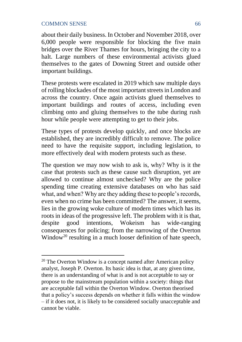about their daily business. In October and November 2018, over 6,000 people were responsible for blocking the five main bridges over the River Thames for hours, bringing the city to a halt. Large numbers of these environmental activists glued themselves to the gates of Downing Street and outside other important buildings.

These protests were escalated in 2019 which saw multiple days of rolling blockades of the most important streets in London and across the country. Once again activists glued themselves to important buildings and routes of access, including even climbing onto and gluing themselves to the tube during rush hour while people were attempting to get to their jobs.

These types of protests develop quickly, and once blocks are established, they are incredibly difficult to remove. The police need to have the requisite support, including legislation, to more effectively deal with modern protests such as these.

The question we may now wish to ask is, why? Why is it the case that protests such as these cause such disruption, yet are allowed to continue almost unchecked? Why are the police spending time creating extensive databases on who has said what, and when? Why are they adding these to people's records, even when no crime has been committed? The answer, it seems, lies in the growing woke culture of modern times which has its roots in ideas of the progressive left. The problem with it is that, despite good intentions, Wokeism has wide-ranging consequences for policing; from the narrowing of the Overton Window<sup>20</sup> resulting in a much looser definition of hate speech,

 $20$  The Overton Window is a concept named after American policy analyst, Joseph P. Overton. Its basic idea is that, at any given time, there is an understanding of what is and is not acceptable to say or propose to the mainstream population within a society: things that are acceptable fall within the Overton Window. Overton theorised that a policy's success depends on whether it falls within the window – if it does not, it is likely to be considered socially unacceptable and cannot be viable.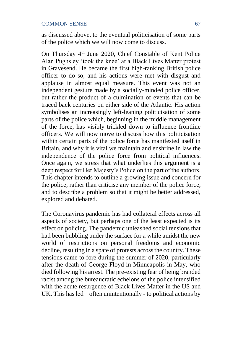as discussed above, to the eventual politicisation of some parts of the police which we will now come to discuss.

On Thursday 4th June 2020, Chief Constable of Kent Police Alan Pughsley 'took the knee' at a Black Lives Matter protest in Gravesend. He became the first high-ranking British police officer to do so, and his actions were met with disgust and applause in almost equal measure. This event was not an independent gesture made by a socially-minded police officer, but rather the product of a culmination of events that can be traced back centuries on either side of the Atlantic. His action symbolises an increasingly left-leaning politicisation of some parts of the police which, beginning in the middle management of the force, has visibly trickled down to influence frontline officers. We will now move to discuss how this politicisation within certain parts of the police force has manifested itself in Britain, and why it is vital we maintain and enshrine in law the independence of the police force from political influences. Once again, we stress that what underlies this argument is a deep respect for Her Majesty's Police on the part of the authors. This chapter intends to outline a growing issue and concern for the police, rather than criticise any member of the police force, and to describe a problem so that it might be better addressed, explored and debated.

The Coronavirus pandemic has had collateral effects across all aspects of society, but perhaps one of the least expected is its effect on policing. The pandemic unleashed social tensions that had been bubbling under the surface for a while amidst the new world of restrictions on personal freedoms and economic decline, resulting in a spate of protests across the country. These tensions came to fore during the summer of 2020, particularly after the death of George Floyd in Minneapolis in May, who died following his arrest. The pre-existing fear of being branded racist among the bureaucratic echelons of the police intensified with the acute resurgence of Black Lives Matter in the US and UK. This has led – often unintentionally - to political actions by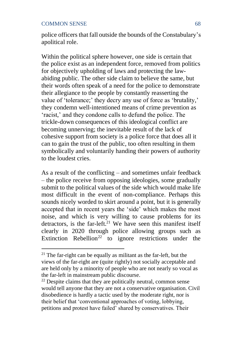police officers that fall outside the bounds of the Constabulary's apolitical role.

Within the political sphere however, one side is certain that the police exist as an independent force, removed from politics for objectively upholding of laws and protecting the lawabiding public. The other side claim to believe the same, but their words often speak of a need for the police to demonstrate their allegiance to the people by constantly reasserting the value of 'tolerance;' they decry any use of force as 'brutality,' they condemn well-intentioned means of crime prevention as 'racist,' and they condone calls to defund the police. The trickle-down consequences of this ideological conflict are becoming unnerving; the inevitable result of the lack of cohesive support from society is a police force that does all it can to gain the trust of the public, too often resulting in them symbolically and voluntarily handing their powers of authority to the loudest cries.

As a result of the conflicting – and sometimes unfair feedback – the police receive from opposing ideologies, some gradually submit to the political values of the side which would make life most difficult in the event of non-compliance. Perhaps this sounds nicely worded to skirt around a point, but it is generally accepted that in recent years the 'side' which makes the most noise, and which is very willing to cause problems for its detractors, is the far-left.<sup>21</sup> We have seen this manifest itself clearly in 2020 through police allowing groups such as Extinction Rebellion<sup>22</sup> to ignore restrictions under the

 $21$  The far-right can be equally as militant as the far-left, but the views of the far-right are (quite rightly) not socially acceptable and are held only by a minority of people who are not nearly so vocal as the far-left in mainstream public discourse.

 $22$  Despite claims that they are politically neutral, common sense would tell anyone that they are not a conservative organisation. Civil disobedience is hardly a tactic used by the moderate right, nor is their belief that 'conventional approaches of voting, lobbying, petitions and protest have failed' shared by conservatives. Their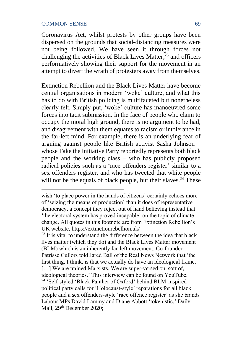Coronavirus Act, whilst protests by other groups have been dispersed on the grounds that social-distancing measures were not being followed. We have seen it through forces not challenging the activities of Black Lives Matter, <sup>23</sup> and officers performatively showing their support for the movement in an attempt to divert the wrath of protesters away from themselves.

Extinction Rebellion and the Black Lives Matter have become central organisations in modern 'woke' culture, and what this has to do with British policing is multifaceted but nonetheless clearly felt. Simply put, 'woke' culture has manoeuvred some forces into tacit submission. In the face of people who claim to occupy the moral high ground, there is no argument to be had, and disagreement with them equates to racism or intolerance in the far-left mind. For example, there is an underlying fear of arguing against people like British activist Sasha Johnson – whose Take the Initiative Party reportedly represents both black people and the working class – who has publicly proposed radical policies such as a 'race offenders register' similar to a sex offenders register, and who has tweeted that white people will not be the equals of black people, but their slaves.<sup>24</sup> These

wish 'to place power in the hands of citizens' certainly echoes more of 'seizing the means of production' than it does of representative democracy, a concept they reject out of hand believing instead that 'the electoral system has proved incapable' on the topic of climate change. All quotes in this footnote are from Extinction Rebellion's UK website, https://extinctionrebellion.uk/

 $23$  It is vital to understand the difference between the idea that black lives matter (which they do) and the Black Lives Matter movement (BLM) which is an inherently far-left movement. Co-founder Patrisse Cullors told Jared Ball of the Real News Network that 'the first thing, I think, is that we actually do have an ideological frame. [...] We are trained Marxists. We are super-versed on, sort of, ideological theories.' This interview can be found on YouTube. <sup>24</sup> 'Self-styled 'Black Panther of Oxford' behind BLM-inspired political party calls for 'Holocaust-style' reparations for all black people and a sex offenders-style 'race offence register' as she brands Labour MPs David Lammy and Diane Abbott 'tokenistic,' Daily Mail, 29<sup>th</sup> December 2020;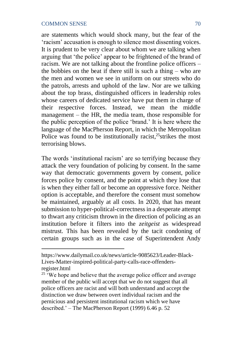are statements which would shock many, but the fear of the 'racism' accusation is enough to silence most dissenting voices. It is prudent to be very clear about whom we are talking when arguing that 'the police' appear to be frightened of the brand of racism. We are not talking about the frontline police officers – the bobbies on the beat if there still is such a thing – who are the men and women we see in uniform on our streets who do the patrols, arrests and uphold of the law. Nor are we talking about the top brass, distinguished officers in leadership roles whose careers of dedicated service have put them in charge of their respective forces. Instead, we mean the middle management – the HR, the media team, those responsible for the public perception of the police 'brand.' It is here where the language of the MacPherson Report, in which the Metropolitan Police was found to be institutionally racist,<sup>25</sup> strikes the most terrorising blows.

The words 'institutional racism' are so terrifying because they attack the very foundation of policing by consent. In the same way that democratic governments govern by consent, police forces police by consent, and the point at which they lose that is when they either fall or become an oppressive force. Neither option is acceptable, and therefore the consent must somehow be maintained, arguably at all costs. In 2020, that has meant submission to hyper-political-correctness in a desperate attempt to thwart any criticism thrown in the direction of policing as an institution before it filters into the *zeitgeist* as widespread mistrust. This has been revealed by the tacit condoning of certain groups such as in the case of Superintendent Andy

https://www.dailymail.co.uk/news/article-9085623/Leader-Black-Lives-Matter-inspired-political-party-calls-race-offendersregister.html

 $25$  We hope and believe that the average police officer and average member of the public will accept that we do not suggest that all police officers are racist and will both understand and accept the distinction we draw between overt individual racism and the pernicious and persistent institutional racism which we have described.' – The MacPherson Report (1999) 6.46 p. 52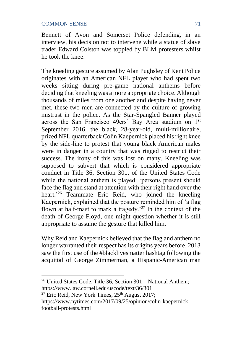Bennett of Avon and Somerset Police defending, in an interview, his decision not to intervene while a statue of slave trader Edward Colston was toppled by BLM protesters whilst he took the knee.

The kneeling gesture assumed by Alan Pughsley of Kent Police originates with an American NFL player who had spent two weeks sitting during pre-game national anthems before deciding that kneeling was a more appropriate choice. Although thousands of miles from one another and despite having never met, these two men are connected by the culture of growing mistrust in the police. As the Star-Spangled Banner played across the San Francisco 49ers' Bay Area stadium on 1st September 2016, the black, 28-year-old, multi-millionaire, prized NFL quarterback Colin Kaepernick placed his right knee by the side-line to protest that young black American males were in danger in a country that was rigged to restrict their success. The irony of this was lost on many. Kneeling was supposed to subvert that which is considered appropriate conduct in Title 36, Section 301, of the United States Code while the national anthem is played: 'persons present should face the flag and stand at attention with their right hand over the heart.' <sup>26</sup> Teammate Eric Reid, who joined the kneeling Kaepernick, explained that the posture reminded him of 'a flag flown at half-mast to mark a tragedy.<sup>27</sup> In the context of the death of George Floyd, one might question whether it is still appropriate to assume the gesture that killed him.

Why Reid and Kaepernick believed that the flag and anthem no longer warranted their respect has its origins years before. 2013 saw the first use of the #blacklivesmatter hashtag following the acquittal of George Zimmerman, a Hispanic-American man

 $26$  United States Code, Title 36, Section 301 – National Anthem; https://www.law.cornell.edu/uscode/text/36/301

<sup>&</sup>lt;sup>27</sup> Eric Reid, New York Times,  $25<sup>th</sup>$  August 2017; https://www.nytimes.com/2017/09/25/opinion/colin-kaepernickfootball-protests.html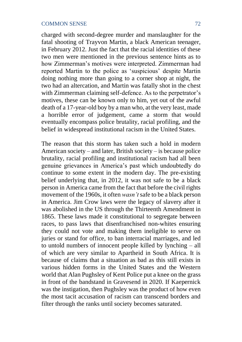charged with second-degree murder and manslaughter for the fatal shooting of Trayvon Martin, a black American teenager, in February 2012. Just the fact that the racial identities of these two men were mentioned in the previous sentence hints as to how Zimmerman's motives were interpreted. Zimmerman had reported Martin to the police as 'suspicious' despite Martin doing nothing more than going to a corner shop at night, the two had an altercation, and Martin was fatally shot in the chest with Zimmerman claiming self-defence. As to the perpetrator's motives, these can be known only to him, yet out of the awful death of a 17-year-old boy by a man who, at the very least, made a horrible error of judgement, came a storm that would eventually encompass police brutality, racial profiling, and the belief in widespread institutional racism in the United States.

The reason that this storm has taken such a hold in modern American society – and later, British society – is because police brutality, racial profiling and institutional racism had all been genuine grievances in America's past which undoubtedly do continue to some extent in the modern day. The pre-existing belief underlying that, in 2012, it was not safe to be a black person in America came from the fact that before the civil rights movement of the 1960s, it often *wasn't* safe to be a black person in America. Jim Crow laws were the legacy of slavery after it was abolished in the US through the Thirteenth Amendment in 1865. These laws made it constitutional to segregate between races, to pass laws that disenfranchised non-whites ensuring they could not vote and making them ineligible to serve on juries or stand for office, to ban interracial marriages, and led to untold numbers of innocent people killed by lynching – all of which are very similar to Apartheid in South Africa. It is because of claims that a situation as bad as this still exists in various hidden forms in the United States and the Western world that Alan Pughsley of Kent Police put a knee on the grass in front of the bandstand in Gravesend in 2020. If Kaepernick was the instigation, then Pughsley was the product of how even the most tacit accusation of racism can transcend borders and filter through the ranks until society becomes saturated.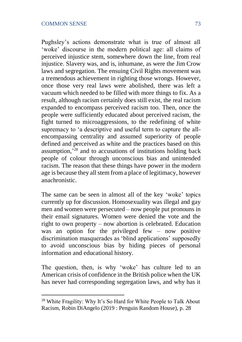Pughsley's actions demonstrate what is true of almost all 'woke' discourse in the modern political age: all claims of perceived injustice stem, somewhere down the line, from real injustice. Slavery was, and is, inhumane, as were the Jim Crow laws and segregation. The ensuing Civil Rights movement was a tremendous achievement in righting those wrongs. However, once those very real laws were abolished, there was left a vacuum which needed to be filled with more things to fix. As a result, although racism certainly does still exist, the real racism expanded to encompass perceived racism too. Then, once the people were sufficiently educated about perceived racism, the fight turned to microaggressions, to the redefining of white supremacy to 'a descriptive and useful term to capture the allencompassing centrality and assumed superiority of people defined and perceived as white and the practices based on this assumption,' <sup>28</sup> and to accusations of institutions holding back people of colour through unconscious bias and unintended racism. The reason that these things have power in the modern age is because they all stem from a place of legitimacy, however anachronistic.

The same can be seen in almost all of the key 'woke' topics currently up for discussion. Homosexuality was illegal and gay men and women were persecuted – now people put pronouns in their email signatures. Women were denied the vote and the right to own property – now abortion is celebrated. Education was an option for the privileged few – now positive discrimination masquerades as 'blind applications' supposedly to avoid unconscious bias by hiding pieces of personal information and educational history.

The question, then, is why 'woke' has culture led to an American crisis of confidence in the British police when the UK has never had corresponding segregation laws, and why has it

<sup>&</sup>lt;sup>28</sup> White Fragility: Why It's So Hard for White People to Talk About Racism, Robin DiAngelo (2019 : Penguin Random House), p. 28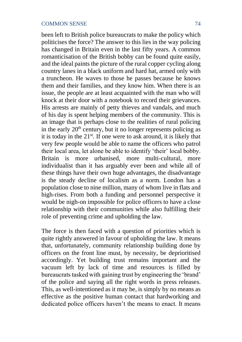been left to British police bureaucrats to make the policy which politicises the force? The answer to this lies in the way policing has changed in Britain even in the last fifty years. A common romanticisation of the British bobby can be found quite easily, and the ideal paints the picture of the rural copper cycling along country lanes in a black uniform and hard hat, armed only with a truncheon. He waves to those he passes because he knows them and their families, and they know him. When there is an issue, the people are at least acquainted with the man who will knock at their door with a notebook to record their grievances. His arrests are mainly of petty thieves and vandals, and much of his day is spent helping members of the community. This is an image that is perhaps close to the realities of rural policing in the early  $20<sup>th</sup>$  century, but it no longer represents policing as it is today in the 21st. If one were to ask around, it is likely that very few people would be able to name the officers who patrol their local area, let alone be able to identify 'their' local bobby. Britain is more urbanised, more multi-cultural, more individualist than it has arguably ever been and while all of these things have their own huge advantages, the disadvantage is the steady decline of localism as a norm. London has a population close to nine million, many of whom live in flats and high-rises. From both a funding and personnel perspective it would be nigh-on impossible for police officers to have a close relationship with their communities while also fulfilling their role of preventing crime and upholding the law.

The force is then faced with a question of priorities which is quite rightly answered in favour of upholding the law. It means that, unfortunately, community relationship building done by officers on the front line must, by necessity, be deprioritised accordingly. Yet building trust remains important and the vacuum left by lack of time and resources is filled by bureaucrats tasked with gaining trust by engineering the 'brand' of the police and saying all the right words in press releases. This, as well-intentioned as it may be, is simply by no means as effective as the positive human contact that hardworking and dedicated police officers haven't the means to enact. It means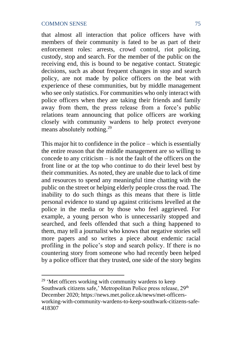that almost all interaction that police officers have with members of their community is fated to be as part of their enforcement roles: arrests, crowd control, riot policing, custody, stop and search. For the member of the public on the receiving end, this is bound to be negative contact. Strategic decisions, such as about frequent changes in stop and search policy, are not made by police officers on the beat with experience of these communities, but by middle management who see only statistics. For communities who only interact with police officers when they are taking their friends and family away from them, the press release from a force's public relations team announcing that police officers are working closely with community wardens to help protect everyone means absolutely nothing.<sup>29</sup>

This major hit to confidence in the police – which is essentially the entire reason that the middle management are so willing to concede to any criticism  $-$  is not the fault of the officers on the front line or at the top who continue to do their level best by their communities. As noted, they are unable due to lack of time and resources to spend any meaningful time chatting with the public on the street or helping elderly people cross the road. The inability to do such things as this means that there is little personal evidence to stand up against criticisms levelled at the police in the media or by those who feel aggrieved. For example, a young person who is unnecessarily stopped and searched, and feels offended that such a thing happened to them, may tell a journalist who knows that negative stories sell more papers and so writes a piece about endemic racial profiling in the police's stop and search policy. If there is no countering story from someone who had recently been helped by a police officer that they trusted, one side of the story begins

<sup>&</sup>lt;sup>29</sup> 'Met officers working with community wardens to keep Southwark citizens safe,' Metropolitan Police press release, 29<sup>th</sup> December 2020; https://news.met.police.uk/news/met-officersworking-with-community-wardens-to-keep-southwark-citizens-safe-418307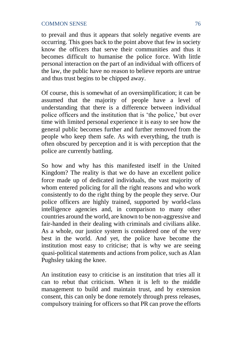to prevail and thus it appears that solely negative events are occurring. This goes back to the point above that few in society know the officers that serve their communities and thus it becomes difficult to humanise the police force. With little personal interaction on the part of an individual with officers of the law, the public have no reason to believe reports are untrue and thus trust begins to be chipped away.

Of course, this is somewhat of an oversimplification; it can be assumed that the majority of people have a level of understanding that there is a difference between individual police officers and the institution that is 'the police,' but over time with limited personal experience it is easy to see how the general public becomes further and further removed from the people who keep them safe. As with everything, the truth is often obscured by perception and it is with perception that the police are currently battling.

So how and why has this manifested itself in the United Kingdom? The reality is that we do have an excellent police force made up of dedicated individuals, the vast majority of whom entered policing for all the right reasons and who work consistently to do the right thing by the people they serve. Our police officers are highly trained, supported by world-class intelligence agencies and, in comparison to many other countries around the world, are known to be non-aggressive and fair-handed in their dealing with criminals and civilians alike. As a whole, our justice system is considered one of the very best in the world. And yet, the police have become the institution most easy to criticise; that is why we are seeing quasi-political statements and actions from police, such as Alan Pughsley taking the knee.

An institution easy to criticise is an institution that tries all it can to rebut that criticism. When it is left to the middle management to build and maintain trust, and by extension consent, this can only be done remotely through press releases, compulsory training for officers so that PR can prove the efforts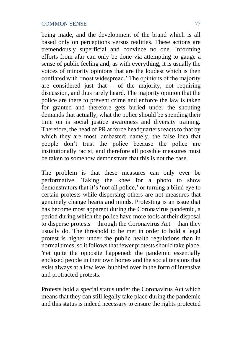being made, and the development of the brand which is all based only on perceptions versus realities. These actions are tremendously superficial and convince no one. Informing efforts from afar can only be done via attempting to gauge a sense of public feeling and, as with everything, it is usually the voices of minority opinions that are the loudest which is then conflated with 'most widespread.' The opinions of the majority are considered just that  $-$  of the majority, not requiring discussion, and thus rarely heard. The majority opinion that the police are there to prevent crime and enforce the law is taken for granted and therefore gets buried under the shouting demands that actually, what the police should be spending their time on is social justice awareness and diversity training. Therefore, the head of PR at force headquarters reacts to that by which they are most lambasted: namely, the false idea that people don't trust the police because the police are institutionally racist, and therefore all possible measures must be taken to somehow demonstrate that this is not the case.

The problem is that these measures can only ever be performative. Taking the knee for a photo to show demonstrators that it's 'not all police,' or turning a blind eye to certain protests while dispersing others are not measures that genuinely change hearts and minds. Protesting is an issue that has become most apparent during the Coronavirus pandemic, a period during which the police have more tools at their disposal to disperse protests – through the Coronavirus Act – than they usually do. The threshold to be met in order to hold a legal protest is higher under the public health regulations than in normal times, so it follows that fewer protests should take place. Yet quite the opposite happened: the pandemic essentially enclosed people in their own homes and the social tensions that exist always at a low level bubbled over in the form of intensive and protracted protests.

Protests hold a special status under the Coronavirus Act which means that they can still legally take place during the pandemic and this status is indeed necessary to ensure the rights protected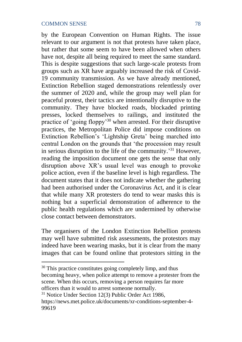by the European Convention on Human Rights. The issue relevant to our argument is not that protests have taken place, but rather that some seem to have been allowed when others have not, despite all being required to meet the same standard. This is despite suggestions that such large-scale protests from groups such as XR have arguably increased the risk of Covid-19 community transmission. As we have already mentioned, Extinction Rebellion staged demonstrations relentlessly over the summer of 2020 and, while the group may well plan for peaceful protest, their tactics are intentionally disruptive to the community. They have blocked roads, blockaded printing presses, locked themselves to railings, and instituted the practice of 'going floppy'<sup>30</sup> when arrested. For their disruptive practices, the Metropolitan Police did impose conditions on Extinction Rebellion's 'Lightship Greta' being marched into central London on the grounds that 'the procession may result in serious disruption to the life of the community.' <sup>31</sup> However, reading the imposition document one gets the sense that only disruption above XR's usual level was enough to provoke police action, even if the baseline level is high regardless. The document states that it does not indicate whether the gathering had been authorised under the Coronavirus Act, and it is clear that while many XR protesters do tend to wear masks this is nothing but a superficial demonstration of adherence to the public health regulations which are undermined by otherwise close contact between demonstrators.

The organisers of the London Extinction Rebellion protests may well have submitted risk assessments, the protestors may indeed have been wearing masks, but it is clear from the many images that can be found online that protestors sitting in the

<sup>30</sup> This practice constitutes going completely limp, and thus becoming heavy, when police attempt to remove a protester from the scene. When this occurs, removing a person requires far more officers than it would to arrest someone normally.

<sup>31</sup> Notice Under Section 12(3) Public Order Act 1986, https://news.met.police.uk/documents/xr-conditions-september-4- 99619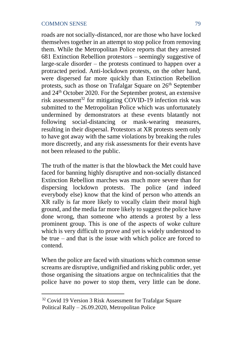roads are not socially-distanced, nor are those who have locked themselves together in an attempt to stop police from removing them. While the Metropolitan Police reports that they arrested 681 Extinction Rebellion protestors – seemingly suggestive of large-scale disorder  $-$  the protests continued to happen over a protracted period. Anti-lockdown protests, on the other hand, were dispersed far more quickly than Extinction Rebellion protests, such as those on Trafalgar Square on  $26<sup>th</sup>$  September and 24th October 2020. For the September protest, an extensive risk assessment<sup>32</sup> for mitigating COVID-19 infection risk was submitted to the Metropolitan Police which was unfortunately undermined by demonstrators at these events blatantly not following social-distancing or mask-wearing measures, resulting in their dispersal. Protestors at XR protests seem only to have got away with the same violations by breaking the rules more discreetly, and any risk assessments for their events have not been released to the public.

The truth of the matter is that the blowback the Met could have faced for banning highly disruptive and non-socially distanced Extinction Rebellion marches was much more severe than for dispersing lockdown protests. The police (and indeed everybody else) know that the kind of person who attends an XR rally is far more likely to vocally claim their moral high ground, and the media far more likely to suggest the police have done wrong, than someone who attends a protest by a less prominent group. This is one of the aspects of woke culture which is very difficult to prove and yet is widely understood to be true – and that is the issue with which police are forced to contend.

When the police are faced with situations which common sense screams are disruptive, undignified and risking public order, yet those organising the situations argue on technicalities that the police have no power to stop them, very little can be done.

<sup>&</sup>lt;sup>32</sup> Covid 19 Version 3 Risk Assessment for Trafalgar Square Political Rally – 26.09.2020, Metropolitan Police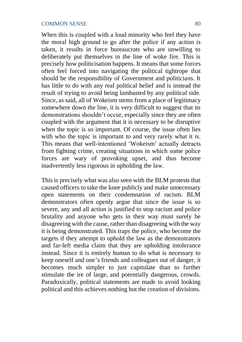When this is coupled with a loud minority who feel they have the moral high ground to go after the police if any action is taken, it results in force bureaucrats who are unwilling to deliberately put themselves in the line of woke fire. This is precisely how politicisation happens. It means that some forces often feel forced into navigating the political tightrope that should be the responsibility of Government and politicians. It has little to do with any real political belief and is instead the result of trying to avoid being lambasted by any political side. Since, as said, all of Wokeism stems from a place of legitimacy somewhere down the line, it is very difficult to suggest that its demonstrations shouldn't occur, especially since they are often coupled with the argument that it is necessary to be disruptive when the topic is so important. Of course, the issue often lies with who the topic is important *to* and very rarely what it *is*. This means that well-intentioned 'Wokeism' actually detracts from fighting crime, creating situations in which some police forces are wary of provoking upset, and thus become inadvertently less rigorous in upholding the law.

This is precisely what was also seen with the BLM protests that caused officers to take the knee publicly and make unnecessary open statements on their condemnation of racism. BLM demonstrators often openly argue that since the issue is so severe, any and all action is justified to stop racism and police brutality and anyone who gets in their way must surely be disagreeing with the cause, rather than disagreeing with the way it is being demonstrated. This traps the police, who become the targets if they attempt to uphold the law as the demonstrators and far-left media claim that they are upholding intolerance instead. Since it is entirely human to do what is necessary to keep oneself and one's friends and colleagues out of danger, it becomes much simpler to just capitulate than to further stimulate the ire of large, and potentially dangerous, crowds. Paradoxically, political statements are made to avoid looking political and this achieves nothing but the creation of divisions.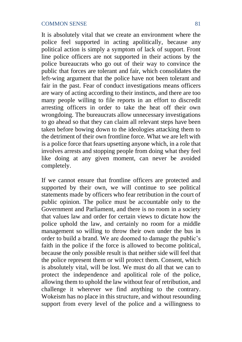It is absolutely vital that we create an environment where the police feel supported in acting apolitically, because any political action is simply a symptom of lack of support. Front line police officers are not supported in their actions by the police bureaucrats who go out of their way to convince the public that forces are tolerant and fair, which consolidates the left-wing argument that the police have not been tolerant and fair in the past. Fear of conduct investigations means officers are wary of acting according to their instincts, and there are too many people willing to file reports in an effort to discredit arresting officers in order to take the heat off their own wrongdoing. The bureaucrats allow unnecessary investigations to go ahead so that they can claim all relevant steps have been taken before bowing down to the ideologies attacking them to the detriment of their own frontline force. What we are left with is a police force that fears upsetting anyone which, in a role that involves arrests and stopping people from doing what they feel like doing at any given moment, can never be avoided completely.

If we cannot ensure that frontline officers are protected and supported by their own, we will continue to see political statements made by officers who fear retribution in the court of public opinion. The police must be accountable only to the Government and Parliament, and there is no room in a society that values law and order for certain views to dictate how the police uphold the law, and certainly no room for a middle management so willing to throw their own under the bus in order to build a brand. We are doomed to damage the public's faith in the police if the force is allowed to become political, because the only possible result is that neither side will feel that the police represent them or will protect them. Consent, which is absolutely vital, will be lost. We must do all that we can to protect the independence and apolitical role of the police, allowing them to uphold the law without fear of retribution, and challenge it wherever we find anything to the contrary. Wokeism has no place in this structure, and without resounding support from every level of the police and a willingness to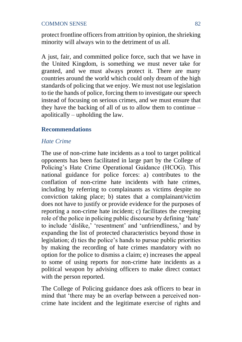protect frontline officers from attrition by opinion, the shrieking minority will always win to the detriment of us all.

A just, fair, and committed police force, such that we have in the United Kingdom, is something we must never take for granted, and we must always protect it. There are many countries around the world which could only dream of the high standards of policing that we enjoy. We must not use legislation to tie the hands of police, forcing them to investigate our speech instead of focusing on serious crimes, and we must ensure that they have the backing of all of us to allow them to continue – apolitically – upholding the law.

# **Recommendations**

# *Hate Crime*

The use of non-crime hate incidents as a tool to target political opponents has been facilitated in large part by the College of Policing's Hate Crime Operational Guidance (HCOG). This national guidance for police forces: a) contributes to the conflation of non-crime hate incidents with hate crimes, including by referring to complainants as victims despite no conviction taking place; b) states that a complainant/victim does not have to justify or provide evidence for the purposes of reporting a non-crime hate incident; c) facilitates the creeping role of the police in policing public discourse by defining 'hate' to include 'dislike,' 'resentment' and 'unfriendliness,' and by expanding the list of protected characteristics beyond those in legislation; d) ties the police's hands to pursue public priorities by making the recording of hate crimes mandatory with no option for the police to dismiss a claim; e) increases the appeal to some of using reports for non-crime hate incidents as a political weapon by advising officers to make direct contact with the person reported.

The College of Policing guidance does ask officers to bear in mind that 'there may be an overlap between a perceived noncrime hate incident and the legitimate exercise of rights and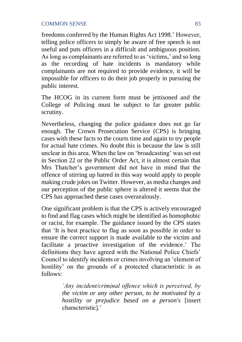freedoms conferred by the Human Rights Act 1998.' However, telling police officers to simply be aware of free speech is not useful and puts officers in a difficult and ambiguous position. As long as complainants are referred to as 'victims,' and so long as the recording of hate incidents is mandatory while complainants are not required to provide evidence, it will be impossible for officers to do their job properly in pursuing the public interest.

The HCOG in its current form must be jettisoned and the College of Policing must be subject to far greater public scrutiny.

Nevertheless, changing the police guidance does not go far enough. The Crown Prosecution Service (CPS) is bringing cases with these facts to the courts time and again to try people for actual hate crimes. No doubt this is because the law is still unclear in this area. When the law on 'broadcasting' was set out in Section 22 or the Public Order Act, it is almost certain that Mrs Thatcher's government did not have in mind that the offence of stirring up hatred in this way would apply to people making crude jokes on Twitter. However, as media changes and our perception of the public sphere is altered it seems that the CPS has approached these cases overzealously.

One significant problem is that the CPS is actively encouraged to find and flag cases which might be identified as homophobic or racist, for example. The guidance issued by the CPS states that 'It is best practice to flag as soon as possible in order to ensure the correct support is made available to the victim and facilitate a proactive investigation of the evidence.' The definitions they have agreed with the National Police Chiefs' Council to identify incidents or crimes involving an 'element of hostility' on the grounds of a protected characteristic is as follows:

> *'Any incident/criminal offence which is perceived, by the victim or any other person, to be motivated by a hostility or prejudice based on a person's* [insert characteristic].'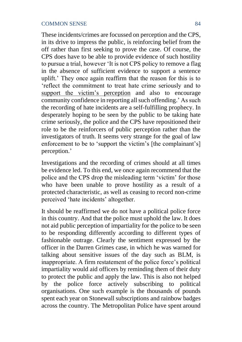These incidents/crimes are focussed on perception and the CPS, in its drive to impress the public, is reinforcing belief from the off rather than first seeking to prove the case. Of course, the CPS does have to be able to provide evidence of such hostility to pursue a trial, however 'It is not CPS policy to remove a flag in the absence of sufficient evidence to support a sentence uplift.' They once again reaffirm that the reason for this is to 'reflect the commitment to treat hate crime seriously and to support the victim's perception and also to encourage community confidence in reporting all such offending.' As such the recording of hate incidents are a self-fulfilling prophecy. In desperately hoping to be seen by the public to be taking hate crime seriously, the police and the CPS have repositioned their role to be the reinforcers of public perception rather than the investigators of truth. It seems very strange for the goal of law enforcement to be to 'support the victim's [the complainant's] perception.'

Investigations and the recording of crimes should at all times be evidence led. To this end, we once again recommend that the police and the CPS drop the misleading term 'victim' for those who have been unable to prove hostility as a result of a protected characteristic, as well as ceasing to record non-crime perceived 'hate incidents' altogether.

It should be reaffirmed we do not have a political police force in this country. And that the police must uphold the law. It does not aid public perception of impartiality for the police to be seen to be responding differently according to different types of fashionable outrage. Clearly the sentiment expressed by the officer in the Darren Grimes case, in which he was warned for talking about sensitive issues of the day such as BLM, is inappropriate. A firm restatement of the police force's political impartiality would aid officers by reminding them of their duty to protect the public and apply the law. This is also not helped by the police force actively subscribing to political organisations. One such example is the thousands of pounds spent each year on Stonewall subscriptions and rainbow badges across the country. The Metropolitan Police have spent around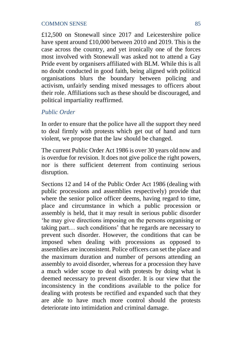£12,500 on Stonewall since 2017 and Leicestershire police have spent around £10,000 between 2010 and 2019. This is the case across the country, and yet ironically one of the forces most involved with Stonewall was asked not to attend a Gay Pride event by organisers affiliated with BLM. While this is all no doubt conducted in good faith, being aligned with political organisations blurs the boundary between policing and activism, unfairly sending mixed messages to officers about their role. Affiliations such as these should be discouraged, and political impartiality reaffirmed.

# *Public Order*

In order to ensure that the police have all the support they need to deal firmly with protests which get out of hand and turn violent, we propose that the law should be changed.

The current Public Order Act 1986 is over 30 years old now and is overdue for revision. It does not give police the right powers, nor is there sufficient deterrent from continuing serious disruption.

Sections 12 and 14 of the Public Order Act 1986 (dealing with public processions and assemblies respectively) provide that where the senior police officer deems, having regard to time, place and circumstance in which a public procession or assembly is held, that it may result in serious public disorder 'he may give directions imposing on the persons organising or taking part… such conditions' that he regards are necessary to prevent such disorder. However, the conditions that can be imposed when dealing with processions as opposed to assemblies are inconsistent. Police officers can set the place and the maximum duration and number of persons attending an assembly to avoid disorder, whereas for a procession they have a much wider scope to deal with protests by doing what is deemed necessary to prevent disorder. It is our view that the inconsistency in the conditions available to the police for dealing with protests be rectified and expanded such that they are able to have much more control should the protests deteriorate into intimidation and criminal damage.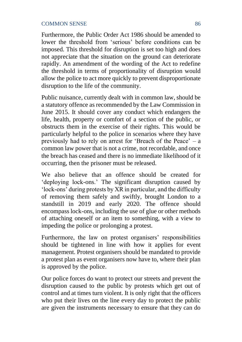Furthermore, the Public Order Act 1986 should be amended to lower the threshold from 'serious' before conditions can be imposed. This threshold for disruption is set too high and does not appreciate that the situation on the ground can deteriorate rapidly. An amendment of the wording of the Act to redefine the threshold in terms of proportionality of disruption would allow the police to act more quickly to prevent disproportionate disruption to the life of the community.

Public nuisance, currently dealt with in common law, should be a statutory offence as recommended by the Law Commission in June 2015. It should cover any conduct which endangers the life, health, property or comfort of a section of the public, or obstructs them in the exercise of their rights. This would be particularly helpful to the police in scenarios where they have previously had to rely on arrest for 'Breach of the Peace' – a common law power that is not a crime, not recordable, and once the breach has ceased and there is no immediate likelihood of it occurring, then the prisoner must be released.

We also believe that an offence should be created for 'deploying lock-ons.' The significant disruption caused by 'lock-ons' during protests by XR in particular, and the difficulty of removing them safely and swiftly, brought London to a standstill in 2019 and early 2020. The offence should encompass lock-ons, including the use of glue or other methods of attaching oneself or an item to something, with a view to impeding the police or prolonging a protest.

Furthermore, the law on protest organisers' responsibilities should be tightened in line with how it applies for event management. Protest organisers should be mandated to provide a protest plan as event organisers now have to, where their plan is approved by the police.

Our police forces do want to protect our streets and prevent the disruption caused to the public by protests which get out of control and at times turn violent. It is only right that the officers who put their lives on the line every day to protect the public are given the instruments necessary to ensure that they can do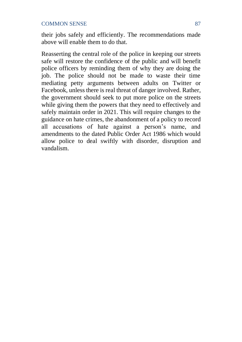their jobs safely and efficiently. The recommendations made above will enable them to do that.

Reasserting the central role of the police in keeping our streets safe will restore the confidence of the public and will benefit police officers by reminding them of why they are doing the job. The police should not be made to waste their time mediating petty arguments between adults on Twitter or Facebook, unless there is real threat of danger involved. Rather, the government should seek to put more police on the streets while giving them the powers that they need to effectively and safely maintain order in 2021. This will require changes to the guidance on hate crimes, the abandonment of a policy to record all accusations of hate against a person's name, and amendments to the dated Public Order Act 1986 which would allow police to deal swiftly with disorder, disruption and vandalism.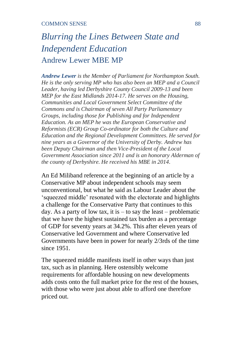# *Blurring the Lines Between State and Independent Education*  Andrew Lewer MBE MP

*Andrew Lewer is the Member of Parliament for Northampton South. He is the only serving MP who has also been an MEP and a Council Leader, having led Derbyshire County Council 2009-13 and been MEP for the East Midlands 2014-17. He serves on the Housing, Communities and Local Government Select Committee of the Commons and is Chairman of seven All Party Parliamentary Groups, including those for Publishing and for Independent Education. As an MEP he was the European Conservative and Reformists (ECR) Group Co-ordinator for both the Culture and Education and the Regional Development Committees. He served for nine years as a Governor of the University of Derby. Andrew has been Deputy Chairman and then Vice-President of the Local Government Association since 2011 and is an honorary Alderman of the county of Derbyshire. He received his MBE in 2014.* 

An Ed Miliband reference at the beginning of an article by a Conservative MP about independent schools may seem unconventional, but what he said as Labour Leader about the 'squeezed middle' resonated with the electorate and highlights a challenge for the Conservative Party that continues to this day. As a party of low tax, it is  $-$  to say the least – problematic that we have the highest sustained tax burden as a percentage of GDP for seventy years at 34.2%. This after eleven years of Conservative led Government and where Conservative led Governments have been in power for nearly 2/3rds of the time since 1951.

The squeezed middle manifests itself in other ways than just tax, such as in planning. Here ostensibly welcome requirements for affordable housing on new developments adds costs onto the full market price for the rest of the houses, with those who were just about able to afford one therefore priced out.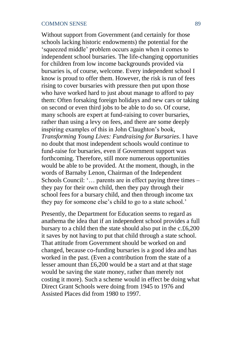Without support from Government (and certainly for those schools lacking historic endowments) the potential for the 'squeezed middle' problem occurs again when it comes to independent school bursaries. The life-changing opportunities for children from low income backgrounds provided via bursaries is, of course, welcome. Every independent school I know is proud to offer them. However, the risk is run of fees rising to cover bursaries with pressure then put upon those who have worked hard to just about manage to afford to pay them: Often forsaking foreign holidays and new cars or taking on second or even third jobs to be able to do so. Of course, many schools are expert at fund-raising to cover bursaries, rather than using a levy on fees, and there are some deeply inspiring examples of this in John Claughton's book, *Transforming Young Lives: Fundraising for Bursaries*. I have no doubt that most independent schools would continue to fund-raise for bursaries, even if Government support was forthcoming. Therefore, still more numerous opportunities would be able to be provided. At the moment, though, in the words of Barnaby Lenon, Chairman of the Independent Schools Council: '… parents are in effect paying three times – they pay for their own child, then they pay through their school fees for a bursary child, and then through income tax they pay for someone else's child to go to a state school.'

Presently, the Department for Education seems to regard as anathema the idea that if an independent school provides a full bursary to a child then the state should also put in the c.£6,200 it saves by not having to put that child through a state school. That attitude from Government should be worked on and changed, because co-funding bursaries is a good idea and has worked in the past. (Even a contribution from the state of a lesser amount than £6,200 would be a start and at that stage would be saving the state money, rather than merely not costing it more). Such a scheme would in effect be doing what Direct Grant Schools were doing from 1945 to 1976 and Assisted Places did from 1980 to 1997.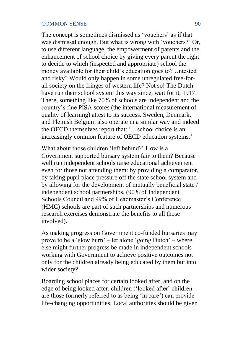The concept is sometimes dismissed as 'vouchers' as if that was dismissal enough. But what is wrong with 'vouchers?' Or, to use different language, the empowerment of parents and the enhancement of school choice by giving every parent the right to decide to which (inspected and appropriate) school the money available for their child's education goes to? Untested and risky? Would only happen in some unregulated free-forall society on the fringes of western life? Not so! The Dutch have run their school system this way since, wait for it, 1917! There, something like 70% of schools are independent and the country's fine PISA scores (the international measurement of quality of learning) attest to its success. Sweden, Denmark, and Flemish Belgium also operate in a similar way and indeed the OECD themselves report that: '... school choice is an increasingly common feature of OECD education systems.'

What about those children 'left behind?' How is a Government supported bursary system fair to them? Because well run independent schools raise educational achievement even for those not attending them: by providing a comparator, by taking pupil place pressure off the state school system and by allowing for the development of mutually beneficial state / independent school partnerships. (90% of Independent Schools Council and 99% of Headmaster's Conference (HMC) schools are part of such partnerships and numerous research exercises demonstrate the benefits to all those involved).

As making progress on Government co-funded bursaries may prove to be a 'slow burn' – let alone 'going Dutch' – where else might further progress be made in independent schools working with Government to achieve positive outcomes not only for the children already being educated by them but into wider society?

Boarding school places for certain looked after, and on the edge of being looked after, children ('looked after' children are those formerly referred to as being 'in care') can provide life-changing opportunities. Local authorities should be given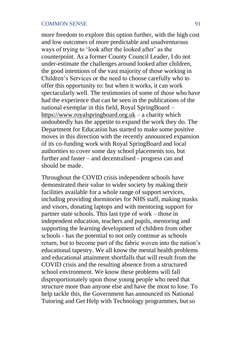more freedom to explore this option further, with the high cost and low outcomes of more predictable and unadventurous ways of trying to 'look after the looked after' as the counterpoint. As a former County Council Leader, I do not under-estimate the challenges around looked after children, the good intentions of the vast majority of those working in Children's Services or the need to choose carefully who to offer this opportunity to: but when it works, it can work spectacularly well. The testimonies of some of those who have had the experience that can be seen in the publications of the national exemplar in this field, Royal SpringBoard – https://www.royalspringboard.org.uk – a charity which undoubtedly has the appetite to expand the work they do. The Department for Education has started to make some positive moves in this direction with the recently announced expansion of its co-funding work with Royal SpringBoard and local authorities to cover some day school placements too, but further and faster – and decentralised - progress can and should be made.

Throughout the COVID crisis independent schools have demonstrated their value to wider society by making their facilities available for a whole range of support services, including providing dormitories for NHS staff, making masks and visors, donating laptops and with mentoring support for partner state schools. This last type of work – those in independent education, teachers and pupils, mentoring and supporting the learning development of children from other schools - has the potential to not only continue as schools return, but to become part of the fabric woven into the nation's educational tapestry. We all know the mental health problems and educational attainment shortfalls that will result from the COVID crisis and the resulting absence from a structured school environment. We know these problems will fall disproportionately upon those young people who need that structure more than anyone else and have the most to lose. To help tackle this, the Government has announced its National Tutoring and Get Help with Technology programmes, but so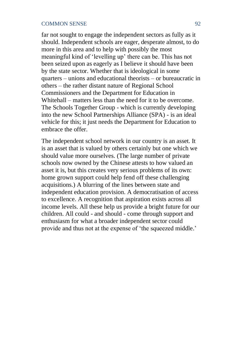far not sought to engage the independent sectors as fully as it should. Independent schools are eager, desperate almost, to do more in this area and to help with possibly the most meaningful kind of 'levelling up' there can be. This has not been seized upon as eagerly as I believe it should have been by the state sector. Whether that is ideological in some quarters – unions and educational theorists – or bureaucratic in others – the rather distant nature of Regional School Commissioners and the Department for Education in Whitehall – matters less than the need for it to be overcome. The Schools Together Group - which is currently developing into the new School Partnerships Alliance (SPA) - is an ideal vehicle for this; it just needs the Department for Education to embrace the offer.

The independent school network in our country is an asset. It is an asset that is valued by others certainly but one which we should value more ourselves. (The large number of private schools now owned by the Chinese attests to how valued an asset it is, but this creates very serious problems of its own: home grown support could help fend off these challenging acquisitions.) A blurring of the lines between state and independent education provision. A democratisation of access to excellence. A recognition that aspiration exists across all income levels. All these help us provide a bright future for our children. All could - and should - come through support and enthusiasm for what a broader independent sector could provide and thus not at the expense of 'the squeezed middle.'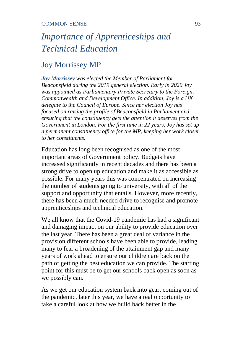# *Importance of Apprenticeships and Technical Education*

# Joy Morrissey MP

*Joy Morrissey was elected the Member of Parliament for Beaconsfield during the 2019 general election. Early in 2020 Joy was appointed as Parliamentary Private Secretary to the Foreign, Commonwealth and Development Office. In addition, Joy is a UK delegate to the Council of Europe. Since her election Joy has focused on raising the profile of Beaconsfield in Parliament and ensuring that the constituency gets the attention it deserves from the Government in London. For the first time in 22 years, Joy has set up a permanent constituency office for the MP, keeping her work closer to her constituents.*

Education has long been recognised as one of the most important areas of Government policy. Budgets have increased significantly in recent decades and there has been a strong drive to open up education and make it as accessible as possible. For many years this was concentrated on increasing the number of students going to university, with all of the support and opportunity that entails. However, more recently, there has been a much-needed drive to recognise and promote apprenticeships and technical education.

We all know that the Covid-19 pandemic has had a significant and damaging impact on our ability to provide education over the last year. There has been a great deal of variance in the provision different schools have been able to provide, leading many to fear a broadening of the attainment gap and many years of work ahead to ensure our children are back on the path of getting the best education we can provide. The starting point for this must be to get our schools back open as soon as we possibly can.

As we get our education system back into gear, coming out of the pandemic, later this year, we have a real opportunity to take a careful look at how we build back better in the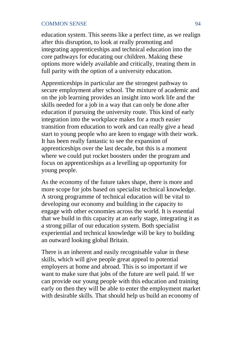education system. This seems like a perfect time, as we realign after this disruption, to look at really promoting and integrating apprenticeships and technical education into the core pathways for educating our children. Making these options more widely available and critically, treating them in full parity with the option of a university education.

Apprenticeships in particular are the strongest pathway to secure employment after school. The mixture of academic and on the job learning provides an insight into work life and the skills needed for a job in a way that can only be done after education if pursuing the university route. This kind of early integration into the workplace makes for a much easier transition from education to work and can really give a head start to young people who are keen to engage with their work. It has been really fantastic to see the expansion of apprenticeships over the last decade, but this is a moment where we could put rocket boosters under the program and focus on apprenticeships as a levelling up opportunity for young people.

As the economy of the future takes shape, there is more and more scope for jobs based on specialist technical knowledge. A strong programme of technical education will be vital to developing our economy and building in the capacity to engage with other economies across the world. It is essential that we build in this capacity at an early stage, integrating it as a strong pillar of our education system. Both specialist experiential and technical knowledge will be key to building an outward looking global Britain.

There is an inherent and easily recognisable value in these skills, which will give people great appeal to potential employers at home and abroad. This is so important if we want to make sure that jobs of the future are well paid. If we can provide our young people with this education and training early on then they will be able to enter the employment market with desirable skills. That should help us build an economy of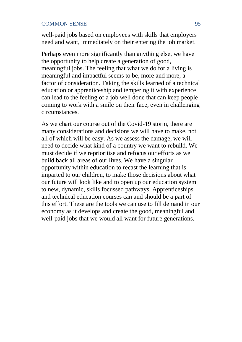well-paid jobs based on employees with skills that employers need and want, immediately on their entering the job market.

Perhaps even more significantly than anything else, we have the opportunity to help create a generation of good, meaningful jobs. The feeling that what we do for a living is meaningful and impactful seems to be, more and more, a factor of consideration. Taking the skills learned of a technical education or apprenticeship and tempering it with experience can lead to the feeling of a job well done that can keep people coming to work with a smile on their face, even in challenging circumstances.

As we chart our course out of the Covid-19 storm, there are many considerations and decisions we will have to make, not all of which will be easy. As we assess the damage, we will need to decide what kind of a country we want to rebuild. We must decide if we reprioritise and refocus our efforts as we build back all areas of our lives. We have a singular opportunity within education to recast the learning that is imparted to our children, to make those decisions about what our future will look like and to open up our education system to new, dynamic, skills focussed pathways. Apprenticeships and technical education courses can and should be a part of this effort. These are the tools we can use to fill demand in our economy as it develops and create the good, meaningful and well-paid jobs that we would all want for future generations.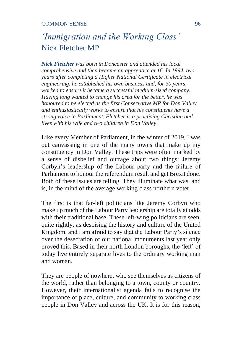# *'Immigration and the Working Class'* Nick Fletcher MP

*Nick Fletcher was born in Doncaster and attended his local comprehensive and then became an apprentice at 16. In 1994, two years after completing a Higher National Certificate in electrical engineering, he established his own business and, for 30 years, worked to ensure it became a successful medium-sized company. Having long wanted to change his area for the better, he was honoured to be elected as the first Conservative MP for Don Valley and enthusiastically works to ensure that his constituents have a strong voice in Parliament. Fletcher is a practising Christian and lives with his wife and two children in Don Valley.* 

Like every Member of Parliament, in the winter of 2019, I was out canvassing in one of the many towns that make up my constituency in Don Valley. These trips were often marked by a sense of disbelief and outrage about two things: Jeremy Corbyn's leadership of the Labour party and the failure of Parliament to honour the referendum result and get Brexit done. Both of these issues are telling. They illuminate what was, and is, in the mind of the average working class northern voter.

The first is that far-left politicians like Jeremy Corbyn who make up much of the Labour Party leadership are totally at odds with their traditional base. These left-wing politicians are seen, quite rightly, as despising the history and culture of the United Kingdom, and I am afraid to say that the Labour Party's silence over the desecration of our national monuments last year only proved this. Based in their north London boroughs, the 'left' of today live entirely separate lives to the ordinary working man and woman.

They are people of nowhere, who see themselves as citizens of the world, rather than belonging to a town, county or country. However, their internationalist agenda fails to recognise the importance of place, culture, and community to working class people in Don Valley and across the UK. It is for this reason,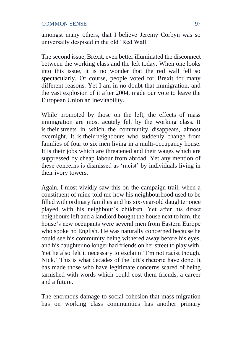amongst many others, that I believe Jeremy Corbyn was so universally despised in the old 'Red Wall.'

The second issue, Brexit, even better illuminated the disconnect between the working class and the left today. When one looks into this issue, it is no wonder that the red wall fell so spectacularly. Of course, people voted for Brexit for many different reasons. Yet I am in no doubt that immigration, and the vast explosion of it after 2004, made our vote to leave the European Union an inevitability.

While promoted by those on the left, the effects of mass immigration are most acutely felt by the working class. It is their streets in which the community disappears, almost overnight. It is their neighbours who suddenly change from families of four to six men living in a multi-occupancy house. It is their jobs which are threatened and their wages which are suppressed by cheap labour from abroad. Yet any mention of these concerns is dismissed as 'racist' by individuals living in their ivory towers.

Again, I most vividly saw this on the campaign trail, when a constituent of mine told me how his neighbourhood used to be filled with ordinary families and his six-year-old daughter once played with his neighbour's children. Yet after his direct neighbours left and a landlord bought the house next to him, the house's new occupants were several men from Eastern Europe who spoke no English. He was naturally concerned because he could see his community being withered away before his eyes, and his daughter no longer had friends on her street to play with. Yet he also felt it necessary to exclaim 'I'm not racist though, Nick.' This is what decades of the left's rhetoric have done. It has made those who have legitimate concerns scared of being tarnished with words which could cost them friends, a career and a future.

The enormous damage to social cohesion that mass migration has on working class communities has another primary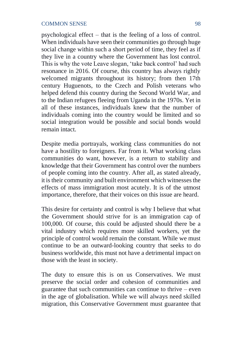psychological effect – that is the feeling of a loss of control. When individuals have seen their communities go through huge social change within such a short period of time, they feel as if they live in a country where the Government has lost control. This is why the vote Leave slogan, 'take back control' had such resonance in 2016. Of course, this country has always rightly welcomed migrants throughout its history; from then 17th century Huguenots, to the Czech and Polish veterans who helped defend this country during the Second World War, and to the Indian refugees fleeing from Uganda in the 1970s. Yet in all of these instances, individuals knew that the number of individuals coming into the country would be limited and so social integration would be possible and social bonds would remain intact.

Despite media portrayals, working class communities do not have a hostility to foreigners. Far from it. What working class communities do want, however, is a return to stability and knowledge that their Government has control over the numbers of people coming into the country. After all, as stated already, it is their community and built environment which witnesses the effects of mass immigration most acutely. It is of the utmost importance, therefore, that their voices on this issue are heard.

This desire for certainty and control is why I believe that what the Government should strive for is an immigration cap of 100,000. Of course, this could be adjusted should there be a vital industry which requires more skilled workers, yet the principle of control would remain the constant. While we must continue to be an outward-looking country that seeks to do business worldwide, this must not have a detrimental impact on those with the least in society.

The duty to ensure this is on us Conservatives. We must preserve the social order and cohesion of communities and guarantee that such communities can continue to thrive – even in the age of globalisation. While we will always need skilled migration, this Conservative Government must guarantee that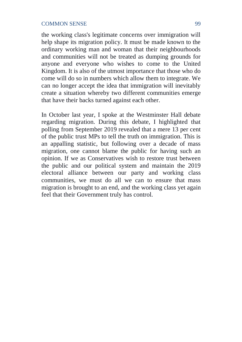the working class's legitimate concerns over immigration will help shape its migration policy. It must be made known to the ordinary working man and woman that their neighbourhoods and communities will not be treated as dumping grounds for anyone and everyone who wishes to come to the United Kingdom. It is also of the utmost importance that those who do come will do so in numbers which allow them to integrate. We can no longer accept the idea that immigration will inevitably create a situation whereby two different communities emerge that have their backs turned against each other.

In October last year, I spoke at the Westminster Hall debate regarding migration. During this debate, I highlighted that polling from September 2019 revealed that a mere 13 per cent of the public trust MPs to tell the truth on immigration. This is an appalling statistic, but following over a decade of mass migration, one cannot blame the public for having such an opinion. If we as Conservatives wish to restore trust between the public and our political system and maintain the 2019 electoral alliance between our party and working class communities, we must do all we can to ensure that mass migration is brought to an end, and the working class yet again feel that their Government truly has control.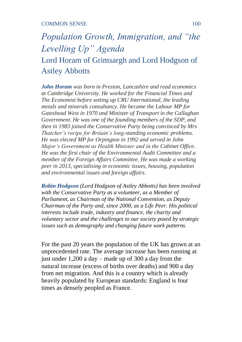# *Population Growth, Immigration, and "the Levelling Up" Agenda* Lord Horam of Grimsargh and Lord Hodgson of Astley Abbotts

*John Horam was born in Preston, Lancashire and read economics at Cambridge University. He worked for the Financial Times and The Economist before setting up CRU International, the leading metals and minerals consultancy. He became the Labour MP for Gateshead West in 1970 and Minister of Transport in the Callaghan Government. He was one of the founding members of the SDP, and then in 1983 joined the Conservative Party being convinced by Mrs Thatcher's recipe for Britain's long-standing economic problems. He was elected MP for Orpington in 1992 and served in John Major's Government as Health Minister and in the Cabinet Office. He was the first chair of the Environmental Audit Committee and a member of the Foreign Affairs Committee. He was made a working peer in 2013, specialising in economic issues, housing, population and environmental issues and foreign affairs.* 

*Robin Hodgson (Lord Hodgson of Astley Abbotts) has been involved with the Conservative Party as a volunteer, as a Member of Parliament, as Chairman of the National Convention, as Deputy Chairman of the Party and, since 2000, as a Life Peer. His political interests include trade, industry and finance, the charity and voluntary sector and the challenges to our society posed by strategic issues such as demography and changing future work patterns.*

For the past 20 years the population of the UK has grown at an unprecedented rate. The average increase has been running at just under 1,200 a day – made up of 300 a day from the natural increase (excess of births over deaths) and 900 a day from net migration. And this is a country which is already heavily populated by European standards: England is four times as densely peopled as France.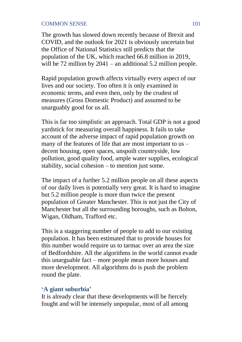The growth has slowed down recently because of Brexit and COVID, and the outlook for 2021 is obviously uncertain but the Office of National Statistics still predicts that the population of the UK, which reached 66.8 million in 2019, will be 72 million by 2041 – an additional 5.2 million people.

Rapid population growth affects virtually every aspect of our lives and our society. Too often it is only examined in economic terms, and even then, only by the crudest of measures (Gross Domestic Product) and assumed to be unarguably good for us all.

This is far too simplistic an approach. Total GDP is not a good yardstick for measuring overall happiness. It fails to take account of the adverse impact of rapid population growth on many of the features of life that are most important to us – decent housing, open spaces, unspoilt countryside, low pollution, good quality food, ample water supplies, ecological stability, social cohesion – to mention just some.

The impact of a further 5.2 million people on all these aspects of our daily lives is potentially very great. It is hard to imagine but 5.2 million people is more than twice the present population of Greater Manchester. This is not just the City of Manchester but all the surrounding boroughs, such as Bolton, Wigan, Oldham, Trafford etc.

This is a staggering number of people to add to our existing population. It has been estimated that to provide houses for this number would require us to tarmac over an area the size of Bedfordshire. All the algorithms in the world cannot evade this unarguable fact – more people mean more houses and more development. All algorithms do is push the problem round the plate.

# **'A giant suburbia'**

It is already clear that these developments will be fiercely fought and will be intensely unpopular, most of all among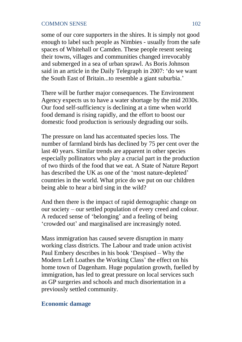some of our core supporters in the shires. It is simply not good enough to label such people as Nimbies - usually from the safe spaces of Whitehall or Camden. These people resent seeing their towns, villages and communities changed irrevocably and submerged in a sea of urban sprawl. As Boris Johnson said in an article in the Daily Telegraph in 2007: 'do we want the South East of Britain...to resemble a giant suburbia.'

There will be further major consequences. The Environment Agency expects us to have a water shortage by the mid 2030s. Our food self-sufficiency is declining at a time when world food demand is rising rapidly, and the effort to boost our domestic food production is seriously degrading our soils.

The pressure on land has accentuated species loss. The number of farmland birds has declined by 75 per cent over the last 40 years. Similar trends are apparent in other species especially pollinators who play a crucial part in the production of two thirds of the food that we eat. A State of Nature Report has described the UK as one of the 'most nature-depleted' countries in the world. What price do we put on our children being able to hear a bird sing in the wild?

And then there is the impact of rapid demographic change on our society – our settled population of every creed and colour. A reduced sense of 'belonging' and a feeling of being 'crowded out' and marginalised are increasingly noted.

Mass immigration has caused severe disruption in many working class districts. The Labour and trade union activist Paul Embery describes in his book 'Despised – Why the Modern Left Loathes the Working Class' the effect on his home town of Dagenham. Huge population growth, fuelled by immigration, has led to great pressure on local services such as GP surgeries and schools and much disorientation in a previously settled community.

# **Economic damage**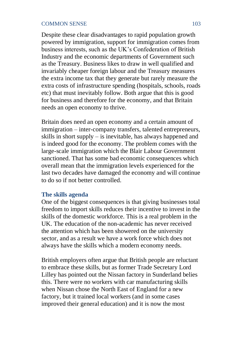Despite these clear disadvantages to rapid population growth powered by immigration, support for immigration comes from business interests, such as the UK's Confederation of British Industry and the economic departments of Government such as the Treasury. Business likes to draw in well qualified and invariably cheaper foreign labour and the Treasury measures the extra income tax that they generate but rarely measure the extra costs of infrastructure spending (hospitals, schools, roads etc) that must inevitably follow. Both argue that this is good for business and therefore for the economy, and that Britain needs an open economy to thrive.

Britain does need an open economy and a certain amount of immigration – inter-company transfers, talented entrepreneurs, skills in short supply – is inevitable, has always happened and is indeed good for the economy. The problem comes with the large-scale immigration which the Blair Labour Government sanctioned. That has some bad economic consequences which overall mean that the immigration levels experienced for the last two decades have damaged the economy and will continue to do so if not better controlled.

# **The skills agenda**

One of the biggest consequences is that giving businesses total freedom to import skills reduces their incentive to invest in the skills of the domestic workforce. This is a real problem in the UK. The education of the non-academic has never received the attention which has been showered on the university sector, and as a result we have a work force which does not always have the skills which a modern economy needs.

British employers often argue that British people are reluctant to embrace these skills, but as former Trade Secretary Lord Lilley has pointed out the Nissan factory in Sunderland belies this. There were no workers with car manufacturing skills when Nissan chose the North East of England for a new factory, but it trained local workers (and in some cases improved their general education) and it is now the most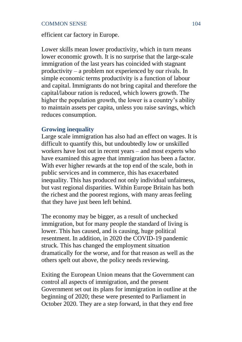efficient car factory in Europe.

Lower skills mean lower productivity, which in turn means lower economic growth. It is no surprise that the large-scale immigration of the last years has coincided with stagnant productivity – a problem not experienced by our rivals. In simple economic terms productivity is a function of labour and capital. Immigrants do not bring capital and therefore the capital/labour ration is reduced, which lowers growth. The higher the population growth, the lower is a country's ability to maintain assets per capita, unless you raise savings, which reduces consumption.

# **Growing inequality**

Large scale immigration has also had an effect on wages. It is difficult to quantify this, but undoubtedly low or unskilled workers have lost out in recent years – and most experts who have examined this agree that immigration has been a factor. With ever higher rewards at the top end of the scale, both in public services and in commerce, this has exacerbated inequality. This has produced not only individual unfairness, but vast regional disparities. Within Europe Britain has both the richest and the poorest regions, with many areas feeling that they have just been left behind.

The economy may be bigger, as a result of unchecked immigration, but for many people the standard of living is lower. This has caused, and is causing, huge political resentment. In addition, in 2020 the COVID-19 pandemic struck. This has changed the employment situation dramatically for the worse, and for that reason as well as the others spelt out above, the policy needs reviewing.

Exiting the European Union means that the Government can control all aspects of immigration, and the present Government set out its plans for immigration in outline at the beginning of 2020; these were presented to Parliament in October 2020. They are a step forward, in that they end free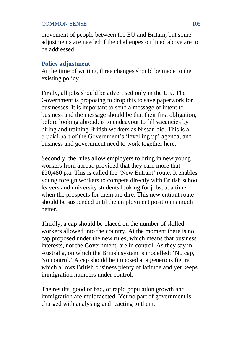movement of people between the EU and Britain, but some adjustments are needed if the challenges outlined above are to be addressed.

# **Policy adjustment**

At the time of writing, three changes should be made to the existing policy.

Firstly, all jobs should be advertised only in the UK. The Government is proposing to drop this to save paperwork for businesses. It is important to send a message of intent to business and the message should be that their first obligation, before looking abroad, is to endeavour to fill vacancies by hiring and training British workers as Nissan did. This is a crucial part of the Government's 'levelling up' agenda, and business and government need to work together here.

Secondly, the rules allow employers to bring in new young workers from abroad provided that they earn more that £20,480 p.a. This is called the 'New Entrant' route. It enables young foreign workers to compete directly with British school leavers and university students looking for jobs, at a time when the prospects for them are dire. This new entrant route should be suspended until the employment position is much better.

Thirdly, a cap should be placed on the number of skilled workers allowed into the country. At the moment there is no cap proposed under the new rules, which means that business interests, not the Government, are in control. As they say in Australia, on which the British system is modelled: 'No cap, No control.' A cap should be imposed at a generous figure which allows British business plenty of latitude and yet keeps immigration numbers under control.

The results, good or bad, of rapid population growth and immigration are multifaceted. Yet no part of government is charged with analysing and reacting to them.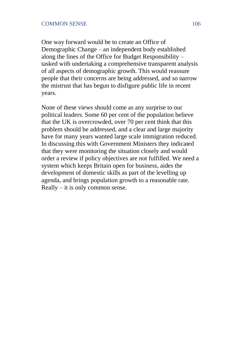One way forward would be to create an Office of Demographic Change – an independent body established along the lines of the Office for Budget Responsibility – tasked with undertaking a comprehensive transparent analysis of all aspects of demographic growth. This would reassure people that their concerns are being addressed, and so narrow the mistrust that has begun to disfigure public life in recent years.

None of these views should come as any surprise to our political leaders. Some 60 per cent of the population believe that the UK is overcrowded, over 70 per cent think that this problem should be addressed, and a clear and large majority have for many years wanted large scale immigration reduced. In discussing this with Government Ministers they indicated that they were monitoring the situation closely and would order a review if policy objectives are not fulfilled. We need a system which keeps Britain open for business, aides the development of domestic skills as part of the levelling up agenda, and brings population growth to a reasonable rate. Really – it is only common sense.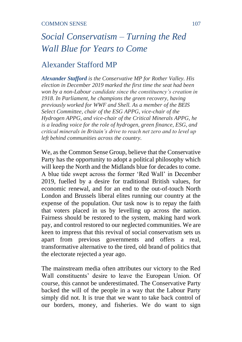# *Social Conservatism – Turning the Red Wall Blue for Years to Come*

## Alexander Stafford MP

*Alexander Stafford is the Conservative MP for Rother Valley. His election in December 2019 marked the first time the seat had been won by a non-Labour candidate since the constituency's creation in 1918. In Parliament, he champions the green recovery, having previously worked for WWF and Shell. As a member of the BEIS Select Committee, chair of the ESG APPG, vice-chair of the Hydrogen APPG, and vice-chair of the Critical Minerals APPG, he is a leading voice for the role of hydrogen, green finance, ESG, and critical minerals in Britain's drive to reach net zero and to level up left behind communities across the country.*

We, as the Common Sense Group, believe that the Conservative Party has the opportunity to adopt a political philosophy which will keep the North and the Midlands blue for decades to come. A blue tide swept across the former 'Red Wall' in December 2019, fuelled by a desire for traditional British values, for economic renewal, and for an end to the out-of-touch North London and Brussels liberal elites running our country at the expense of the population. Our task now is to repay the faith that voters placed in us by levelling up across the nation. Fairness should be restored to the system, making hard work pay, and control restored to our neglected communities. We are keen to impress that this revival of social conservatism sets us apart from previous governments and offers a real, transformative alternative to the tired, old brand of politics that the electorate rejected a year ago.

The mainstream media often attributes our victory to the Red Wall constituents' desire to leave the European Union. Of course, this cannot be underestimated. The Conservative Party backed the will of the people in a way that the Labour Party simply did not. It is true that we want to take back control of our borders, money, and fisheries. We do want to sign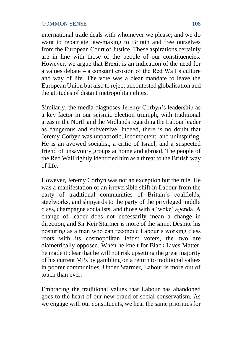international trade deals with whomever we please; and we do want to repatriate law-making to Britain and free ourselves from the European Court of Justice. These aspirations certainly are in line with those of the people of our constituencies. However, we argue that Brexit is an indication of the need for a values debate – a constant erosion of the Red Wall's culture and way of life. The vote was a clear mandate to leave the European Union but also to reject uncontested globalisation and the attitudes of distant metropolitan elites.

Similarly, the media diagnoses Jeremy Corbyn's leadership as a key factor in our seismic election triumph, with traditional areas in the North and the Midlands regarding the Labour leader as dangerous and subversive. Indeed, there is no doubt that Jeremy Corbyn was unpatriotic, incompetent, and uninspiring. He is an avowed socialist, a critic of Israel, and a suspected friend of unsavoury groups at home and abroad. The people of the Red Wall rightly identified him as a threat to the British way of life.

However, Jeremy Corbyn was not an exception but the rule. He was a manifestation of an irreversible shift in Labour from the party of traditional communities of Britain's coalfields, steelworks, and shipyards to the party of the privileged middle class, champagne socialists, and those with a 'woke' agenda. A change of leader does not necessarily mean a change in direction, and Sir Keir Starmer is more of the same. Despite his posturing as a man who can reconcile Labour's working class roots with its cosmopolitan leftist voters, the two are diametrically opposed. When he knelt for Black Lives Matter, he made it clear that he will not risk upsetting the great majority of his current MPs by gambling on a return to traditional values in poorer communities. Under Starmer, Labour is more out of touch than ever.

Embracing the traditional values that Labour has abandoned goes to the heart of our new brand of social conservatism. As we engage with our constituents, we hear the same priorities for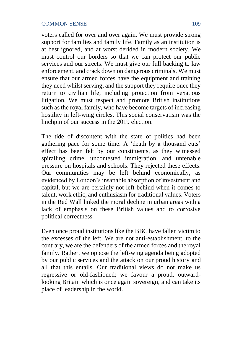voters called for over and over again. We must provide strong support for families and family life. Family as an institution is at best ignored, and at worst derided in modern society. We must control our borders so that we can protect our public services and our streets. We must give our full backing to law enforcement, and crack down on dangerous criminals. We must ensure that our armed forces have the equipment and training they need whilst serving, and the support they require once they return to civilian life, including protection from vexatious litigation. We must respect and promote British institutions such as the royal family, who have become targets of increasing hostility in left-wing circles. This social conservatism was the linchpin of our success in the 2019 election.

The tide of discontent with the state of politics had been gathering pace for some time. A 'death by a thousand cuts' effect has been felt by our constituents, as they witnessed spiralling crime, uncontested immigration, and untenable pressure on hospitals and schools. They rejected these effects. Our communities may be left behind economically, as evidenced by London's insatiable absorption of investment and capital, but we are certainly not left behind when it comes to talent, work ethic, and enthusiasm for traditional values. Voters in the Red Wall linked the moral decline in urban areas with a lack of emphasis on these British values and to corrosive political correctness.

Even once proud institutions like the BBC have fallen victim to the excesses of the left. We are not anti-establishment, to the contrary, we are the defenders of the armed forces and the royal family. Rather, we oppose the left-wing agenda being adopted by our public services and the attack on our proud history and all that this entails. Our traditional views do not make us regressive or old-fashioned; we favour a proud, outwardlooking Britain which is once again sovereign, and can take its place of leadership in the world.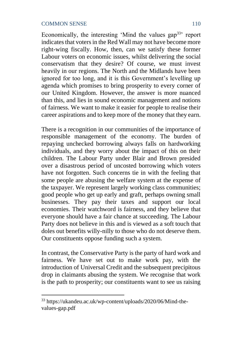Economically, the interesting 'Mind the values  $\text{gap}^{33}$ ' report indicates that voters in the Red Wall may not have become more right-wing fiscally. How, then, can we satisfy these former Labour voters on economic issues, whilst delivering the social conservatism that they desire? Of course, we must invest heavily in our regions. The North and the Midlands have been ignored for too long, and it is this Government's levelling up agenda which promises to bring prosperity to every corner of our United Kingdom. However, the answer is more nuanced than this, and lies in sound economic management and notions of fairness. We want to make it easier for people to realise their career aspirations and to keep more of the money that they earn.

There is a recognition in our communities of the importance of responsible management of the economy. The burden of repaying unchecked borrowing always falls on hardworking individuals, and they worry about the impact of this on their children. The Labour Party under Blair and Brown presided over a disastrous period of uncosted borrowing which voters have not forgotten. Such concerns tie in with the feeling that some people are abusing the welfare system at the expense of the taxpayer. We represent largely working class communities; good people who get up early and graft, perhaps owning small businesses. They pay their taxes and support our local economies. Their watchword is fairness, and they believe that everyone should have a fair chance at succeeding. The Labour Party does not believe in this and is viewed as a soft touch that doles out benefits willy-nilly to those who do not deserve them. Our constituents oppose funding such a system.

In contrast, the Conservative Party is the party of hard work and fairness. We have set out to make work pay, with the introduction of Universal Credit and the subsequent precipitous drop in claimants abusing the system. We recognise that work is the path to prosperity; our constituents want to see us raising

<sup>33</sup> https://ukandeu.ac.uk/wp-content/uploads/2020/06/Mind-thevalues-gap.pdf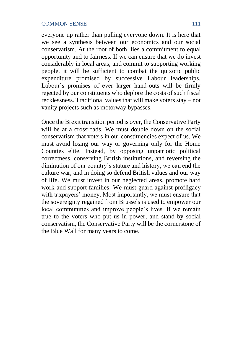everyone up rather than pulling everyone down. It is here that we see a synthesis between our economics and our social conservatism. At the root of both, lies a commitment to equal opportunity and to fairness. If we can ensure that we do invest considerably in local areas, and commit to supporting working people, it will be sufficient to combat the quixotic public expenditure promised by successive Labour leaderships. Labour's promises of ever larger hand-outs will be firmly rejected by our constituents who deplore the costs of such fiscal recklessness. Traditional values that will make voters stay – not vanity projects such as motorway bypasses.

Once the Brexit transition period is over, the Conservative Party will be at a crossroads. We must double down on the social conservatism that voters in our constituencies expect of us. We must avoid losing our way or governing only for the Home Counties elite. Instead, by opposing unpatriotic political correctness, conserving British institutions, and reversing the diminution of our country's stature and history, we can end the culture war, and in doing so defend British values and our way of life. We must invest in our neglected areas, promote hard work and support families. We must guard against profligacy with taxpayers' money. Most importantly, we must ensure that the sovereignty regained from Brussels is used to empower our local communities and improve people's lives. If we remain true to the voters who put us in power, and stand by social conservatism, the Conservative Party will be the cornerstone of the Blue Wall for many years to come.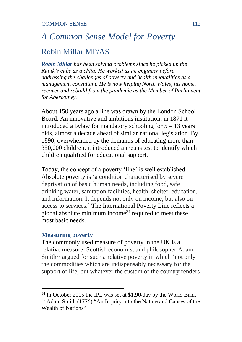# *A Common Sense Model for Poverty* Robin Millar MP/AS

*Robin Millar has been solving problems since he picked up the Rubik's cube as a child. He worked as an engineer before addressing the challenges of poverty and health inequalities as a management consultant. He is now helping North Wales, his home, recover and rebuild from the pandemic as the Member of Parliament for Aberconwy.*

About 150 years ago a line was drawn by the London School Board. An innovative and ambitious institution, in 1871 it introduced a bylaw for mandatory schooling for  $5 - 13$  years olds, almost a decade ahead of similar national legislation. By 1890, overwhelmed by the demands of educating more than 350,000 children, it introduced a means test to identify which children qualified for educational support.

Today, the concept of a poverty 'line' is well established. Absolute poverty is 'a condition characterised by severe deprivation of basic human needs, including food, safe drinking water, sanitation facilities, health, shelter, education, and information. It depends not only on income, but also on access to services.' The International Poverty Line reflects a global absolute minimum income<sup>34</sup> required to meet these most basic needs.

#### **Measuring poverty**

The commonly used measure of poverty in the UK is a relative measure. Scottish economist and philosopher Adam Smith $35$  argued for such a relative poverty in which 'not only the commodities which are indispensably necessary for the support of life, but whatever the custom of the country renders

<sup>34</sup> In October 2015 the IPL was set at \$1.90/day by the World Bank

 $35$  Adam Smith (1776) "An Inquiry into the Nature and Causes of the Wealth of Nations"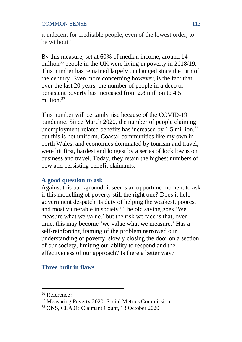it indecent for creditable people, even of the lowest order, to be without.'

By this measure, set at 60% of median income, around 14 million<sup>36</sup> people in the UK were living in poverty in  $2018/19$ . This number has remained largely unchanged since the turn of the century. Even more concerning however, is the fact that over the last 20 years, the number of people in a deep or persistent poverty has increased from 2.8 million to 4.5 million. 37

This number will certainly rise because of the COVID-19 pandemic. Since March 2020, the number of people claiming unemployment-related benefits has increased by 1.5 million,<sup>38</sup> but this is not uniform. Coastal communities like my own in north Wales, and economies dominated by tourism and travel, were hit first, hardest and longest by a series of lockdowns on business and travel. Today, they retain the highest numbers of new and persisting benefit claimants.

## **A good question to ask**

Against this background, it seems an opportune moment to ask if this modelling of poverty still the right one? Does it help government despatch its duty of helping the weakest, poorest and most vulnerable in society? The old saying goes 'We measure what we value,' but the risk we face is that, over time, this may become 'we value what we measure.' Has a self-reinforcing framing of the problem narrowed our understanding of poverty, slowly closing the door on a section of our society, limiting our ability to respond and the effectiveness of our approach? Is there a better way?

## **Three built in flaws**

<sup>36</sup> Reference?

<sup>37</sup> Measuring Poverty 2020, Social Metrics Commission

<sup>38</sup> ONS, CLA01: Claimant Count, 13 October 2020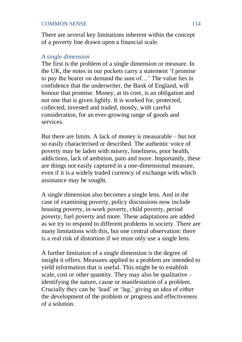There are several key limitations inherent within the concept of a poverty line drawn upon a financial scale.

#### *A single dimension*

The first is the problem of a single dimension or measure. In the UK, the notes in our pockets carry a statement 'I promise to pay the bearer on demand the sum of…' The value lies in confidence that the underwriter, the Bank of England, will honour that promise. Money, at its core, is an obligation and not one that is given lightly. It is worked for, protected, collected, invested and traded, mostly, with careful consideration, for an ever-growing range of goods and services.

But there are limits. A lack of money is measurable – but not so easily characterised or described. The authentic voice of poverty may be laden with misery, loneliness, poor health, addictions, lack of ambition, pain and more. Importantly, these are things not easily captured in a one-dimensional measure, even if it is a widely traded currency of exchange with which assistance may be sought.

A single dimension also becomes a single lens. And in the case of examining poverty, policy discussions now include housing poverty, in-work poverty, child poverty, period poverty, fuel poverty and more. These adaptations are added as we try to respond to different problems in society. There are many limitations with this, but one central observation: there is a real risk of distortion if we must only use a single lens.

A further limitation of a single dimension is the degree of insight it offers. Measures applied to a problem are intended to yield information that is useful. This might be to establish scale, cost or other quantity. They may also be qualitative  $$ identifying the nature, cause or manifestation of a problem. Crucially they can be 'lead' or 'lag,' giving an idea of either the development of the problem or progress and effectiveness of a solution.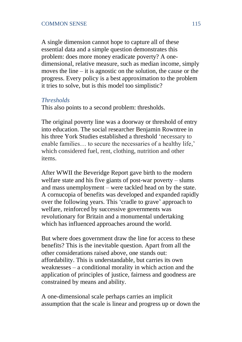A single dimension cannot hope to capture all of these essential data and a simple question demonstrates this problem: does more money eradicate poverty? A onedimensional, relative measure, such as median income, simply moves the line – it is agnostic on the solution, the cause or the progress. Every policy is a best approximation to the problem it tries to solve, but is this model too simplistic?

#### *Thresholds*

This also points to a second problem: thresholds.

The original poverty line was a doorway or threshold of entry into education. The social researcher Benjamin Rowntree in his three York Studies established a threshold 'necessary to enable families… to secure the necessaries of a healthy life,' which considered fuel, rent, clothing, nutrition and other items.

After WWII the Beveridge Report gave birth to the modern welfare state and his five giants of post-war poverty – slums and mass unemployment – were tackled head on by the state. A cornucopia of benefits was developed and expanded rapidly over the following years. This 'cradle to grave' approach to welfare, reinforced by successive governments was revolutionary for Britain and a monumental undertaking which has influenced approaches around the world.

But where does government draw the line for access to these benefits? This is the inevitable question. Apart from all the other considerations raised above, one stands out: affordability. This is understandable, but carries its own weaknesses – a conditional morality in which action and the application of principles of justice, fairness and goodness are constrained by means and ability.

A one-dimensional scale perhaps carries an implicit assumption that the scale is linear and progress up or down the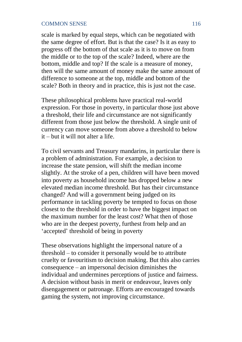scale is marked by equal steps, which can be negotiated with the same degree of effort. But is that the case? Is it as easy to progress off the bottom of that scale as it is to move on from the middle or to the top of the scale? Indeed, where are the bottom, middle and top? If the scale is a measure of money, then will the same amount of money make the same amount of difference to someone at the top, middle and bottom of the scale? Both in theory and in practice, this is just not the case.

These philosophical problems have practical real-world expression. For those in poverty, in particular those just above a threshold, their life and circumstance are not significantly different from those just below the threshold. A single unit of currency can move someone from above a threshold to below it – but it will not alter a life.

To civil servants and Treasury mandarins, in particular there is a problem of administration. For example, a decision to increase the state pension, will shift the median income slightly. At the stroke of a pen, children will have been moved into poverty as household income has dropped below a new elevated median income threshold. But has their circumstance changed? And will a government being judged on its performance in tackling poverty be tempted to focus on those closest to the threshold in order to have the biggest impact on the maximum number for the least cost? What then of those who are in the deepest poverty, furthest from help and an 'accepted' threshold of being in poverty

These observations highlight the impersonal nature of a threshold – to consider it personally would be to attribute cruelty or favouritism to decision making. But this also carries consequence – an impersonal decision diminishes the individual and undermines perceptions of justice and fairness. A decision without basis in merit or endeavour, leaves only disengagement or patronage. Efforts are encouraged towards gaming the system, not improving circumstance.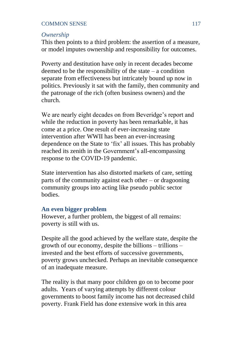#### *Ownership*

This then points to a third problem: the assertion of a measure, or model imputes ownership and responsibility for outcomes.

Poverty and destitution have only in recent decades become deemed to be the responsibility of the state  $-$  a condition separate from effectiveness but intricately bound up now in politics. Previously it sat with the family, then community and the patronage of the rich (often business owners) and the church.

We are nearly eight decades on from Beveridge's report and while the reduction in poverty has been remarkable, it has come at a price. One result of ever-increasing state intervention after WWII has been an ever-increasing dependence on the State to 'fix' all issues. This has probably reached its zenith in the Government's all-encompassing response to the COVID-19 pandemic.

State intervention has also distorted markets of care, setting parts of the community against each other – or dragooning community groups into acting like pseudo public sector bodies.

## **An even bigger problem**

However, a further problem, the biggest of all remains: poverty is still with us.

Despite all the good achieved by the welfare state, despite the growth of our economy, despite the billions – trillions – invested and the best efforts of successive governments, poverty grows unchecked. Perhaps an inevitable consequence of an inadequate measure.

The reality is that many poor children go on to become poor adults. Years of varying attempts by different colour governments to boost family income has not decreased child poverty. Frank Field has done extensive work in this area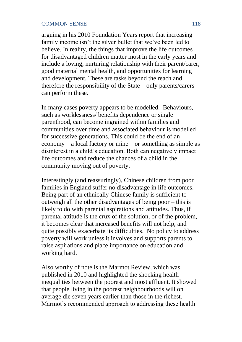#### COMMON SENSE 2008 118

arguing in his 2010 Foundation Years report that increasing family income isn't the silver bullet that we've been led to believe. In reality, the things that improve the life outcomes for disadvantaged children matter most in the early years and include a loving, nurturing relationship with their parent/carer, good maternal mental health, and opportunities for learning and development. These are tasks beyond the reach and therefore the responsibility of the State – only parents/carers can perform these.

In many cases poverty appears to be modelled. Behaviours, such as worklessness/ benefits dependence or single parenthood, can become ingrained within families and communities over time and associated behaviour is modelled for successive generations. This could be the end of an economy – a local factory or mine – or something as simple as disinterest in a child's education. Both can negatively impact life outcomes and reduce the chances of a child in the community moving out of poverty.

Interestingly (and reassuringly), Chinese children from poor families in England suffer no disadvantage in life outcomes. Being part of an ethnically Chinese family is sufficient to outweigh all the other disadvantages of being poor – this is likely to do with parental aspirations and attitudes. Thus, if parental attitude is the crux of the solution, or of the problem, it becomes clear that increased benefits will not help, and quite possibly exacerbate its difficulties. No policy to address poverty will work unless it involves and supports parents to raise aspirations and place importance on education and working hard.

Also worthy of note is the Marmot Review, which was published in 2010 and highlighted the shocking health inequalities between the poorest and most affluent. It showed that people living in the poorest neighbourhoods will on average die seven years earlier than those in the richest. Marmot's recommended approach to addressing these health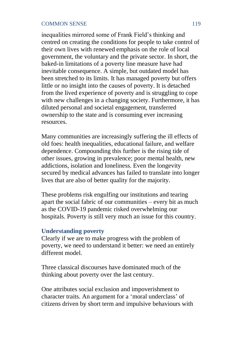inequalities mirrored some of Frank Field's thinking and centred on creating the conditions for people to take control of their own lives with renewed emphasis on the role of local government, the voluntary and the private sector. In short, the baked-in limitations of a poverty line measure have had inevitable consequence. A simple, but outdated model has been stretched to its limits. It has managed poverty but offers little or no insight into the causes of poverty. It is detached from the lived experience of poverty and is struggling to cope with new challenges in a changing society. Furthermore, it has diluted personal and societal engagement, transferred ownership to the state and is consuming ever increasing resources.

Many communities are increasingly suffering the ill effects of old foes: health inequalities, educational failure, and welfare dependence. Compounding this further is the rising tide of other issues, growing in prevalence; poor mental health, new addictions, isolation and loneliness. Even the longevity secured by medical advances has failed to translate into longer lives that are also of better quality for the majority.

These problems risk engulfing our institutions and tearing apart the social fabric of our communities – every bit as much as the COVID-19 pandemic risked overwhelming our hospitals. Poverty is still very much an issue for this country.

## **Understanding poverty**

Clearly if we are to make progress with the problem of poverty, we need to understand it better: we need an entirely different model.

Three classical discourses have dominated much of the thinking about poverty over the last century.

One attributes social exclusion and impoverishment to character traits. An argument for a 'moral underclass' of citizens driven by short term and impulsive behaviours with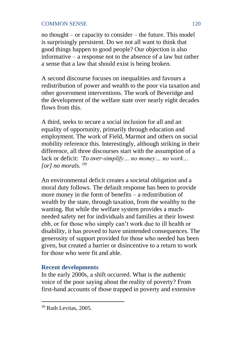no thought – or capacity to consider – the future. This model is surprisingly persistent. Do we not all want to think that good things happen to good people? Our objection is also informative – a response not to the absence of a law but rather a sense that a law that should exist is being broken.

A second discourse focuses on inequalities and favours a redistribution of power and wealth to the poor via taxation and other government interventions. The work of Beveridge and the development of the welfare state over nearly eight decades flows from this.

A third, seeks to secure a social inclusion for all and an equality of opportunity, primarily through education and employment. The work of Field, Marmot and others on social mobility reference this. Interestingly, although striking in their difference, all three discourses start with the assumption of a lack or deficit: *'To over-simplify… no money… no work… [or] no morals.' 39*

An environmental deficit creates a societal obligation and a moral duty follows. The default response has been to provide more money in the form of benefits – a redistribution of wealth by the state, through taxation, from the wealthy to the wanting. But while the welfare system provides a muchneeded safety net for individuals and families at their lowest ebb, or for those who simply can't work due to ill health or disability, it has proved to have unintended consequences. The generosity of support provided for those who needed has been given, but created a barrier or disincentive to a return to work for those who were fit and able.

## **Recent developments**

In the early 2000s, a shift occurred. What is the authentic voice of the poor saying about the reality of poverty? From first-hand accounts of those trapped in poverty and extensive

<sup>39</sup> Ruth Levitas, 2005.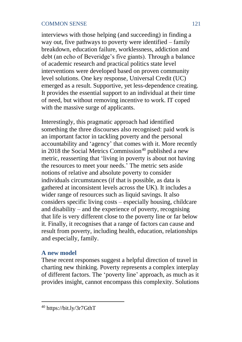interviews with those helping (and succeeding) in finding a way out, five pathways to poverty were identified – family breakdown, education failure, worklessness, addiction and debt (an echo of Beveridge's five giants). Through a balance of academic research and practical politics state level interventions were developed based on proven community level solutions. One key response, Universal Credit (UC) emerged as a result. Supportive, yet less-dependence creating. It provides the essential support to an individual at their time of need, but without removing incentive to work. IT coped with the massive surge of applicants.

Interestingly, this pragmatic approach had identified something the three discourses also recognised: paid work is an important factor in tackling poverty and the personal accountability and 'agency' that comes with it. More recently in 2018 the Social Metrics Commission<sup>40</sup> published a new metric, reasserting that 'living in poverty is about not having the resources to meet your needs.' The metric sets aside notions of relative and absolute poverty to consider individuals circumstances (if that is possible, as data is gathered at inconsistent levels across the UK). It includes a wider range of resources such as liquid savings. It also considers specific living costs – especially housing, childcare and disability – and the experience of poverty, recognising that life is very different close to the poverty line or far below it. Finally, it recognises that a range of factors can cause and result from poverty, including health, education, relationships and especially, family.

## **A new model**

These recent responses suggest a helpful direction of travel in charting new thinking. Poverty represents a complex interplay of different factors. The 'poverty line' approach, as much as it provides insight, cannot encompass this complexity. Solutions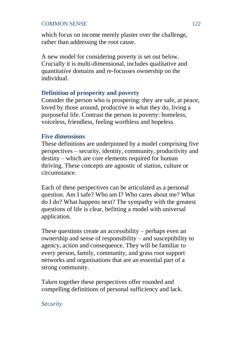which focus on income merely plaster over the challenge. rather than addressing the root cause.

A new model for considering poverty is set out below. Crucially it is multi-dimensional, includes qualitative and quantitative domains and re-focusses ownership on the individual.

## **Definition of prosperity and poverty**

Consider the person who is prospering: they are safe, at peace, loved by those around, productive in what they do, living a purposeful life. Contrast the person in poverty: homeless, voiceless, friendless, feeling worthless and hopeless.

#### **Five dimensions**

These definitions are underpinned by a model comprising five perspectives – security, identity, community, productivity and destiny – which are core elements required for human thriving. These concepts are agnostic of station, culture or circumstance.

Each of these perspectives can be articulated as a personal question. Am I safe? Who am I? Who cares about me? What do I do? What happens next? The sympathy with the greatest questions of life is clear, befitting a model with universal application.

These questions create an accessibility – perhaps even an ownership and sense of responsibility – and susceptibility to agency, action and consequence. They will be familiar to every person, family, community, and grass root support networks and organisations that are an essential part of a strong community.

Taken together these perspectives offer rounded and compelling definitions of personal sufficiency and lack.

#### *Security*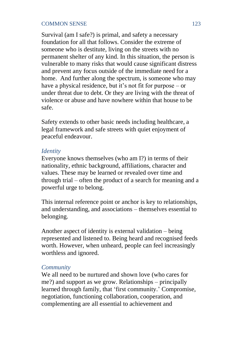Survival (am I safe?) is primal, and safety a necessary foundation for all that follows. Consider the extreme of someone who is destitute, living on the streets with no permanent shelter of any kind. In this situation, the person is vulnerable to many risks that would cause significant distress and prevent any focus outside of the immediate need for a home. And further along the spectrum, is someone who may have a physical residence, but it's not fit for purpose – or under threat due to debt. Or they are living with the threat of violence or abuse and have nowhere within that house to be safe.

Safety extends to other basic needs including healthcare, a legal framework and safe streets with quiet enjoyment of peaceful endeavour.

#### *Identity*

Everyone knows themselves (who am I?) in terms of their nationality, ethnic background, affiliations, character and values. These may be learned or revealed over time and through trial – often the product of a search for meaning and a powerful urge to belong.

This internal reference point or anchor is key to relationships, and understanding, and associations – themselves essential to belonging.

Another aspect of identity is external validation – being represented and listened to. Being heard and recognised feeds worth. However, when unheard, people can feel increasingly worthless and ignored.

#### *Community*

We all need to be nurtured and shown love (who cares for me?) and support as we grow. Relationships – principally learned through family, that 'first community.' Compromise, negotiation, functioning collaboration, cooperation, and complementing are all essential to achievement and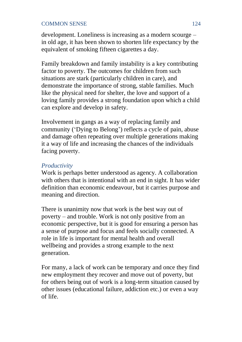development. Loneliness is increasing as a modern scourge – in old age, it has been shown to shorten life expectancy by the equivalent of smoking fifteen cigarettes a day.

Family breakdown and family instability is a key contributing factor to poverty. The outcomes for children from such situations are stark (particularly children in care), and demonstrate the importance of strong, stable families. Much like the physical need for shelter, the love and support of a loving family provides a strong foundation upon which a child can explore and develop in safety.

Involvement in gangs as a way of replacing family and community ('Dying to Belong') reflects a cycle of pain, abuse and damage often repeating over multiple generations making it a way of life and increasing the chances of the individuals facing poverty.

## *Productivity*

Work is perhaps better understood as agency. A collaboration with others that is intentional with an end in sight. It has wider definition than economic endeavour, but it carries purpose and meaning and direction.

There is unanimity now that work is the best way out of poverty – and trouble. Work is not only positive from an economic perspective, but it is good for ensuring a person has a sense of purpose and focus and feels socially connected. A role in life is important for mental health and overall wellbeing and provides a strong example to the next generation.

For many, a lack of work can be temporary and once they find new employment they recover and move out of poverty, but for others being out of work is a long-term situation caused by other issues (educational failure, addiction etc.) or even a way of life.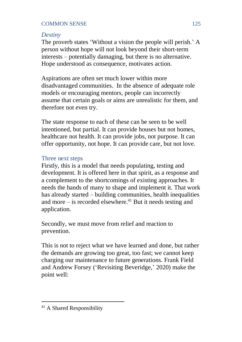## *Destiny*

The proverb states 'Without a vision the people will perish.' A person without hope will not look beyond their short-term interests – potentially damaging, but there is no alternative. Hope understood as consequence, motivates action.

Aspirations are often set much lower within more disadvantaged communities. In the absence of adequate role models or encouraging mentors, people can incorrectly assume that certain goals or aims are unrealistic for them, and therefore not even try.

The state response to each of these can be seen to be well intentioned, but partial. It can provide houses but not homes, healthcare not health. It can provide jobs, not purpose. It can offer opportunity, not hope. It can provide care, but not love.

## Three next steps

Firstly, this is a model that needs populating, testing and development. It is offered here in that spirit, as a response and a complement to the shortcomings of existing approaches. It needs the hands of many to shape and implement it. That work has already started – building communities, health inequalities and more – is recorded elsewhere. <sup>41</sup> But it needs testing and application.

Secondly, we must move from relief and reaction to prevention.

This is not to reject what we have learned and done, but rather the demands are growing too great, too fast; we cannot keep charging our maintenance to future generations. Frank Field and Andrew Forsey ('Revisiting Beveridge,' 2020) make the point well:

<sup>41</sup> A Shared Responsibility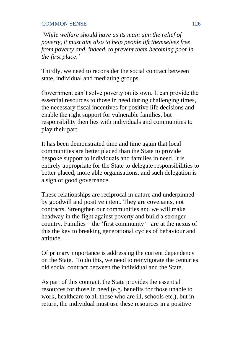*'While welfare should have as its main aim the relief of poverty, it must aim also to help people lift themselves free from poverty and, indeed, to prevent them becoming poor in the first place.'*

Thirdly, we need to reconsider the social contract between state, individual and mediating groups.

Government can't solve poverty on its own. It can provide the essential resources to those in need during challenging times, the necessary fiscal incentives for positive life decisions and enable the right support for vulnerable families, but responsibility then lies with individuals and communities to play their part.

It has been demonstrated time and time again that local communities are better placed than the State to provide bespoke support to individuals and families in need. It is entirely appropriate for the State to delegate responsibilities to better placed, more able organisations, and such delegation is a sign of good governance.

These relationships are reciprocal in nature and underpinned by goodwill and positive intent. They are covenants, not contracts. Strengthen our communities and we will make headway in the fight against poverty and build a stronger country. Families – the 'first community'– are at the nexus of this the key to breaking generational cycles of behaviour and attitude.

Of primary importance is addressing the current dependency on the State. To do this, we need to reinvigorate the centuries old social contract between the individual and the State.

As part of this contract, the State provides the essential resources for those in need (e.g. benefits for those unable to work, healthcare to all those who are ill, schools etc.), but in return, the individual must use these resources in a positive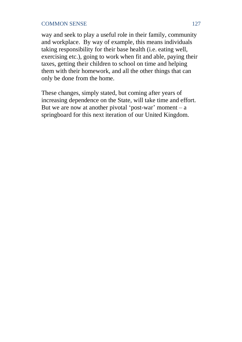way and seek to play a useful role in their family, community and workplace. By way of example, this means individuals taking responsibility for their base health (i.e. eating well, exercising etc.), going to work when fit and able, paying their taxes, getting their children to school on time and helping them with their homework, and all the other things that can only be done from the home.

These changes, simply stated, but coming after years of increasing dependence on the State, will take time and effort. But we are now at another pivotal 'post-war' moment  $-a$ springboard for this next iteration of our United Kingdom.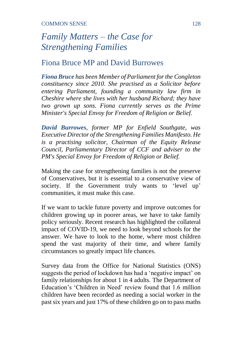# *Family Matters – the Case for Strengthening Families*

## Fiona Bruce MP and David Burrowes

*Fiona Bruce has been Member of Parliament for the Congleton constituency since 2010. She practised as a Solicitor before entering Parliament, founding a community law firm in Cheshire where she lives with her husband Richard; they have two grown up sons. Fiona currently serves as the Prime Minister's Special Envoy for Freedom of Religion or Belief.* 

*David Burrowes, former MP for Enfield Southgate, was Executive Director of the Strengthening Families Manifesto. He is a practising solicitor, Chairman of the Equity Release Council, Parliamentary Director of CCF and adviser to the PM's Special Envoy for Freedom of Religion or Belief.*

Making the case for strengthening families is not the preserve of Conservatives, but it is essential to a conservative view of society. If the Government truly wants to 'level up' communities, it must make this case.

If we want to tackle future poverty and improve outcomes for children growing up in poorer areas, we have to take family policy seriously. Recent research has highlighted the collateral impact of COVID-19, we need to look beyond schools for the answer. We have to look to the home, where most children spend the vast majority of their time, and where family circumstances so greatly impact life chances.

Survey data from the Office for National Statistics (ONS) suggests the period of lockdown has had a 'negative impact' on family relationships for about 1 in 4 adults. The Department of Education's 'Children in Need' review found that 1.6 million children have been recorded as needing a social worker in the past six years and just 17% of these children go on to pass maths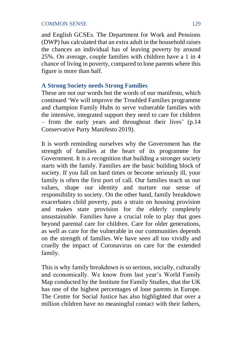and English GCSEs. The Department for Work and Pensions (DWP) has calculated that an extra adult in the household raises the chances an individual has of leaving poverty by around 25%. On average, couple families with children have a 1 in 4 chance of living in poverty, compared to lone parents where this figure is more than half.

## **A Strong Society needs Strong Families**

These are not our words but the words of our manifesto, which continued 'We will improve the Troubled Families programme and champion Family Hubs to serve vulnerable families with the intensive, integrated support they need to care for children – from the early years and throughout their lives' (p.14 Conservative Party Manifesto 2019).

It is worth reminding ourselves why the Government has the strength of families at the heart of its programme for Government. It is a recognition that building a stronger society starts with the family. Families are the basic building block of society. If you fall on hard times or become seriously ill, your family is often the first port of call. Our families teach us our values, shape our identity and nurture our sense of responsibility to society. On the other hand, family breakdown exacerbates child poverty, puts a strain on housing provision and makes state provision for the elderly completely unsustainable. Families have a crucial role to play that goes beyond parental care for children. Care for older generations, as well as care for the vulnerable in our communities depends on the strength of families. We have seen all too vividly and cruelly the impact of Coronavirus on care for the extended family.

This is why family breakdown is so serious, socially, culturally and economically. We know from last year's World Family Map conducted by the Institute for Family Studies, that the UK has one of the highest percentages of lone parents in Europe. The Centre for Social Justice has also highlighted that over a million children have no meaningful contact with their fathers,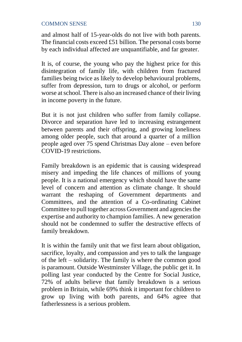and almost half of 15-year-olds do not live with both parents. The financial costs exceed £51 billion. The personal costs borne by each individual affected are unquantifiable, and far greater.

It is, of course, the young who pay the highest price for this disintegration of family life, with children from fractured families being twice as likely to develop behavioural problems, suffer from depression, turn to drugs or alcohol, or perform worse at school. There is also an increased chance of their living in income poverty in the future.

But it is not just children who suffer from family collapse. Divorce and separation have led to increasing estrangement between parents and their offspring, and growing loneliness among older people, such that around a quarter of a million people aged over 75 spend Christmas Day alone – even before COVID-19 restrictions.

Family breakdown is an epidemic that is causing widespread misery and impeding the life chances of millions of young people. It is a national emergency which should have the same level of concern and attention as climate change. It should warrant the reshaping of Government departments and Committees, and the attention of a Co-ordinating Cabinet Committee to pull together across Government and agencies the expertise and authority to champion families. A new generation should not be condemned to suffer the destructive effects of family breakdown.

It is within the family unit that we first learn about obligation, sacrifice, loyalty, and compassion and yes to talk the language of the left – solidarity. The family is where the common good is paramount. Outside Westminster Village, the public get it. In polling last year conducted by the Centre for Social Justice, 72% of adults believe that family breakdown is a serious problem in Britain, while 69% think it important for children to grow up living with both parents, and 64% agree that fatherlessness is a serious problem.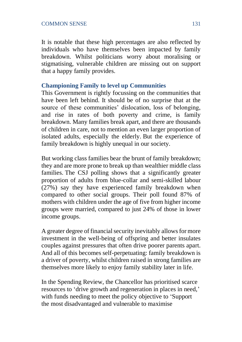It is notable that these high percentages are also reflected by individuals who have themselves been impacted by family breakdown. Whilst politicians worry about moralising or stigmatising, vulnerable children are missing out on support that a happy family provides.

## **Championing Family to level up Communities**

This Government is rightly focussing on the communities that have been left behind. It should be of no surprise that at the source of these communities' dislocation, loss of belonging, and rise in rates of both poverty and crime, is family breakdown. Many families break apart, and there are thousands of children in care, not to mention an even larger proportion of isolated adults, especially the elderly. But the experience of family breakdown is highly unequal in our society.

But working class families bear the brunt of family breakdown; they and are more prone to break up than wealthier middle class families. The CSJ polling shows that a significantly greater proportion of adults from blue-collar and semi-skilled labour (27%) say they have experienced family breakdown when compared to other social groups. Their poll found 87% of mothers with children under the age of five from higher income groups were married, compared to just 24% of those in lower income groups.

A greater degree of financial security inevitably allows for more investment in the well-being of offspring and better insulates couples against pressures that often drive poorer parents apart. And all of this becomes self-perpetuating: family breakdown is a driver of poverty, whilst children raised in strong families are themselves more likely to enjoy family stability later in life.

In the Spending Review, the Chancellor has prioritised scarce resources to 'drive growth and regeneration in places in need,' with funds needing to meet the policy objective to 'Support the most disadvantaged and vulnerable to maximise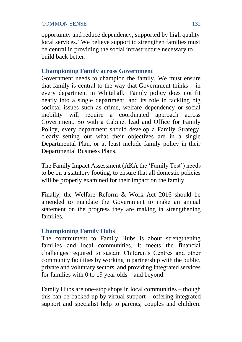opportunity and reduce dependency, supported by high quality local services.' We believe support to strengthen families must be central in providing the social infrastructure necessary to build back better.

## **Championing Family across Government**

Government needs to champion the family. We must ensure that family is central to the way that Government thinks  $-$  in every department in Whitehall. Family policy does not fit neatly into a single department, and its role in tackling big societal issues such as crime, welfare dependency or social mobility will require a coordinated approach across Government. So with a Cabinet lead and Office for Family Policy, every department should develop a Family Strategy, clearly setting out what their objectives are in a single Departmental Plan, or at least include family policy in their Departmental Business Plans.

The Family Impact Assessment (AKA the 'Family Test') needs to be on a statutory footing, to ensure that all domestic policies will be properly examined for their impact on the family.

Finally, the Welfare Reform & Work Act 2016 should be amended to mandate the Government to make an annual statement on the progress they are making in strengthening families.

## **Championing Family Hubs**

The commitment to Family Hubs is about strengthening families and local communities. It meets the financial challenges required to sustain Children's Centres and other community facilities by working in partnership with the public, private and voluntary sectors, and providing integrated services for families with 0 to 19 year olds – and beyond.

Family Hubs are one-stop shops in local communities – though this can be backed up by virtual support – offering integrated support and specialist help to parents, couples and children.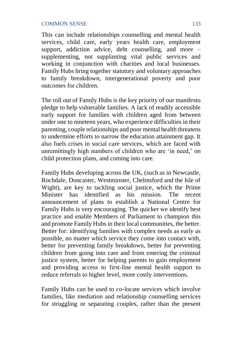This can include relationships counselling and mental health services, child care, early years health care, employment support, addiction advice, debt counselling, and more  $$ supplementing, not supplanting vital public services and working in conjunction with charities and local businesses. Family Hubs bring together statutory and voluntary approaches to family breakdown, intergenerational poverty and poor outcomes for children.

The roll out of Family Hubs is the key priority of our manifesto pledge to help vulnerable families. A lack of readily accessible early support for families with children aged from between under one to nineteen years, who experience difficulties in their parenting, couple relationships and poor mental health threatens to undermine efforts to narrow the education attainment gap. It also fuels crises in social care services, which are faced with unremittingly high numbers of children who are 'in need,' on child protection plans, and coming into care.

Family Hubs developing across the UK, (such as in Newcastle, Rochdale, Doncaster, Westminster, Chelmsford and the Isle of Wight), are key to tackling social justice, which the Prime identified as his mission. The recent announcement of plans to establish a National Centre for Family Hubs is very encouraging. The quicker we identify best practice and enable Members of Parliament to champion this and promote Family Hubs in their local communities, the better. Better for: identifying families with complex needs as early as possible, no matter which service they come into contact with, better for preventing family breakdown, better for preventing children from going into care and from entering the criminal justice system, better for helping parents to gain employment and providing access to first-line mental health support to reduce referrals to higher level, more costly interventions.

Family Hubs can be used to co-locate services which involve families, like mediation and relationship counselling services for struggling or separating couples, rather than the present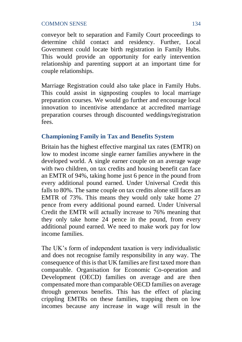conveyor belt to separation and Family Court proceedings to determine child contact and residency. Further, Local Government could locate birth registration in Family Hubs. This would provide an opportunity for early intervention relationship and parenting support at an important time for couple relationships.

Marriage Registration could also take place in Family Hubs. This could assist in signposting couples to local marriage preparation courses. We would go further and encourage local innovation to incentivise attendance at accredited marriage preparation courses through discounted weddings/registration fees.

## **Championing Family in Tax and Benefits System**

Britain has the highest effective marginal tax rates (EMTR) on low to modest income single earner families anywhere in the developed world. A single earner couple on an average wage with two children, on tax credits and housing benefit can face an EMTR of 94%, taking home just 6 pence in the pound from every additional pound earned. Under Universal Credit this falls to 80%. The same couple on tax credits alone still faces an EMTR of 73%. This means they would only take home 27 pence from every additional pound earned. Under Universal Credit the EMTR will actually increase to 76% meaning that they only take home 24 pence in the pound, from every additional pound earned. We need to make work pay for low income families.

The UK's form of independent taxation is very individualistic and does not recognise family responsibility in any way. The consequence of this is that UK families are first taxed more than comparable. Organisation for Economic Co-operation and Development (OECD) families on average and are then compensated more than comparable OECD families on average through generous benefits. This has the effect of placing crippling EMTRs on these families, trapping them on low incomes because any increase in wage will result in the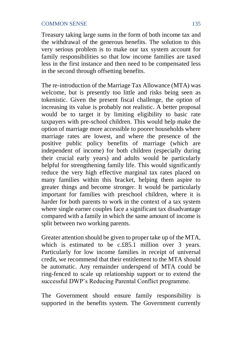Treasury taking large sums in the form of both income tax and the withdrawal of the generous benefits. The solution to this very serious problem is to make our tax system account for family responsibilities so that low income families are taxed less in the first instance and then need to be compensated less in the second through offsetting benefits.

The re-introduction of the Marriage Tax Allowance (MTA) was welcome, but is presently too little and risks being seen as tokenistic. Given the present fiscal challenge, the option of increasing its value is probably not realistic. A better proposal would be to target it by limiting eligibility to basic rate taxpayers with pre-school children. This would help make the option of marriage more accessible to poorer households where marriage rates are lowest, and where the presence of the positive public policy benefits of marriage (which are independent of income) for both children (especially during their crucial early years) and adults would be particularly helpful for strengthening family life. This would significantly reduce the very high effective marginal tax rates placed on many families within this bracket, helping them aspire to greater things and become stronger. It would be particularly important for families with preschool children, where it is harder for both parents to work in the context of a tax system where single earner couples face a significant tax disadvantage compared with a family in which the same amount of income is split between two working parents.

Greater attention should be given to proper take up of the MTA, which is estimated to be c.£85.1 million over 3 years. Particularly for low income families in receipt of universal credit, we recommend that their entitlement to the MTA should be automatic. Any remainder underspend of MTA could be ring-fenced to scale up relationship support or to extend the successful DWP's Reducing Parental Conflict programme.

The Government should ensure family responsibility is supported in the benefits system. The Government currently